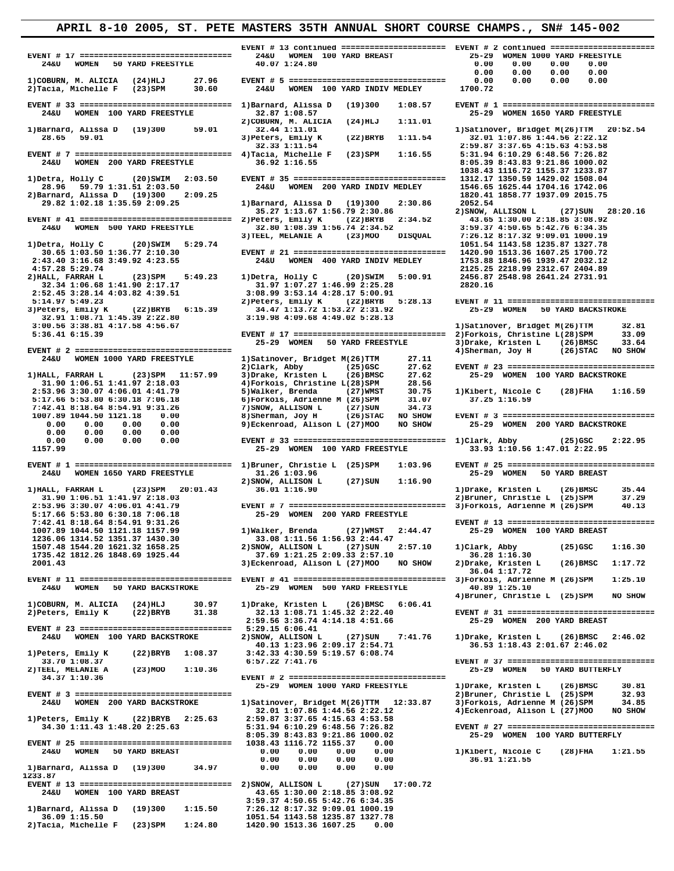**EVENT # 17 ================================ 24&U WOMEN 100 YARD BREAST 25-29 WOMEN 1000 YARD FREESTYLE 24&U WOMEN 50 YARD FREESTYLE 40.07 1:24.80 0.00 0.00 0.00 0.00 0.00 0.00 0.00 0.00 2)COBURN, M. ALICIA (24)HLJ 27.96**<br>**2)Tacia, Michelle F (23)SPM 30.60 EVENT # 33 ================================ 1)Barnard, Alissa D (19)300 1:08.57 EVENT # 1 ================================= 24&U WOMEN 100 YARD FREESTYLE 32.87 1:08.57 25-29 WOMEN 1650 YARD FREESTYLE 2)COBURN, M. ALICIA** (24)HLJ 1:11.01<br>2)COBURN, M. ALICIA (24)HLJ 1:11.01<br>32.44 1:11.01  **1)Barnard, Alissa D (19)300 59.01 32.44 1:11.01 1)Satinover, Bridget M(26)TTM 20:52.54 28.65 59.01 3)Peters, Emily K (22)BRYB 1:11.54 32.01 1:07.86 1:44.56 2:22.12** 28.65 59.01 3)Peters, Emily K (22)BRYB 1:11.54 32.01 1:07.86 1:44.56 2:22.12<br>32.33 1:11.54 2:59.87 3:01 1:07.86 1:44.56 2:22.12<br>22.33 1:11.54 2:59.87 3:37.65 4:15.63 4:53.58<br>22.59.87 3:37.65 4:15.63 4:53.58<br>22.59 EVENT # 7  **28.96 59.79 1:31.51 2:03.50 24&U WOMEN 200 YARD INDIV MEDLEY 1546.65 1625.44 1704.16 1742.06 2)Barnard, Alissa D (19)300 2:09.25 1820.41 1858.77 1937.09 2015.75 35.27 1:13.67 1:56.79 2:30.86 2)SNOW, ALLISON L (27)SUN 28:20.16 EVENT # 41 ================================ 2)Peters, Emily K (22)BRYB 2:34.52 43.65 1:30.00 2:18.85 3:08.92 24&U WOMEN 500 YARD FREESTYLE 32.80 1:08.39 1:56.74 2:34.52 3:59.37 4:50.65 5:42.76 6:34.35 3)TEEL, MELANIE A (23)MOO DISQUAL 7:26.12 8:17.32 9:09.01 1000.19 30.65 1:03.50 1:36.77 2:10.30 EVENT # 21 ================================ 1420.90 1513.36 1607.25 1700.72** 2:43.40 3:16.68 3:49.92 4:23.55 24&U WOMEN 400 YARD INDIV MEDLEY 4:57.28 5:29.74  **4:57.28 5:29.74 2125.25 2218.99 2312.67 2404.89 2)HALL, FARRAH L (23)SPM 5:49.23 1)Detra, Holly C (20)SWIM 5:00.91 2456.87 2548.98 2641.24 2731.91 32.34 1:06.68 1:41.90 2:17.17 31.97 1:07.27 1:46.99 2:25.28 2820.16 2:52.45 3:28.14 4:03.82 4:39.51 3:08.99 3:53.14 4:28.17 5:00.91 3)Peters, Emily K (22)BRYB 6:15.39 34.47 1:13.72 1:53.27 2:31.92 25-29 WOMEN 50 YARD BACKSTROKE 32.91 1:08.71 1:45.39 2:22.80 3:19.98 4:09.68 4:49.02 5:28.13 3:00.56 3:38.81 4:17.58 4:56.67 1)Satinover, Bridget M(26)TTM 32.81 25-29 WOMEN 50 YARD FREESTYLE 3)Drake, Kristen L (26)BMSC 33.64 EVENT # 2 ================================= 4)Sherman, Joy H (26)STAC NO SHOW 2)Clark, Abby (25)GSC 27.62 EVENT # 23 ================================ 31.90 1:06.51 1:41.97 2:18.03 4)Forkois, Christine L(28)SPM 28.56 2:53.96 3:30.07 4:06.01 4:41.79 5)Walker, Brenda (27)WMST 30.75 1)Kibert, Nicole C (28)FHA 1:16.59 5:17.66 5:53.80 6:30.18 7:06.18 6)Forkois, Adrienne M (26)SPM 31.07 37.25 1:16.59 7:42.41 8:18.64 8:54.91 9:31.26 7)SNOW, ALLISON L (27)SUN 34.73**   $\begin{array}{cccc} 1007.89 & 1044.50 & 1121.18 & 0.00\ 0.00 & 0.00 & 0.00 & 0.00\ 0.00 & 0.00 & 0.00 & 0.00\ 0.00 & 0.00 & 0.00 & 0.00\ \end{array}$  **0.00 0.00 0.00 0.00 EVENT # 33 ================================ 1)Clark, Abby (25)GSC 2:22.95 EVENT # 1 ================================= 1)Bruner, Christie L (25)SPM 1:03.96 EVENT # 25 ================================ 24&U WOMEN 1650 YARD FREESTYLE 31.26 1:03.96 25-29 WOMEN 50 YARD BREAST 2)SNOW, ALLISON L (27)SUN 1:16.90**  1) HALL, FARRAH L (23) SPM 20:01.43 36.01 1:16.90 1) 2 1) Drake, Kristen L (26) BMSC 35.44<br>31.90 1:06.51 1:41.97 2:18.03 2) Bruner, Christie L (25) SPM 37.29<br>2:53.96 3:30.07 4:06.01 4:41.79 EVENT # 7 ======================  **5:17.66 5:53.80 6:30.18 7:06.18 25-29 WOMEN 200 YARD FREESTYLE 1007.89 1044.50 1121.18 1157.99** 1)Walker, Brenda (27)WMST 1236.06 1314.52 1351.37 1430.30 33.08 1:11.56 1:56.93 2:44.47 1236.06 1314.52 1351.37 1430.30<br>1597.48 1544.20 1621.32 1658.25 238000, ALLISON L (27) 5UN 2:57.10 1)Clark, Abby (25)GSC 1:16.30<br>1735.42 1812.26 1848.69 1925.44 313.08 1:11.56 1:21.25 2:09.33 2:57.10 36.28 1:16.30<br>2001.43  **36.04 1:17.72 EVENT # 11 ================================ EVENT # 41 ================================ 3)Forkois, Adrienne M (26)SPM 1:25.10 EVENT # 23 ================================ 5:29.15 6:06.41 24&U WOMEN 100 YARD BACKSTROKE 2)SNOW, ALLISON L (27)SUN 7:41.76 1)Drake, Kristen L (26)BMSC 2:46.02 40.13 1:23.96 2:09.17 2:54.71 36.53 1:18.43 2:01.67 2:46.02 1)Peters, Emily K (22)BRYB 1:08.37 3:42.33 4:30.59 5:19.57 6:08.74 2)TEEL, MELANIE A** (23)MOO 1:10.36<br>314.37 1:10.36  **EVENT # 3 ================================= 2)Bruner, Christie L (25)SPM 32.93 32.01 1:07.86 1:44.56 2:22.12**<br>1) Peters, Emily K (22) BRYB 2:25.63 2:59.87 3:37.65 4:15.63 4:53.58  **8:05.39 8:43.83 9:21.86 1000.02 25-29 WOMEN 100 YARD BUTTERFLY EVENT # 25 ================================ 1038.43 1116.72 1155.37 0.00 24&U WOMEN 50 YARD BREAST 0.00 0.00 0.00 0.00 1)Kibert, Nicole C (28)FHA 1:21.55 0.00 0.00 0.00 0.00 36.91 1:21.55 1)Barnard, Alissa D (19)300 34.97 0.00 0.00 0.00 0.00 1233.87 EVENT # 13 =============================== 2)SNOW, ALLISON L (27)SUN 17:00.72**<br>24&U WOMEN 100 YARD BREAST 43.65 1:30.00 2:18.85 3:08.92  **24&U WOMEN 100 YARD BREAST 43.65 1:30.00 2:18.85 3:08.92 1)Barnard, Alissa D (19)300 1:15.50 7:26.12 8:17.32 9:09.01 1000.19** 

 **36.09 1:15.50 1051.54 1143.58 1235.87 1327.78 2)Tacia, Michelle F (23)SPM 1:24.80 1420.90 1513.36 1607.25 0.00** 

 **EVENT # 13 continued ====================== EVENT # 2 continued ======================= 1)COBURN, M. ALICIA (24)HLJ 27.96 EVENT # 5 ================================= 0.00 0.00 0.00 0.00 EVENT # 7 ================================= 4)Tacia, Michelle F (23)SPM 1:16.55 5:31.94 6:10.29 6:48.56 7:26.82 1038.43 1116.72 1155.37 1233.87 1)Detra, Holly C (20)SWIM 2:03.50 EVENT # 35 ================================ 1312.17 1350.59 1429.02 1508.04 29.82 1:02.18 1:35.59 2:09.25 1)Barnard, Alissa D (19)300 2:30.86 2052.54 1)Detra, Holly C (20)SWIM 5:29.74 1051.54 1143.58 1235.87 1327.78 5:14.97 5:49.23 2)Peters, Emily K (22)BRYB 5:28.13 EVENT # 11 ================================ EVENT # 17 =============================== 2)Forkois, Christine L(28)SPM 35-29 WOMEN 50 YARD FREESTYLE 3)Drake, Kristen L (26)BMSC 24&U WOMEN 1000 YARD FREESTYLE 1)Satinover, Bridget M(26)TTM 27.11 1)HALL, FARRAH L (23)SPM 11:57.99 3)Drake, Kristen L (26)BMSC 27.62 25-29 WOMEN 100 YARD BACKSTROKE 24&U WOMEN 50 YARD BACKSTROKE 25-29 WOMEN 500 YARD FREESTYLE 40.89 1:25.10 2:59.56 3:36.74 4:14.18 4:51.66 25-29 WOMEN 200 YARD BREAST EVENT # 2 ================================ 1)Satinover, Bridget M(26)TTM 12:33.87 3)Forkois, Adrienne M (26)SPM 34.85**<br>32.01 1:07.86 1:44.56 2:22.12 4)Eckenroad, Alison L (27)MOO NO SHOW  **3:59.37 4:50.65 5:42.76 6:34.35** 

 **24&U WOMEN 200 YARD FREESTYLE 36.92 1:16.55 8:05.39 8:43.83 9:21.86 1000.02 1007.89 1044.50 1121.18 0.00 8)Sherman, Joy H (26)STAC NO SHOW EVENT # 3 ================================= 0.00 0.00 0.00 0.00 9)Eckenroad, Alison L (27)MOO NO SHOW 25-29 WOMEN 200 YARD BACKSTROKE 1157.99 25-29 WOMEN 100 YARD FREESTYLE 33.93 1:10.56 1:47.01 2:22.95 7:42.41 8:18.64 8:54.91 9:31.26 EVENT # 13 ================================ 4)Bruner, Christie L (25)SPM NO SHOW 1)COBURN, M. ALICIA (24)HLJ 30.97 1)Drake, Kristen L (26)BMSC 6:06.41 2)Peters, Emily K (22)BRYB 31.38 32.13 1:08.71 1:45.32 2:22.40 EVENT # 31 ================================ 33.70 1:08.37 6:57.22 7:41.76 EVENT # 37 ================================ 25-29 WOMEN 1000 YARD FREESTYLE 1)Drake, Kristen L (26)BMSC 30.81 1)Peters, Emily K (22)BRYB 2:25.63 2:59.87 3:37.65 4:15.63 4:53.58 34.30 1:11.43 1:48.20 2:25.63 5:31.94 6:10.29 6:48.56 7:26.82 EVENT # 27 ================================**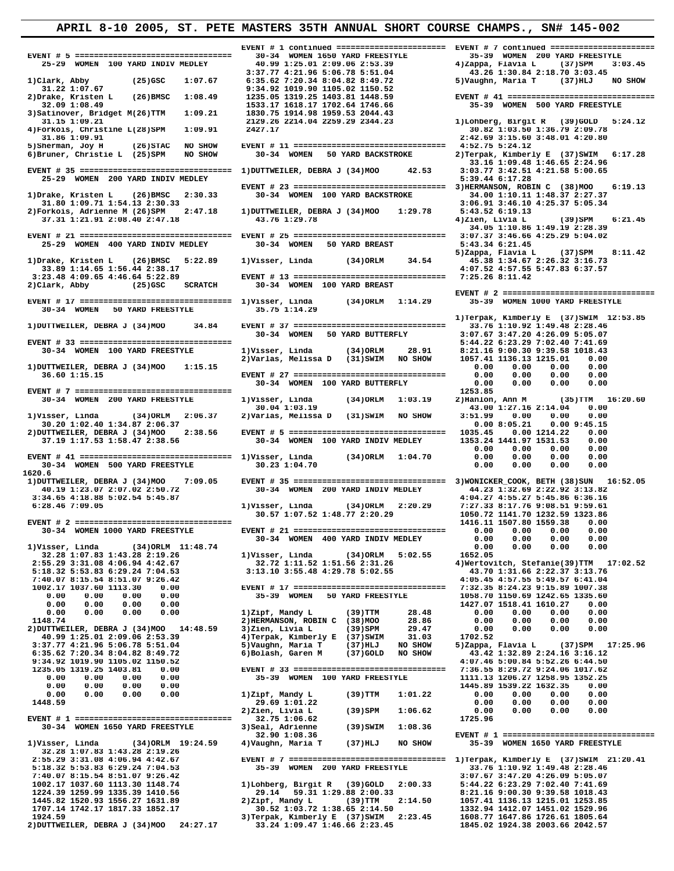**EVENT # 5 ================================= 30-34 WOMEN 1650 YARD FREESTYLE 35-39 WOMEN 200 YARD FREESTYLE**  25-29 WOMEN 100 YARD INDIV MEDLEY 40.99 1:25.01 2:09.06 2:53.39 4) Zappa, Flavia L (37) SPM 3:03.45<br>1)Clark, Abby (25) GSC 1:07.67 6:35.62 7:20.34 8:06.78 5:51.04 43.26 1:30.84 2:18.70 3:03.45<br>31.22 1:07.67 6:35.62 7:20.34 **3)Satinover, Bridget M(26)TTM** 1:09.21<br>31.15 1:09.21 25-29 WOMEN 200 YARD INDIV MEDLEY **33.89 1:14.65 1:56.44 2:38.17**<br>3:23.48 4:09.65 4:46.64 5:22.89  **EVENT # 17 =============================== 1)Visser, Linda** 30-34 WOMEN 50 YARD FREESTYLE 35.75 1:14.29  **30-34 WOMEN 50 YARD FREESTYLE 35.75 1:14.29 30-34 WOMEN 500 YARD FREESTYLE 30.23 1:04.70 0.00 0.00 0.00 0.00** 1620.6<br>
1)DUTTWEILER, DEBRA J (34)MOO 7:09.05<br>
40.19 1:23.07 2:07.02 2:50.72<br>
3:34.65 4:18.88 5:02.54 5:45.87<br>
6:28.46 7:09.05  **32.28 1:07.83 1:43.28 2:19.26** 

 **31.15 1:09.21 2129.26 2214.04 2259.29 2344.23 1)Lohberg, Birgit R (39)GOLD 5:24.12 4)Forkois, Christine L(28)SPM 1:09.91 2427.17 30.82 1:03.50 1:36.79 2:09.78 31.86 1:09.91 2:42.69 3:15.60 3:48.01 4:20.80 5)Sherman, Joy H (26)STAC NO SHOW EVENT # 11 ================================ 4:52.75 5:24.12 6)Bruner, Christie L (25)SPM NO SHOW 30-34 WOMEN 50 YARD BACKSTROKE 2)Terpak, Kimberly E (37)SWIM 6:17.28 EVENT # 35 ================================ 1)DUTTWEILER, DEBRA J (34)MOO** 42.53 3:03.77 3:42.51<br>25-29 WOMEN 200 YARD INDIV MEDLEY 5:09.44 6:17.28  **EVENT # 23 ================================ 3)HERMANSON, ROBIN C (38)MOO 6:19.13 1)Drake, Kristen L (26)BMSC 2:30.33 30-34 WOMEN 100 YARD BACKSTROKE 34.00 1:10.11 1:48.37 2:27.37 31.80 1:09.71 1:54.13 2:30.33 3:06.91 3:46.10 4:25.37 5:05.34 2)Forkois, Adrienne M (26)SPM 2:47.18 1)DUTTWEILER, DEBRA J (34)MOO 1:29.78 5:43.52 6:19.13 37.31 1:21.91 2:08.40 2:47.18 43.76 1:29.78 4)Zien, Livia L (39)SPM 6:21.45 34.05 1:10.86 1:49.19 2:28.39 EVENT # 21 ================================ EVENT # 25 ================================ 3:07.37 3:46.66 4:25.29 5:04.02 25-29 WOMEN 400 YARD INDIV MEDLEY 30-34 WOMEN 50 YARD BREAST 5:43.34 6:21.45 5)Zappa, Flavia L (37)SPM 8:11.42** 1)Drake, Kristen L (26)BMSC 5:22.89 1)Visser, Linda (34)ORLM 54.54 5)Zappa, Flavia L (37)SPM<br>33.89 1:14.65 1:56.44 2:38.17 4:07.52 4:57.55 5:47.83 6:37.57 **3:23.48 4:09.65 4:46.64 5:22.89 EVENT # 13 ================================ 7:25.26 8:11.42**<br>**2)Clark, Abby** (25)GSC SCRATCH 30-34 WOMEN 100 YARD BREAST  **2)Clark, Abby (25)GSC SCRATCH 30-34 WOMEN 100 YARD BREAST 1)Terpak, Kimberly E (37)SWIM 12:53.85 1)DUTTWEILER, DEBRA J (34)MOO 34.84 EVENT # 37 ================================ 33.76 1:10.92 1:49.48 2:28.46 30-34 WOMEN 50 YARD BUTTERFLY 3:07.67 3:47.20 4:26.09 5:05.07 EVENT # 33 ================================ 5:44.22 6:23.29 7:02.40 7:41.69 30-34 WOMEN 100 YARD FREESTYLE 1)Visser, Linda (34)ORLM 28.91 8:21.16 9:00.30 9:39.58 1018.43 2)Varlas, Melissa D (31)SWIM NO SHOW 1057.41 1136.13 1215.01 0.00 1)DUTTWEILER, DEBRA J (34)MOO 1:15.15 0.00 0.00 0.00 0.00 36.60 1:15.15 EVENT # 27 ================================ 0.00 0.00 0.00 0.00 30-34 WOMEN 100 YARD BUTTERFLY 0.00 0.00 0.00 0.00 EVENT # 7 ================================= 1253.85 30-34 WOMEN 200 YARD FREESTYLE 1)Visser, Linda (34)ORLM 1:03.19 2)Hanlon, Ann M (35)TTM 16:20.60 30.04 1:03.19 43.00 1:27.16 2:14.04 0.00 1)Visser, Linda (34)ORLM 2:06.37 2)Varlas, Melissa D (31)SWIM NO SHOW 3:51.99 0.00 0.00 0.00 30.20 1:02.40 1:34.87 2:06.37 0.00 8:05.21 0.00 9:45.15 2)DUTTWEILER, DEBRA J (34)MOO 2:38.56 EVENT # 5 ================================= 1035.45 0.00 1214.22 0.00 37.19 1:17.53 1:58.47 2:38.56 30-34 WOMEN 100 YARD INDIV MEDLEY 1353.24 1441.97 1531.53 0.00 EVENT # 41 ================================ 1)Visser, Linda (34)ORLM 1:04.70 0.00 0.00 0.00 0.00 EVENT # 35 =============================== 3)WONICKER\_COOK, BETH (38)SUN 16:52.05**  $\begin{array}{cccccc} 40.19 & 1:23.07 & 2:07.02 & 2:50.72 & 30-34 & \text{WOMEN} & 200 & \text{YARD INDIV MEDLEY} & 44.23 & 1:32.69 & 2:22.92 & 3:13.82 & 3:34.65 & 4:18.88 & 5:02.54 & 5:45.87 & 4:04.27 & 4:55.27 & 5:45.86 & 6:36.16 & 5:28.46 & 7:09.05 & 1\times 19.59 & 1:07.52 & 1$  **30-34 WOMEN 400 YARD INDIV MEDLEY 0.00 0.00 0.00 0.00** 1)Visser, Linda (34)ORLM 11:48.74<br>32.72 1:11.52 1:51.56 2:31.26 1)Visser, Einda (34)ORLM 5:02.55 162.05<br>2:55.29 3:31.08 4:06.94 4:42.67 32.72 1:11.52 1:51.56 2:31.26 4)Wertovitch, Stefanie(39)TTM 17:02.52<br>5:18.32 5:53.83 6 2:55.29 3:31.08 4:06.94 4:42.67<br> **3:72 1:11.52 1:51.56 2:31.26**<br> **3:72 1:11.52 1:51.56 2:31.26**<br> **4:05.48 4:29.78 5:02.55**<br> **4:42.67**<br> **4:42.67**<br> **4:42.67**<br> **4:42.67**<br> **4:42.67**<br> **4:42.67**<br> **4:42.67**<br> **4:42.67**<br> **4:42.67**<br>  **1002.17 1037.60 1113.30 0.00 EVENT # 17 ================================ 7:32.35 8:24.23 9:15.89 1007.38 0.00 0.00 0.00 0.00 35-39 WOMEN 50 YARD FREESTYLE 1058.70 1150.69 1242.65 1335.60 0.00 0.00 0.00 0.00 1427.07 1518.41 1610.27 0.00 0.00 0.00 0.00 0.00 1)Zipf, Mandy L (39)TTM 28.48 0.00 0.00 0.00 0.00 1148.74 2)HERMANSON, ROBIN C (38)MOO 28.86 0.00 0.00 0.00 0.00 2)DUTTWEILER, DEBRA J (34)MOO 14:48.59 3)Zien, Livia L (39)SPM 29.47 0.00 0.00 0.00 0.00 40.99 1:25.01 2:09.06 2:53.39 4)Terpak, Kimberly E (37)SWIM 31.03 1702.52 3:37.77 4:21.96 5:06.78 5:51.04 5)Vaughn, Maria T (37)HLJ NO SHOW 5)Zappa, Flavia L (37)SPM 17:25.96 6:35.62 7:20.34 8:04.82 8:49.72 6)Bolash, Garen M (37)GOLD NO SHOW 43.42 1:32.89 2:24.16 3:16.12 9:34.92 1019.90 1105.02 1150.52 4:07.46 5:00.84 5:52.26 6:44.50 1235.05 1319.25 1403.81 0.00 EVENT # 33 ================================ 7:36.55 8:29.72 9:24.06 1017.62 0.00 0.00 0.00 0.00 35-39 WOMEN 100 YARD FREESTYLE 1111.13 1206.27 1258.95 1352.25 0.00 0.00 0.00 0.00 1445.89 1539.22 1632.35 0.00 0.00 0.00 0.00 0.00 1)Zipf, Mandy L (39)TTM 1:01.22 0.00 0.00 0.00 0.00 1448.59 29.69 1:01.22 0.00 0.00 0.00 0.00 2)Zien, Livia L (39)SPM 1:06.62 0.00 0.00 0.00 0.00 EVENT # 1 ================================= 32.75 1:06.62 1725.96 30-34 WOMEN 1650 YARD FREESTYLE 3)Seal, Adrienne (39)SWIM 1:08.36 32.90 1:08.36 EVENT # 1 ================================= 1)Visser, Linda (34)ORLM 19:24.59 4)Vaughn, Maria T (37)HLJ NO SHOW 35-39 WOMEN 1650 YARD FREESTYLE EVENT # 7 ================================= 1)Terpak, Kimberly E (37)SWIM 21:20.41**<br>35-39 WOMEN 200 YARD FREESTYLE 33.76 1:10.92 1:49.48 2:28.46<br>3:07.67 3:47.20 4:26.09 5:05.07  **5:18.32 5:53.83 6:29.24 7:04.53 35-39 WOMEN 200 YARD FREESTYLE 33.76 1:10.92 1:49.48 2:28.46 7:40.07 8:15.54 8:51.07 9:26.42 3:07.67 3:47.20 4:26.09 5:05.07 1)Lohberg, Birgit R (39)GOLD 2:00.33 5:44.22 6:23.29 7:02.40 7:41.69**<br>29.14 59.31 1:29.88 2:00.33 8:21.16 9:00.30 9:39.58 1018.43<br>2)Zipf, Mandy L (39)TTM 2:14.50 1057.41 1136.13 1215.01 1253.85  **1224.39 1259.99 1335.39 1410.56 29.14 59.31 1:29.88 2:00.33 8:21.16 9:00.30 9:39.58 1018.43** 1445.82 1520.93 1556.27 1631.89<br>1707.14 1742.17 1817.33 1852.17<br>1924.59 1924.59 1625.21 1817.33 1852.17<br>30.52 1924.59 1647.86 1726.61 1805.64<br>20011TWEILER, DEBRA J (34)MOO 24:27.17 33.24 1:09.47 1:46.66 2:23.45 1608.77 164

 **EVENT # 1 continued ======================= EVENT # 7 continued ======================= 33.16 1:09.48 1:46.65 2:24.96**<br>42.53 3:03.77 3:42.51 4:21.58 5:00.65  **EVENT # 2 ================================= EXECUTE:**<br> **1.04.70** 0.00 0.00 0.00 0.00<br> **1.04.70** 0.00 0.00 0.00 0.00<br> **1.04.70** 0.00 0.00 0.00 0.00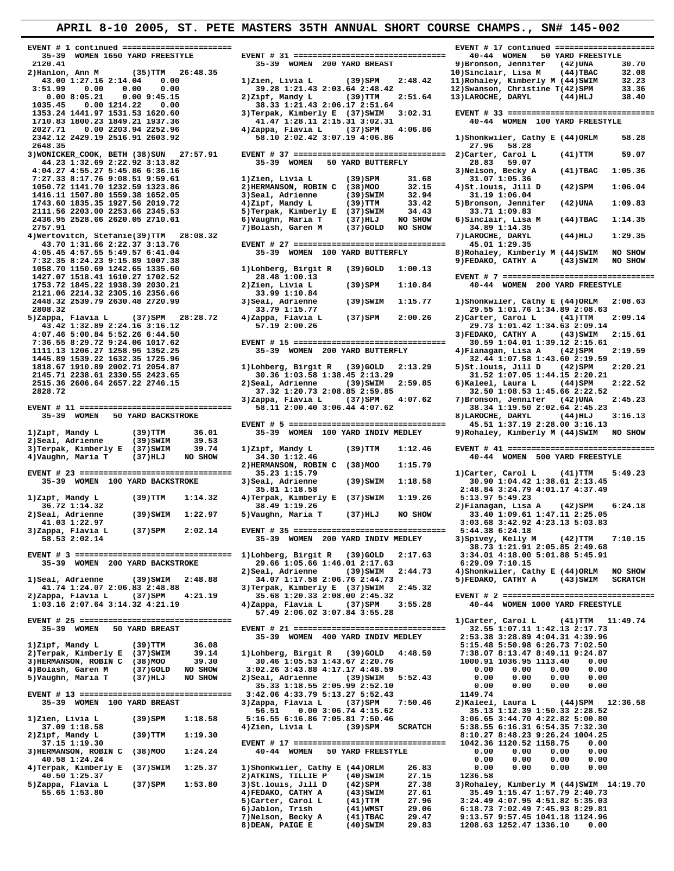**EVENT # 1 continued ======================= EVENT # 17 continued ====================== 35-39 WOMEN 1650 YARD FREESTYLE EVENT # 31 ================================ 40-44 WOMEN 50 YARD FREESTYLE 7:27.33 8:17.76 9:08.51 9:59.61** 1)Zien, Livia L (39)SPM 31.68<br>1050.72 1141.70 1232.59 1323.86 2)HERMANSON, ROBIN C (38)MOO 32.15 **1416.11 1507.80 1559.38 1652.05<br>1743.60 1835.35 1927.56 2019.72 1058.70 1150.69 1242.65 1335.60 1)Lohberg, Birgit R (39)GOLD 1:00.13 2121.06 2214.32 2305.16 2356.66 33.99 1:10.84 1818.67 1910.89 2002.71 2054.87** 1)Lohberg, Birgit R (39)GOLD 2:13.29<br>2145.71 2238.61 2330.55 2423.65 30.36 1:03.58 1:38.45 2:13.29  **EVENT # 11 ================================ 58.11 2:00.40 3:06.44 4:07.62 38.34 1:19.50 2:02.64 2:45.23** 35-39 WOMEN 100 YARD BACKSTROKE 3) Seal, Adrienne **35-39** 2)Seal, Adrienne (39)SWIM 1:22.97 5)Vaughn, Maria T (37)HLJ NO SHOW 41.03 1:22.97

 **2120.41 35-39 WOMEN 200 YARD BREAST 9)Bronson, Jennifer (42)UNA 30.70 2)Hanlon, Ann M (35)TTM 26:48.35 10)Sinclair, Lisa M (44)TBAC 32.08 43.00 1:27.16 2:14.04 0.00 1)Zien, Livia L (39)SPM 2:48.42 11)Rohaley, Kimberly M (44)SWIM 32.23 3:51.99 0.00 0.00 0.00 39.28 1:21.43 2:03.64 2:48.42 12)Swanson, Christine T(42)SPM 33.36 0.00 8:05.21 0.00 9:45.15 2)Zipf, Mandy L (39)TTM 2:51.64 13)LAROCHE, DARYL (44)HLJ 38.40** 43.00 1:27.16 2:14.04 0.00<br>
351.99 0.00 0.00 0.00 0.00<br>
39.28 1:21.43 2:03.64 2:48.42<br>
8.00 8:05.21 0.00 9:45.15<br>
1035.45 0.00 1214.22 0.00 38.33 1:21.43 2:06.17 2:51.64<br>
1353.24 1441.97 1531.53 1620.60 38.33 1:21.43 2:06.  **1353.24 1441.97 1531.53 1620.60 3)Terpak, Kimberly E (37)SWIM 3:02.31 EVENT # 33 ================================** 1710.83 1800.23 1849.21 1937.36 **41.47 1:28.11 2:15.31 3:02.31** 40-44 WOMEN 100 YARD FREESTYLE <br>2027.71 0.00 2203.94 2252.96 4)Zappa, Flavia L (37)SPM 4:06.86  **2027.71 0.00 2203.94 2252.96 4)Zappa, Flavia L (37)SPM 4:06.86 2342.12 2429.19 2516.91 2603.92 58.10 2:02.42 3:07.19 4:06.86 1)Shonkwiler, Cathy E (44)ORLM 58.28 2648.35 27.96 58.28 3)WONICKER\_COOK, BETH (38)SUN 27:57.91 EVENT # 37 ================================ 2)Carter, Carol L (41)TTM 59.07 44.23 1:32.69 2:22.92 3:13.82 35-39 WOMEN 50 YARD BUTTERFLY 28.83 59.07 41)** 4:05.36 4:02.27 4:05.36 4:02.27 5:04.47 5:05.36 4:02.27 5:04.47 5:05.36 5:05.27 5:05.36 **2)HERMANSON, ROBIN C (38)MOO 32.15 4)St.louis, Jill D (42)SPM 1:06.04**<br>3)Seal, Adrienne (39)SWIM 32.94 31.19 1:06.04<br>4)Zipf, Mandy L (39)TTM 33.42 5)Bronson, Jennifer (42)UNA 1:09.83  **1743.60 1835.35 1927.56 2019.72 4)Zipf, Mandy L (39)TTM 33.42 5)Bronson, Jennifer (42)UNA 1:09.83 2111.56 2203.00 2253.66 2345.53 5)Terpak, Kimberly E (37)SWIM 34.43 33.71 1:09.83 2436.95 2528.66 2620.05 2710.61 6)Vaughn, Maria T (37)HLJ NO SHOW 6)Sinclair, Lisa M (44)TBAC 1:14.35 2757.91 7)Bolash, Garen M (37)GOLD NO SHOW 34.89 1:14.35 4)Wertovitch, Stefanie(39)TTM 28:08.32 7)LAROCHE, DARYL (44)HLJ 1:29.35 43.70 1:31.66 2:22.37 3:13.76 EVENT # 27 ================================ 45.01 1:29.35 4:05.45 4:57.55 5:49.57 6:41.04 35-39 WOMEN 100 YARD BUTTERFLY 8)Rohaley, Kimberly M (44)SWIM NO SHOW 7:32.35 8:24.23 9:15.89 1007.38 9)FEDAKO, CATHY A (43)SWIM NO SHOW 1427.07 1518.41 1610.27 1702.52 28.48 1:00.13 EVENT # 7 ================================= Zien, Livia L** (39)SPM 1:10.84 40-44 WOMEN 200 YARD FREESTYLE 33.99 1:10.84  **2448.32 2539.79 2630.48 2720.99 3)Seal, Adrienne (39)SWIM 1:15.77 1)Shonkwiler, Cathy E (44)ORLM 2:08.63 2808.32 33.79 1:15.77 29.55 1:01.76 1:34.89 2:08.63 5)Zappa, Flavia L (37)SPM 28:28.72 4)Zappa, Flavia L (37)SPM 2:00.26 2)Carter, Carol L (41)TTM 2:09.14** 43.42 1:32.89 2:24.16 3:16.12 57.19 2:00.26 **12.132.89 2:24.16 3:16.12** 57.19 2:00.26 **20.73 1:01.42 1:34.63 2:09.14** 2:15.61 **29.73** 1:01.42 1:34.63 2:09.14 **2:15.61** 2:07.46 5:00.84 5:52.26 6:44.50 **2:09.14** 2:15.61 **2:1 4:07.46 5:00.84 5:52.26 6:44.50 3)FEDAKO, CATHY A (43)SWIM 2:15.61 7:36.55 8:29.72 9:24.06 1017.62 EVENT # 15 ================================ 30.59 1:04.01 1:39.12 2:15.61 1111.13 1206.27 1258.95 1352.25 35-39 WOMEN 200 YARD BUTTERFLY 4)Flanagan, Lisa A (42)SPM 2:19.59** 1445.89 1539.22 1632.35 1725.96<br>
1818.67 1910.89 2002.71 2054.87 1)Lohberg, Birgit R (39)GOLD 2:13.29 5)St.louis, Jill D (42)SPM 2:20.21<br>
2145.71 2238.61 2330.55 2423.65 30.36 1:03.58 1:38.45 2:13.29 31.52 1:07.05 1:44.15 **21.52 1:03.58 1:38.45 2:13.29**<br>**21.52 1:07.05 1:44.15 2:20.21**<br>**21.52 1:07.05 1:44.15 2:20.21**<br>**6)** Kaleel, Laura L (44)SPM 2:22.52  **2515.36 2606.64 2657.22 2746.15 2)Seal, Adrienne (39)SWIM 2:59.85 6)Kaleel, Laura L (44)SPM 2:22.52 282.50 1:08.53 1:45.66 2:22.52 32.50 1:08.53 1:45.66 2:22.52 <br>
<b>EXECUTE:** (42)UNA 2:45.23<br> **28.11 2:00.40 3:06.44 4:07.62** 7)Bronson, Jennifer (42)UNA 2:45.23<br> **38.34 1:19.50 2:02.64 2:45.23 3)Zappa, Flavia L** (37)SPM  $4:07.62$ <br>58.11 2:00.40 3:06.44  $4:07.62$  **EVENT # 5 ================================= 45.51 1:37.19 2:28.00 3:16.13** 2)Seal, Adrienne (39)SWIM 39.53<br>3)Terpak, Kimberly E (37)SWIM 39.74 1)Zipf, Mandy L (39)TTM 1:12.46 EVENT #41 ===============================<br>4)Vaughn, Maria T (37)HLJ NOSHOW 34.301:12.46  **2)HERMANSON, ROBIN C (38)MOO 1:15.79 EVENT # 23 ================================ 35.23 1:15.79 1)Carter, Carol L (41)TTM 5:49.23** 35.81 1:18.58 2:48.84 3:24.79 4:01.17 4:37.49<br>1)Zipf, Mandy L (39)TTM 1:14.32 4)Terpak, Kimberly E (37)SWIM 1:19.26 5:13.97 5:49.23 **1ipf, Mandy L (39)TTM 1:14.32 4)Terpak, Kimberly E (37)SWIM 1:19.26**<br>36.72 1:14.32 58.49 1:19.26  **36.72 1:14.32 38.49 1:19.26 2)Flanagan, Lisa A (42)SPM 6:24.18 41.03 1:22.97 3:03.68 3:42.92 4:23.13 5:03.83 3)Zappa, Flavia L (37)SPM 2:02.14 EVENT # 35 ================================ 5:44.38 6:24.18 58.53 2:02.14 35-39 WOMEN 200 YARD INDIV MEDLEY 3)Spivey, Kelly M (42)TTM 7:10.15 38.73 1:21.91 2:05.85 2:49.68 EVENT # 3 ================================= 1)Lohberg, Birgit R (39)GOLD 2:17.63 3:34.01 4:18.00 5:01.88 5:45.91 39.66 1:05.66 1:46.01 2:17.63<br>2) Seal, Adrienne** (39) SWIM 2:44.73 2)Seal, Adrienne (39)SWIM 2:44.73 4)Shonkwiler, Cathy E (44)ORLM NO SHOW<br>34.07 1:17.58 2:06.76 2:44.73 5)FEDAKO, CATHY A (43)SWIM SCRATCH  **41.74 1:24.07 2:06.83 2:48.88 3)Terpak, Kimberly E (37)SWIM 2:45.32 2)Zappa, Flavia L (37)SPM 4:21.19 35.68 1:20.33 2:08.00 2:45.32 EVENT # 2 ================================= 1:03.16 2:07.64 3:14.32 4:21.19 4)Zappa, Flavia L (37)SPM 3:55.28 40-44 WOMEN 1000 YARD FREESTYLE 57.49 2:06.02 3:07.84 3:55.28 EVENT # 25 ================================ 1)Carter, Carol L (41)TTM 11:49.74 35-39 WOMEN 50 YARD BREAST EVENT # 21 ================================ 32.55 1:07.11 1:42.13 2:17.73 35-39 WOMEN 400 YARD INDIV MEDLEY 2:53.38 3:28.89 4:04.31 4:39.96 1)Zipf, Mandy L (39)TTM 36.08 5:15.48 5:50.98 6:26.73 7:02.50 2)Terpak, Kimberly E (37)SWIM 39.14 1)Lohberg, Birgit R (39)GOLD 4:48.59 7:38.07 8:13.47 8:49.11 9:24.87 3)HERMANSON, ROBIN C (38)MOO 39.30 30.46 1:05.53 1:43.67 2:20.76 1000.91 1036.95 1113.40 0.00 3)HERMANSON, ROBIN C (38)MOO** 39.30 30.46 1:05.53 1:43.67 2:20.76 1000.91 1036.95 1113.40 0.00<br>
4)Bolash, Garen M (37)GOLD NO SHOW 3:02.26 3:43.88 4:17.17 4:48.59 0.00 0.00 0.00 0.00<br>
5)Vaughn, Maria T (37)HLJ NO SHOW 3:5  **5)Vaughn, Maria T (37)HLJ NO SHOW 2)Seal, Adrienne (39)SWIM 5:52.43 0.00 0.00 0.00 0.00 35.33 1:18.55 2:05.99 2:52.10 0.00 0.00 0.00 0.00 EVENT # 13 ================================ 3:42.06 4:33.79 5:13.27 5:52.43 1149.74 35-39 WOMEN 100 YARD BREAST 3)Zappa, Flavia L (37)SPM 7:50.46 2)Kaleel, Laura L (44)SPM 12:36.58 56.51 0.00 3:06.74 4:15.62 35.13 1:12.39 1:50.33 2:28.52 1)Zien, Livia L (39)SPM 1:18.58 5:16.55 6:16.86 7:05.81 7:50.46 3:06.65 3:44.70 4:22.82 5:00.80** 37.09 1:18.58 **4)Zien, Livia L** (39)SPM SCRATCH **5:37.09 1:18.58** 4)Zien, Livia L (39)SPM SCRATCH  **2)Zipf, Mandy L (39)TTM 1:19.30 8:10.27 8:48.23 9:26.24 1004.25 37.15 1:19.30 EVENT # 17 ================================ 1042.36 1120.52 1158.75 0.00 3)HERMANSON, ROBIN C** (38)MOO 1:24.24 40-44 WOMEN 50 YARD FREESTYLE 0.00 0.00 0.00 0.00 0.00<br>40.58 1:24.24 0.00 0.00 0.00 0.00<br>4)Terpak, Kimberly E (37)SWIM 1:25.37 1)Shonkwiler, Cathy E (44)ORLM 26.83 0.00 0.00 0.00 0.00  **40.58 1:24.24 0.00 0.00 0.00 0.00 4)Terpak, Kimberly E (37)SWIM 1:25.37 1)Shonkwiler, Cathy E (44)ORLM 26.83 0.00 0.00 0.00 0.00 40.50 1:25.37 2)ATKINS, TILLIE P (40)SWIM 27.15 1236.58 5)Zappa, Flavia L (37)SPM 1:53.80 3)St.louis, Jill D (42)SPM 27.38 3)Rohaley, Kimberly M (44)SWIM 14:19.70** 55.65 1:53.80 (2000)<br>55.65 1:53.80 (4)FEDAKO, CATHY A (43)SWIM 27.61 35.49 1:15.47 1:57.79 2:40.73<br>5)Carter, Carol 1 (41)TMM 27.96 3:24.49 4:07.95 4:51.82 5:35.03<br>6)Jablon, Frish (41)TMMST 29.06 6:18.73 7:02.49 1:07.95 4:5

8)LAROCHE, DARYL (44)HLJ 3:16.13<br>45.51 1:37.19 2:28.00 3:16.13 **9)Rohaley, Kimberly M (44)SWIM NO SHOW**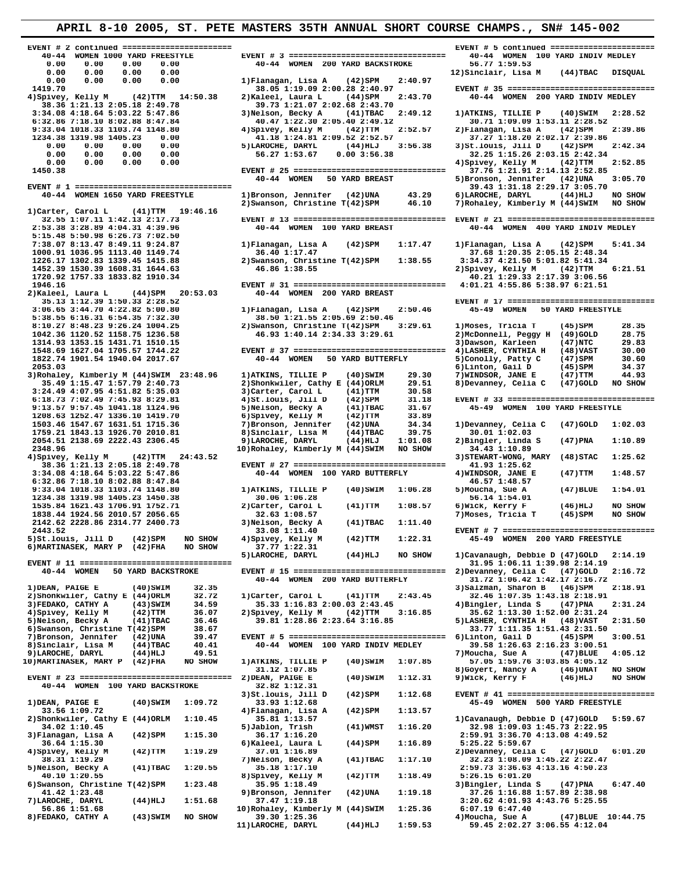**EVENT # 1 ================================= 39.43 1:31.18 2:29.17 3:05.70** 1)Carter, Carol L (41)TTM 19:46.16<br>32.55 1:07.11 1:42.13 2:17.73  **2)Kaleel, Laura L (44)SPM 20:53.03 40-44 WOMEN 200 YARD BREAST 3)Rohaley, Kimberly M (44)SWIM 23:48.96 1)ATKINS, TILLIE P (40)SWIM 29.30** 35.49 1:15.47 1:57.79 2:40.73 2)Shonkwiler, Cathy E (44)ORLM 29.51 35.49 1:15.47 1:57.79 2:40.73<br>
3:24.49 4:07.95 4:51.82 5:35.03<br>
6:18.73 7:02.49 7:45.93 8:29.81<br>
4)St.louis, Jill D (42)SPM 31.18 **EXECUTE: 1999.528**<br> **6)MARTINASEK, MARY P** (42)FHA NO SHOW 37.77 1:22.31<br> **6)MARTINASEK, MARY P** (42)FHA NO SHOW 37.77 1:22.31  **40-44 WOMEN 100 YARD BACKSTROKE 32.82 1:12.31 36.64 1:15.30** 6)Kaleel, Laura L<br> **4)Spivey, Kelly M** (42)TTM 1:19.29 37.01 1:16.89

 **EVENT # 2 continued ======================= EVENT # 5 continued ======================= 40-44 WOMEN 1000 YARD FREESTYLE EVENT # 3 ================================= 40-44 WOMEN 100 YARD INDIV MEDLEY 0.00 0.00 0.00 0.00 40-44 WOMEN 200 YARD BACKSTROKE 56.77 1:59.53 0.00 0.00 0.00 0.00 12)Sinclair, Lisa M (44)TBAC DISQUAL 0.00 0.00 0.00 0.00 1)Flanagan, Lisa A (42)SPM 2:40.97 38.36 1:21.13 2:05.18 2:49.78 39.73 1:21.07 2:02.68 2:43.70 3:34.08 4:18.64 5:03.22 5:47.86 3)Nelson, Becky A (41)TBAC 2:49.12 1)ATKINS, TILLIE P (40)SWIM 2:28.52 6:32.86 7:18.10 8:02.88 8:47.84** 40.47 1:22.30 2:05.40 2:49.12 30.71 1:09.09 1:53.11 2:28.52<br> **40.47 1:22.30 2:05.40 2:49.12** 30.71 1:09.09 1:53.11 2:28.52<br> **40.47 1:22.30 2:05.40 2:49.12** 30.71 1:09.09 1:53.11 2:28.52<br> 9:33.04 1018.33 1103.74 1148.80 4)Spivey, Kelly M (42)TTM 2:52.57 2)Flanagan, Lisa A (42)SPM 2:39.86<br>1234.38 1319.98 1405.23 0.00 41.18 1:24.81 2:09.52 2:52.57 37.27 1:18.20 2:02.17 2:39.86<br>0.00 0.00 0.00 0.00 0.00 5)LAROC **5)LAROCHE, DARYL** (44)HLJ 3:56.38 3)St.louis, Jill D (42)SPM 2:42.34<br>56.27 1:53.67 0.00 3:56.38 32.25 1:15.26 2:03.15 2:42.34<br>4)Spivey, Kelly M (42)TTM 2:52.85  **0.00 0.00 0.00 0.00 4)Spivey, Kelly M (42)TTM 2:52.85 1450.38 EVENT # 25 ================================ 37.76 1:21.91 2:14.13 2:52.85 40-44 WOMEN 1650 YARD FREESTYLE 1)Bronson, Jennifer (42)UNA 43.29 6)LAROCHE, DARYL (44)HLJ NO SHOW 2)Swanson, Christine T(42)SPM 46.10 7)Rohaley, Kimberly M (44)SWIM NO SHOW 32.55 1:07.11 1:42.13 2:17.73 EVENT # 13 ================================ EVENT # 21 ================================ 2:53.38 3:28.89 4:04.31 4:39.96 40-44 WOMEN 100 YARD BREAST 40-44 WOMEN 400 YARD INDIV MEDLEY 5:15.48 5:50.98 6:26.73 7:02.50 7:38.07 8:13.47 8:49.11 9:24.87 1)Flanagan, Lisa A (42)SPM 1:17.47 1)Flanagan, Lisa A (42)SPM 5:41.34 1000.91 1036.95 1113.40 1149.74 36.40 1:17.47 37.68 1:20.35 2:05.15 2:48.34 1226.17 1302.83 1339.45 1415.88** 2)Swanson, Christine T(42)SPM 1:38.55<br>1452.39 1530.39 1608.31 1644.63 46.86 1:38.55  **1452.39 1530.39 1608.31 1644.63 46.86 1:38.55 2)Spivey, Kelly M (42)TTM 6:21.51 1720.92 1757.33 1833.82 1910.34 40.21 1:29.33 2:17.39 3:06.56 1946.16 EVENT # 31 ================================ 4:01.21 4:55.86 5:38.97 6:21.51 35.13 1:12.39 1:50.33 2:28.52 EVENT # 17 ================================ 3:06.65 3:44.70 4:22.82 5:00.80 1)Flanagan, Lisa A (42)SPM 2:50.46 45-49 WOMEN 50 YARD FREESTYLE 5:38.55 6:16.31 6:54.35 7:32.30 38.50 1:21.55 2:05.69 2:50.46 8:10.27 8:48.23 9:26.24 1004.25 2)Swanson, Christine T(42)SPM 3:29.61 1)Moses, Tricia T (45)SPM 28.35 1042.36 1120.52 1158.75 1236.58 46.93 1:40.14 2:34.33 3:29.61 2)McDonnell, Peggy H (49)GOLD 28.75 1314.93 1353.15 1431.71 1510.15 3)Dawson, Karleen (47)NTC 29.83 1548.69 1627.04 1705.57 1744.22 EVENT # 37 ================================ 4)LASHER, CYNTHIA H (48)VAST 30.00** 1822.74 1901.54 1940.04 2017.67 **40-44 WOMEN 50 YARD BUTTERFLY** 5)Conolly, Patty C (47)SPM 30.60<br>2053.03 6)Linton, Gail D (45)SPM 34.37<br>34.37 9)Rohaley, Kimberly M (44)SWIM 23:48.96 1)ATKINS, TILLIE P (40)SWIM 29.30 7)WIND  **2053.03 6)Linton, Gail D (45)SPM 34.37** 1.15.49 1:15.47 1:57.79 2:40.73 2)Shonkwiler, Cathy E (44)ORLM 29.51 8)Devanney, Celia C (47)GOLD NO SHOW<br>3:24.49 4:07.95 4:51.82 5:35.03 3)Carter, Carol L (41)TTM 30.58  **6:18.73 7:02.49 7:45.93 8:29.81 4)St.louis, Jill D (42)SPM 31.18 EVENT # 33 ================================ 9:13.57 9:57.45 1041.18 1124.96 5)Nelson, Becky A (41)TBAC 31.67 45-49 WOMEN 100 YARD FREESTYLE 1208.63 1252.47 1336.10 1419.70 6)Spivey, Kelly M (42)TTM 33.89 1503.46 1547.67 1631.51 1715.36 7)Bronson, Jennifer (42)UNA 34.34 1)Devanney, Celia C (47)GOLD 1:02.03 1759.21 1843.13 1926.70 2010.81 8)Sinclair, Lisa M (44)TBAC 39.75 30.01 1:02.03 2054.51 2138.69 2222.43 2306.45 9)LAROCHE, DARYL (44)HLJ 1:01.08 2)Bingler, Linda S (47)PNA 1:10.89 2348.96 10)Rohaley, Kimberly M (44)SWIM NO SHOW 34.43 1:10.89 4)Spivey, Kelly M (42)TTM 24:43.52 3)STEWART-WONG, MARY (48)STAC 1:25.62 38.36 1:21.13 2:05.18 2:49.78 EVENT # 27 ================================ 41.93 1:25.62 3:34.08 4:18.64 5:03.22 5:47.86 40-44 WOMEN 100 YARD BUTTERFLY 4)WINDSOR, JANE E (47)TTM 1:48.57 6:32.86 7:18.10 8:02.88 8:47.84 46.57 1:48.57 9:33.04 1018.33 1103.74 1148.80 1)ATKINS, TILLIE P (40)SWIM 1:06.28 5)Moucha, Sue A (47)BLUE 1:54.01** 1234.38 1319.98 1405.23 1450.38 **30.06 1:06.28** 56.14 1:54.01<br>1535.84 1621.43 1706.91 1752.71 2)Carter, Carol L (41)TTM 1:08.57 6)Wick, Kerry F<br>1838.44 1924.56 2010.57 2056.65 32.63 1:08.57 30.63 7)Moses, Tricia  **1535.84 1621.43 1706.91 1752.71 2)Carter, Carol L (41)TTM 1:08.57 6)Wick, Kerry F (46)HLJ NO SHOW 1838.44 1924.56 2010.57 2056.65 32.63 1:08.57 7)Moses, Tricia T (45)SPM NO SHOW 2142.62 2228.86 2314.77 2400.73 3)Nelson, Becky A (41)TBAC 1:11.40 EVENT # 11 ================================ 31.95 1:06.11 1:39.98 2:14.19 EVENT # 15 =============================== 2)Devanney, Celia C (47)GOLD 40-44 WOMEN 200 YARD BUTTERFLY 31.72 1:06.42 1:42.17 2:16.72** 1)DEAN, PAIGE E (40)SWIM 32.35 40-44 WOMEN 200 YARD BUTTERFLY 31.72 1:06.42 1:42.17 2:16.72<br>3)Salzman, Sharon B (46)SPM 2:18.91  **1)DEAN, PAIGE E (40)SWIM 32.35 3)Salzman, Sharon B (46)SPM 2:18.91 2)Shonkwiler, Cathy E (44)ORLM 32.72 1)Carter, Carol L (41)TTM 2:43.45 32.46 1:07.35 1:43.18 2:18.91 3)FEDAKO, CATHY A (43)SWIM 34.59 35.33 1:16.83 2:00.03 2:43.45 4)Bingler, Linda S (47)PNA 2:31.24 4)Spivey, Kelly M (42)TTM 36.07 2)Spivey, Kelly M (42)TTM 3:16.85 35.62 1:13.30 1:52.00 2:31.24 5)Nelson, Becky A (41)TBAC 36.46 39.81 1:28.86 2:23.64 3:16.85 5)LASHER, CYNTHIA H (48)VAST 2:31.50 6)Swanson, Christine T(42)SPM 38.67 33.77 1:11.35 1:51.43 2:31.50 7)Bronson, Jennifer (42)UNA 39.47 EVENT # 5 ================================= 6)Linton, Gail D (45)SPM 3:00.51 9)LAROCHE, DARYL (44)HLJ 49.51 7)Moucha, Sue A (47)BLUE 4:05.12 10)MARTINASEK, MARY P (42)FHA NO SHOW 1)ATKINS, TILLIE P (40)SWIM 1:07.85 57.05 1:59.76 3:03.85 4:05.12 31.12 1:07.85 8)Goyert, Nancy A (46)UNAT NO SHOW EVENT # 23 ================================ 2)DEAN, PAIGE E (40)SWIM 1:12.31 9)Wick, Kerry F (46)HLJ NO SHOW 3)St.louis, Jill D (42)SPM 1:12.68 EVENT # 41 ================================ EAN, PAIGE E** (40)SWIM 1:09.72 33.93 1:12.68 45-49 WOMEN 500 YARD FREESTYLE 4) Planagan, Lisa A (42)SPM 1:13.57  **33.56 1:09.72 4)Flanagan, Lisa A (42)SPM 1:13.57 2)Shonkwiler, Cathy E (44)ORLM 1:10.45 35.81 1:13.57 1)Cavanaugh, Debbie D (47)GOLD 5:59.67 34.02 1:10.45 5)Jablon, Trish (41)WMST 1:16.20 32.98 1:09.03 1:45.73 2:22.95 2)Shonkwiler, Cathy E** (44)ORLM 1:10.45<br>
3)Flandpoint 1:16.20 1:10.45<br>
3)Flangan, Lisa A (42)SPM 1:15.30 1:15.30 1:45.70 1:16.20 32.98 1:09.03 1:45.73 2:22.95<br>
3)Flangan, Lisa A (42)SPM 1:15.30 1:59.70 4:13.08 4:49.52<br>
36 **Example 1:19.29** 37.01 1:16.89<br>38.31 1:19.29 1:15.22 2:22.47<br>38.31 1:19.29 1:45.22 2:22.47<br>32.23 1:08.09 1:45.22 2:22.47 **38.31 1:19.29** 7)Nelson, Becky A (41)TBAC 1:17.10 32.23 1:08.09 1:45.22 2:22.47<br>5)Nelson, Becky A (41)TBAC 1:20.55 35.18 1:17.10 2:59.73 3:36.63 4:13.16 4:50.23<br>8)Spivey, Kelly M (42)TTM 1:18.49 5:26.15 6:01.20 **35.18 1:17.10** 2:59.73 3:36.63 4:13.16 4:50.23<br>8)Spivey, Kelly M (42)TTM 1:18.49 5:26.15 6:01.20 **Example 1:18.49** 5:26.15 6:01.20<br>35.95 1:18.49 3)Bingler, Linda S (47)PNA  **6)Swanson, Christine T(42)SPM 1:23.48 35.95 1:18.49 3)Bingler, Linda S (47)PNA 6:47.40 41.42 1:23.48** 9)Bronson, Jennifer (42)UNA 1:19.18<br>7)LAROCHE, DARYL (44)HLJ 1:51.68 37.47 1:19.18 **AROCHE, DARYL (44)HLJ** 1:51.68 37.47 1:19.18 3:20.62 4:01.93 4:43.76 5:25.55<br>56.86 1:51.68 10)Rohaley, Kimberly M (44)SWIM 1:25.36 6:07.19 6:47.40 **10)Rohaley, Kimberly M (44)SWIM 1:25.36**<br>39.30 1:25.36 **EXECUTE:**<br> **39.30 1:25.36 4)Moucha, Sue A (47)BLUE 10:44.75**<br> **39.30 1:25.36 4)Moucha, Sue A (47)BLUE 10:44.75**<br> **11)LAROCHE, DARYL** (44)HLJ 1:59.53 59.45 2:02.27 3:06.55 4:12.04

 **1419.70 38.05 1:19.09 2:00.28 2:40.97 EVENT # 35 ================================ 4)Spivey, Kelly M (42)TTM 14:50.38 2)Kaleel, Laura L (44)SPM 2:43.70 40-44 WOMEN 200 YARD INDIV MEDLEY 5)Bronson, Jennifer (42)UNA 3:05.70<br>39.43 1:31.18 2:29.17 3:05.70 2443.52 33.08 1:11.40 EVENT # 7 ================================= 5)St.louis, Jill D (42)SPM NO SHOW 4)Spivey, Kelly M (42)TTM 1:22.31 45-49 WOMEN 200 YARD FREESTYLE**  (44)HLJ NO SHOW 1)Cavanaugh, Debbie D (47)GOLD 2:14.19<br>31.95 1:06.11 1:39.98 2:14.19  **80-44 WOMEN 100 YARD INDIV MEDLEY** 39.58 1:26.63 2:16.23 3:00.51<br>7) Moucha, Sue A (47) BLUE 4:05.12 **4)**Moucha, Sue A (47)BLUE 1:59.45 2:02.27 3:06.55 4:12.04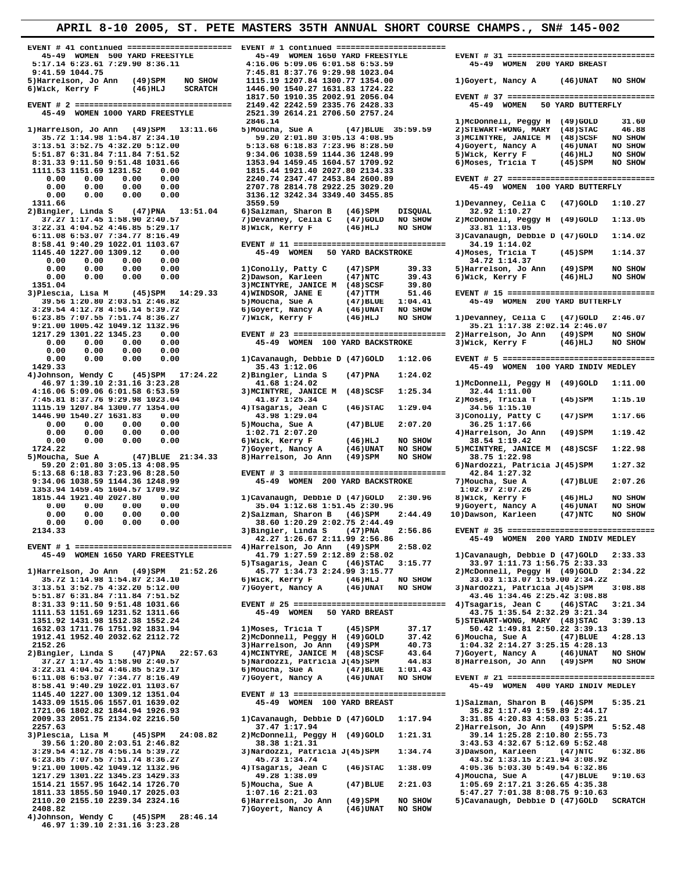**EVENT # 41 continued ====================== EVENT # 1 continued =======================**  1351.04 **1351.04** 39.33<br> **1351.04** 3)Dawson, Karleen Barrow 3)Dawson, Karleen (47)NTC 39.43<br>
3)Plescia, Lisa M (45)SPM 14:29.33 4)WINDSOR, JANE E (47)TTM 51.46 **45)SPM** 17:24.22 2)Bingler, Linda S<br>16 3:23.28 **41.68** 1:24.02 **1446.90 1540.27 1631.83 0.00**<br>
0.00 0.00 0.00 0.00 0.00 5)Moucha, Sue A<br>
0.00 0.00 0.00 0.00 0.00 1:02.71 2:07.20<br>
0.00 0.00 0.00 0.00 6)Wick, Kerry F  **0.00 0.00 0.00 0.00 38.60 1:20.29 2:02.75 2:44.49 1111.53 1151.69 1231.52 1311.66 45-49 WOMEN 50 YARD BREAST**<br>1351.92 1431.98 1512.38 1552.24 2152.26 3)Harrelson, Jo Ann (49)SPM 40.73<br>2)Bingler, Linda S (47)PNA 22:57.63 4)MCINTYRE, JANICE M (48)SCSF 43.64  **2110.20 2155.10 2239.34 2324.16 6)Harrelson, Jo Ann (49)SPM NO SHOW 5)Cavanaugh, Debbie D (47)GOLD SCRATCH 2408.82 7)Goyert, Nancy A (46)UNAT NO SHOW 4)Johnson, Wendy C (45)SPM 28:46.14 46.97 1:39.10 2:31.16 3:23.28** 

 **1)Harrelson, Jo Ann (49)SPM 13:11.66 5)Moucha, Sue A (47)BLUE 35:59.59 2)STEWART-WONG, MARY (48)STAC 46.88 35.72 1:14.98 1:54.87 2:34.10 59.20 2:01.80 3:05.13 4:08.95 3)MCINTYRE, JANICE M (48)SCSF NO SHOW Extra 3:13.51 3:52.75 4:32.20 5:12.00** 5:33.36 6:18.83 7:23.96 8:28.50 5:03.13.41 6:31.84 7:11.84 7:51.52 5:34.10 59.20 2:01.80 3:05.13 4:08.95 3)MCINTYRE, JANICE M (48)SCSF NO SHOW<br>3:13.51 3:52.75 4:32.20 5:12.00 5:13.68  **5:51.87 6:31.84 7:11.84 7:51.52 9:34.06 1038.59 1144.36 1248.99 5)Wick, Kerry F (46)HLJ NO SHOW 81.66** 1353.94 1459.45 1604.57 1709.92<br>0.00 1815.44 1921.40 2027.80 2134.33  **1111.53 1151.69 1231.52 0.00 1815.44 1921.40 2027.80 2134.33 0.00 0.00 0.00 0.00 2707.78 2814.78 2922.25 3029.20 45-49 WOMEN 100 YARD BUTTERFLY 0.00 0.00 0.00 0.00 3136.12 3242.34 3349.40 3455.85 1311.66** 3559.59 1)Devanney, Celia C (47)GOLD 1:10.27<br>1918.191er, Linda S (47)PNA 13:51.04 6)Salzman, Sharon B (46)SPM DISQUAL 32.92.1:10.27<br>27.27.1:17.45.1:59.99.249.57 2)Devanney Celia C (47)GOLD NO.590W 2)MeDepoil Dece 2)Bingler, Linda S (47)PNA 13:51.04 6)Salzman, Sharon B (46)SPM DISQUAL 32.92 1:10.27<br>37.27 1:17.45 1:58.90 2:40.57 7)Devanney, Celia C (47)GOLD NO SHOW 2)McDonnell, Peggy H (49)GOLD 1:13.05<br>3:22.31 4:04.52 4:46.85 5:29.17  **6:11.08 6:53.07 7:34.77 8:16.49 3)Cavanaugh, Debbie D (47)GOLD 1:14.02 8:58.41 9:40.29 1022.01 1103.67 EVENT # 11 ================================ 34.19 1:14.02 0.00 0.00 0.00 0.00 34.72 1:14.37 0.00 0.00 0.00 0.00 1)Conolly, Patty C (47)SPM 39.33 5)Harrelson, Jo Ann (49)SPM NO SHOW 0.00 0.00 0.00 0.00 2)Dawson, Karleen (47)NTC 39.43 6)Wick, Kerry F (46)HLJ NO SHOW 5) Moucha, Sue A (47) BLUE 1:04.41 45-49 WOMEN 200 YARD BUTTERFLY**<br>6) Govert, Nancy A (46) UNAT NO SHOW 311 6 (47) 200 - 11 6 (47) 200 - 21  **3:29.54 4:12.78 4:56.14 5:39.72 6)Goyert, Nancy A (46)UNAT NO SHOW 6:23.85 7:07.55 7:51.74 8:36.27 7)Wick, Kerry F (46)HLJ NO SHOW 1)Devanney, Celia C (47)GOLD 2:46.07 9:21.00 1005.42 1049.12 1132.96 35.21 1:17.38 2:02.14 2:46.07 1217.29 1301.22 1345.23 0.00 EVENT # 23 ================================ 2)Harrelson, Jo Ann (49)SPM NO SHOW 0.00 0.00 0.00 0.00 45-49 WOMEN 100 YARD BACKSTROKE 3)Wick, Kerry F (46)HLJ NO SHOW 0.00 0.00 0.00 0.00 1429.33 35.43 1:12.06 45-49 WOMEN 100 YARD INDIV MEDLEY 46.97 1:39.10 2:31.16 3:23.28 41.68 1:24.02 1)McDonnell, Peggy H (49)GOLD 1:11.00 3)MCINTYRE, JANICE M** (48)SCSF 1:25.34 32.44 1:11.00<br>41.87 1:25.34 2)Moses, Tricia T  **7:45.81 8:37.76 9:29.98 1023.04 41.87 1:25.34 2)Moses, Tricia T (45)SPM 1:15.10** 1110.<br>**4115.19 1207.19 1208.00** 13.98 1:29.04<br>**43.98 1:29.04** 143.90 1:29.04 1.17.66<br> **143.90 1:29.04** 1.17.66<br>
5) Moucha, Sue A (47) BLUE 2:07.20 36.25 1:17.66 0.00 0.00 0.00 0.00 0.00 6) Wick, Kerry F (46) HLJ NO SHOW 38.54 1:19.42<br>7) Goyert, Nancy A (46) UNAT NO SHOW 5) MCINTYRE, JANICE M (48) SCSF 1:22.98<br>5) Moucha, Sue A (47) BLUE 21:34.33 8) Harrelson, Jo Ann (49) SPM NO SHO  **59.20 2:01.80 3:05.13 4:08.95 6)Nardozzi, Patricia J(45)SPM 1:27.32 5:13.68 6:18.83 7:23.96 8:28.50 EVENT # 3 ================================= 42.84 1:27.32 1353.94 1459.45 1604.57 1709.92 1:02.97 2:07.26 1815.44 1921.40 2027.80 0.00 1)Cavanaugh, Debbie D (47)GOLD 2:30.96 8)Wick, Kerry F (46)HLJ NO SHOW 0.00 0.00 0.00 0.00 35.04 1:12.68 1:51.45 2:30.96 9)Goyert, Nancy A (46)UNAT NO SHOW 0.00 0.00 0.00 0.00 2)Salzman, Sharon B (46)SPM 2:44.49 10)Dawson, Karleen (47)NTC NO SHOW 42.27 1:26.67 2:11.99 2:56.86 45-49 WOMEN 200 YARD INDIV MEDLEY EVENT # 1 ================================= 4)Harrelson, Jo Ann (49)SPM 2:58.02 45-49 WOMEN 1650 YARD FREESTYLE 41.79 1:27.59 2:12.89 2:58.02 1)Cavanaugh, Debbie D (47)GOLD 2:33.33** 5)Tsagaris, Jean C (46)STAC 3:15.77 33.97 1:11.73 1:56.75 2:33.33<br>299 1.11.73 1:56.75 2:33.33 4.22 1.52.26 45.77 1:34.73 2:24.99 3:15.77 2)McDonnell, Peggy H (49)GOLD 2:34.22  **35.72 1:14.98 1:54.87 2:34.10 6)Wick, Kerry F (46)HLJ NO SHOW 33.03 1:13.07 1:59.00 2:34.22 3:13.51 3:52.75 4:32.20 5:12.00 7)Goyert, Nancy A (46)UNAT NO SHOW 3)Nardozzi, Patricia J(45)SPM 3:08.88 5:51.87 6:31.84 7:11.84 7:51.52 43.46 1:34.46 2:25.42 3:08.88 8:31.33 9:11.50 9:51.48 1031.66 EVENT # 25 ================================ 4)Tsagaris, Jean C (46)STAC 3:21.34 1351.92 1431.98 1512.38 1552.24 5)STEWART-WONG, MARY (48)STAC 3:39.13 1632.03 1711.76 1751.92 1831.94 1)Moses, Tricia T (45)SPM 37.17 50.42 1:49.81 2:50.22 3:39.13** 1912.41 1952.40 2032.62 2112.72 2)McDonnell, Peggy H (49)GOLD 37.42 6)Moucha, Sue A (47)BLUE 4:28.13<br>2152.26 3)Harrelson, Jo Ann (49)SPM 40.73 1:04.32 2:14.27 3:25.15 4:28.13  **2)Bingler, Linda S (47)PNA 22:57.63 4)MCINTYRE, JANICE M (48)SCSF 43.64 7)Goyert, Nancy A (46)UNAT NO SHOW 37.27 1:17.45 1:58.90 2:40.57 5)Nardozzi, Patricia J(45)SPM 44.83 8)Harrelson, Jo Ann (49)SPM NO SHOW 8:58.41 9:40.29 1022.01 1103.67 45-49 WOMEN 400 YARD INDIV MEDLEY 1145.40 1227.00 1309.12 1351.04 EVENT # 13 ================================**  1433.09 1515.06 1557.01 1639.02 **45-49 WOMEN 100 YARD BREAST** 1)Salzman, Sharon B (46)SPM 5:35.21<br>1721.06 1802.82 1844.94 1926.93 35.82 1:17.49 1:59.89 2:44.17  **1721.06 1802.82 1844.94 1926.93 35.82 1:17.49 1:59.89 2:44.17 2009.33 2051.75 2134.02 2216.50 1)Cavanaugh, Debbie D (47)GOLD 1:17.94 3:31.85 4:20.83 4:58.03 5:35.21 2257.63 37.47 1:17.94 2)Harrelson, Jo Ann (49)SPM 5:52.48 2057.63**<br> **3)Plescia, Lisa M** (45)SPM 24:08.82 2)McDonnell, Peggy H (49)GOLD 1:21.31 39.14 1:25.28 2:10.80 2:55.73<br>
39.56 1:20.80 2:03.51 2:46.82 38.38 1:21.31 31 3:43.53 4:32.67 5:12.69 5:52.48  **39.56 1:20.80 2:03.51 2:46.82 38.38 1:21.31 3:43.53 4:32.67 5:12.69 5:52.48** 3:29.54 4:12.78 4:56.14 5:39.72 3)Nardozzi, Patricia J(45)SPM 1:34.74<br>6:23.85 7:07.55 7:51.74 8:36.27 45.73 1:34.74  **6:23.85 7:07.55 7:51.74 8:36.27 45.73 1:34.74 43.52 1:33.15 2:21.94 3:08.92 9:21.00 1005.42 1049.12 1132.96 4)Tsagaris, Jean C (46)STAC 1:38.09 4:05.36 5:03.30 5:49.54 6:32.86 1217.29 1301.22 1345.23 1429.33 49.28 1:38.09 4)Moucha, Sue A (47)BLUE 9:10.63 1514.21 1557.95 1642.14 1726.70 5)Moucha, Sue A (47)BLUE 2:21.03 1:05.69 2:17.21 3:26.65 4:35.38** 111.23 1557.95 1642.14 1726.70<br>1811.23 1557.95 1642.14 1726.70 5)Moucha, Sue A (47)BLUE 2:21.03 1:05.69 2:17.21 3:26.65 4:35.38<br>1811.33 1855.50 1940.17 2025.03 1:07.16 2:21.03 5:47.27 7:01.38 8:08.75 9:10.63<br>2110.20 2155.1

 **45-49 WOMEN 500 YARD FREESTYLE 45-49 WOMEN 1650 YARD FREESTYLE EVENT # 31 ================================** 5:17.14 6:23.61 7:29.90 8:36.11 4:16.06 5:09.06 6:01.58 6:53.59 45-49 WOMEN 200 YARD BREAST<br>9:41.59 1044.75 1044.75 10404.75 1041.59 1044.75 1041.59 1044.75 105 2521.39 81023.04<br>5)Harrelson, Jo Ann (49)SPM NO SHOW 115.19 1  **0.00 0.00 0.00 0.00 2240.74 2347.47 2453.84 2600.89 EVENT # 27 ================================** 45-49 WOMEN 50 YARD BACKSTROKE 4) Moses, Tricia T (45) SPM 1:14.37<br>34.72 1:14.37  **3)Plescia, Lisa M (45)SPM 14:29.33 4)WINDSOR, JANE E (47)TTM 51.46 EVENT # 15 ================================ 0.00 0.00 0.00 0.00 1)Cavanaugh, Debbie D (47)GOLD 1:12.06 EVENT # 5 ================================= 0.00 0.00 0.00 0.00 1:02.71 2:07.20 4)Harrelson, Jo Ann (49)SPM 1:19.42 9:34.06 1038.59 1144.36 1248.99 45-49 WOMEN 200 YARD BACKSTROKE 7)Moucha, Sue A (47)BLUE 2:07.26 2134.33 3)Bingler, Linda S (47)PNA 2:56.86 EVENT # 35 ================================ 3:22.31 4:04.52 4:46.85 5:29.17 6)Moucha, Sue A (47)BLUE 1:01.43 6:11.08 6:53.07 7:34.77 8:16.49 7)Goyert, Nancy A (46)UNAT NO SHOW EVENT # 21 ================================**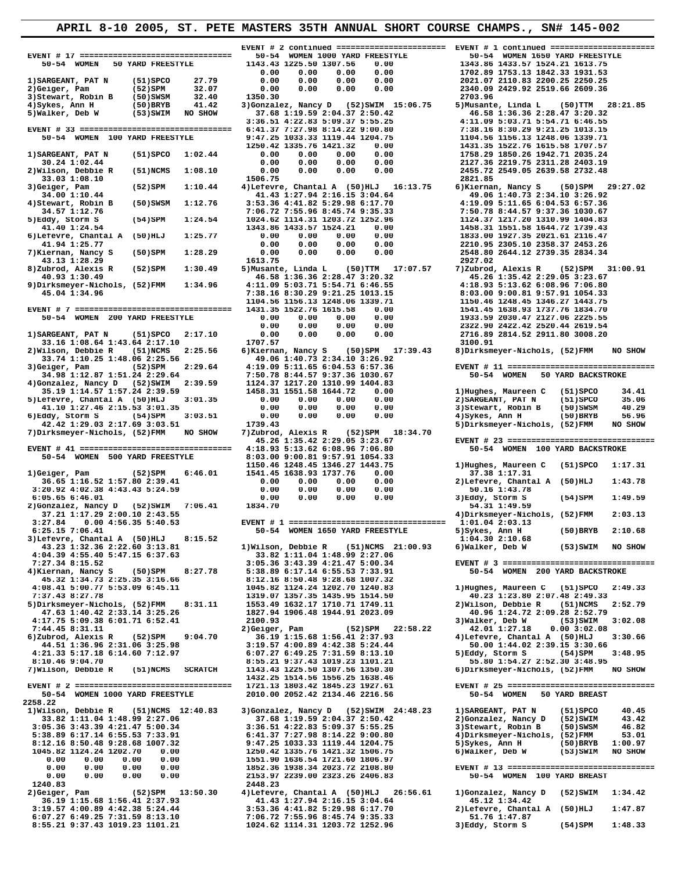**EVENT # 17 ================================ 50-54 WOMEN 1000 YARD FREESTYLE 50-54 WOMEN 1650 YARD FREESTYLE**  1) SARGEANT, PAT N (51) SPCO 27.79 0.00 0.00 0.00 0.00 0.00 2021.07 210.89 1753.13 1842.33 1931.53<br>2) Geiger, Pam (52) SPM 32.07 0.00 0.00 0.00 0.00 0.00 2210.07 210.03 2200.25 2250.25<br>3) Stewart, Robin B (50) SWSM 32.40 1  **EVENT # 33 ================================ 6:41.37 7:27.98 8:14.22 9:00.80 7:38.16 8:30.29 9:21.25 1013.15 50-54 WOMEN 100 YARD FREESTYLE 9:47.25 1033.33 1119.44 1204.75 1104.56 1156.13 1248.06 1339.71 1250.42 1335.76 1421.32 0.00 1431.35 1522.76 1615.58 1707.57 1)SARGEANT, PAT N (51)SPCO 1:02.44 0.00 0.00 0.00 0.00 1758.29 1850.26 1942.71 2035.24 30.24 1:02.44 0.00 0.00 0.00 0.00 2127.36 2219.75 2311.28 2403.19 2)Wilson, Debbie R (51)NCMS 1:08.10 0.00 0.00 0.00 0.00 2455.72 2549.05 2639.58 2732.48 33.03 1:08.10 1506.75 2821.85** 3) Geiger, Pam (52) SPM 1:10.44 4) Lefevre, Chantal A (50) HLJ 16:13.75 6) Kiernan, Nancy S (50) SPM 29:27.02<br>34.00 1:10.44 41.43 1:27.94 2:16.15 3:04.64 49.06 1:40.73 2:34.10 3:26.92<br>4) Stewart, Robin B (50) SWSM 1:12.76  $\begin{array}{cccccc} 34.57 & 1:12.76 & 7:06.72 & 7:55.96 & 8:45.74 & 9:35.33 & 7:50.78 & 8:44.57 & 9:37.36 & 1030.67 \\ 5) \text{Edy}, & \text{S} \text{norm 5} & (54) \text{SPM} & 1:24.54 & 1024.62 & 114.31 & 1203.72 & 1252.96 \\ 41.40 & 1:24.54 & 1334.86 & 1433.57 & 1524.21 & 0.$  **8)Zubrod, Alexis R (52)SPM 1:30.49 5)Musante, Linda L (50)TTM 17:07.57 7)Zubrod, Alexis R (52)SPM 31:00.91 9)Dirksmeyer-Nichols, (52)FMM 1:34.96 4:11.09 5:03.71 5:54.71 6:46.55 4:18.93 5:13.62 6:08.96 7:06.80**  $\begin{tabular}{cccccc} 45.04 & 1:34.96 & & & & & & & & 1:34.96 \\ 45.04 & 1:34.96 & & & & & & 1:1564.33 \\ \hline \text{EVENT} & 7 & \texttt{-----} & \texttt{-----} & \texttt{-----} & \texttt{-----} & \texttt{1431.35} & \texttt{1561.31} & \texttt{248.46} & \texttt{248.47} & \texttt{248.47} & \texttt{248.48} & \texttt{248.49} & \texttt{248.49} & \texttt{248.$ **2)Wilson, Debbie R (1:08.64 1:43.64 2:17.10** 1707.57 107.57 100.91 3100.91<br>2)Wilson, Debbie R (51)NCMS 2:25.56 6)Kiernan, Nancy S (50)SPM 17:39.43 8)Dirksmeyer-Nichols, (52)FMM NO SHOW<br>33.74 1:10.25 1:48.06 2:25.56 49.06  **4)Gonzalez, Nancy D (52)SWIM 2:39.59 1124.37 1217.20 1310.99 1404.83 35.19 1:14.57 1:57.24 2:39.59 1458.31 1551.58 1644.72 0.00 1)Hughes, Maureen C (51)SPCO 34.41 5)Lefevre, Chantal A (50)HLJ 3:01.35 0.00 0.00 0.00 0.00 2)SARGEANT, PAT N (51)SPCO 35.06 41.10 1:27.46 2:15.53 3:01.35 0.00 0.00 0.00 0.00 3)Stewart, Robin B (50)SWSM 40.29 6)Eddy, Storm S (54)SPM 3:03.51 0.00 0.00 0.00 0.00 4)Sykes, Ann H (50)BRYB 56.96 42.42 1:29.03 2:17.69 3:03.51 1739.43 5)Dirksmeyer-Nichols, (52)FMM NO SHOW 7)Dirksmeyer-Nichols, (52)FMM NO SHOW 7)Zubrod, Alexis R (52)SPM 18:34.70 50-54 WOMEN 500 YARD FREESTYLE 8:03.00 9:00.81 9:57.91 1054.33 1150.46 1248.45 1346.27 1443.75 1)Hughes, Maureen C (51)SPCO 1:17.31 1)Geiger, Pam (52)SPM 6:46.01 1541.45 1638.93 1737.76 0.00 37.38 1:17.31 36.65 1:16.52 1:57.80 2:39.41 0.00 0.00 0.00 0.00 2)Lefevre, Chantal A (50)HLJ 1:43.78 3:20.92 4:02.38 4:43.43 5:24.59**<br> **3:20.92 4:02.38 4:43.43 5:24.59**<br> **3:20.92 4:02.38 4:43.43 5:24.59**<br> **3:20.92 4:02.38 4:43.43 5:24.59**<br> **3:20.92 4:02.38 4:43.43 5:24.59**<br> **1:49.59**<br> **1:49.59**<br> **1:49.59**<br> **1:49.59**<br> **1:**  $\begin{array}{lllllllllllllllllllllllllllllll} \text{6:05.65\ 6:46.01} & 0.00 & 0.00 & 0.00 & 0.00 & 0.00 & 0.00 & 3) \text{Eddy, Storm S} & (54) \text{SPM} & 1:49.59 & (54) \text{SPM} & 1:49.59 & (55) \text{SPM} & 1:49.59 & (56) \text{SPM} & 1:49.59 & (57) \text{SPM} & 1:49.59 & (58) \text{SPM} & 1:49.59 & (59) \text{SP$ 6:25.15 7:06.41 50-54 WOMEN 1650 YARD FREESTYLE 5)Sykes, Ann H (50)BRYB 2:10.68<br>3)Lefevre, Chantal A (50)HLJ 8:15.52 1:04.30 2:10.68 1:04.30 2:10.68<br>43.23 1:32.36 2:22.60 3:13.81 1)Wilson, Debbie R (51)NCMS 21:00.93 6)Walk  **5)Dirksmeyer-Nichols, (52)FMM 8:31.11 1553.49 1632.17 1710.71 1749.11 2)Wilson, Debbie R (51)NCMS 2:52.79 47.63 1:40.42 2:33.14 3:25.26 1827.94 1906.48 1944.91 2023.09 40.96 1:24.72 2:09.28 2:52.79**  $\begin{array}{cccc} 4:17.75\ 5:09.38\ 6:01.71\ 6:52.41 & 2100.93 & 3) \text{Walker, Deb W} & (53) \text{SWIM} & 3:02.08 \\ 7:44.45\ 8:31.11 & 2) \text{Geiger, Pam} & (52) \text{SPM} & 22:58.22 & 42.01\ 1:27.18 & 0.00\ 3:02.08 \\ 6) \text{Zubrod, Alexis R} & (52) \text{SPM} & 9:04.70 & 36.19\ 1:15.68\ 1:$ **2258.22 1)Wilson, Debbie R** (51)NCMS 12:40.83 3)Gonzalez, Nancy D (52)SWIM 24:48.23 1)SARGEANT, PAT N (51)SPCO 40.45<br>33.82 1:11.04 1:48.99 2:27.06 37.68 1:19.59 2:04.37 2:50.42 2)Gonzalez, Nancy D (52)SWIM 43.42<br>3:05.36 3:43.39 4  $33.82$  1:11.04 1:48.99 2:27.06<br>  $37.68$  1:19.59 2:04.37 2:50.42<br>  $3:05.36$  3:43.39 4:21.47 5:00.34<br>  $3:05.36$  3:43.39 4:21.47 5:00.34<br>  $3:05.36$  3:43.39 4:21.47 5:00.34<br>  $3:36.51$  4:22.83 5:09.37 5:55.25<br>  $3:05.36$  3) 5:  **0.00 0.00 0.00 0.00 1551.90 1636.54 1721.60 1806.97 0.00 0.00 0.00 0.00 2153.97 2239.00 2323.26 2406.83 50-54 WOMEN 100 YARD BREAST 1240.83 2448.23**  2) Geiger, Pam (52) SPM 13:50.30 4) Lefevre, Chantal A (50) HLJ 26:56.61 1) Gonzalez, Nancy D (52) SWIM 1:34.42<br>36.19 1:15.68 1:56.41 27.94 2:16.15 3:04.64 41.43 1:27.94 2:16.15 3:04.64 41.43 1:27.94 2:16.16 45.12 1:34.42<br>

1143.43 1225.50 1307.56 0.00<br>0.00 0.00 0.00 0.00 0.00<br>0.00 0.00 0.00 0.00 0.00  **40.93 1:30.49 46.58 1:36.36 2:28.47 3:20.32 45.26 1:35.42 2:29.05 3:23.67 EVENT # 41 ================================ 4:18.93 5:13.62 6:08.96 7:06.80 50-54 WOMEN 100 YARD BACKSTROKE** 

 **EVENT # 2 continued ======================= EVENT # 1 continued ======================= 33.74 1:10.25 1:48.06 2:25.56 49.06 1:40.73 2:34.10 3:26.92 3)Geiger, Pam (52)SPM 2:29.64 4:19.09 5:11.65 6:04.53 6:57.36 EVENT # 11 ================================ 34.98 1:12.87 1:51.24 2:29.64 7:50.78 8:44.57 9:37.36 1030.67 50-54 WOMEN 50 YARD BACKSTROKE 45.26 1:35.42 2:29.05 3:23.67 EVENT # 23 ================================ 7:27.34 8:15.52 3:05.36 3:43.39 4:21.47 5:00.34 EVENT # 3 ================================= 4)Kiernan, Nancy S (50)SPM 8:27.78 5:38.89 6:17.14 6:55.53 7:33.91 50-54 WOMEN 200 YARD BACKSTROKE 45.32 1:34.73 2:25.35 3:16.66 8:12.16 8:50.48 9:28.68 1007.32 4:08.41 5:00.77 5:53.09 6:45.11 1045.82 1124.24 1202.70 1240.83 1)Hughes, Maureen C (51)SPCO 2:49.33 7:37.43 8:27.78 1319.07 1357.35 1435.95 1514.50 40.23 1:23.80 2:07.48 2:49.33 4:21.33 5:17.18 6:14.60 7:12.97 6:07.27 6:49.25 7:31.59 8:13.10 5)Eddy, Storm S (54)SPM 3:48.95 8:10.46 9:04.70 8:55.21 9:37.43 1019.23 1101.21 55.80 1:54.27 2:52.30 3:48.95 7)Wilson, Debbie R (51)NCMS SCRATCH 1143.43 1225.50 1307.56 1350.30 6)Dirksmeyer-Nichols, (52)FMM NO SHOW 1432.25 1514.56 1556.25 1638.46 EVENT # 2 ================================= 1721.13 1803.42 1845.23 1927.61 EVENT # 25 ================================ 50-54 WOMEN 1000 YARD FREESTYLE 2010.00 2052.42 2134.46 2216.56 50-54 WOMEN 50 YARD BREAST**  1852.36 1938.34 2023.72 2108.80 **EVENT # 13 ==============================**<br>2153.97 2239.00 2323.26 2406.83 50-54 WOMEN 100 YARD BREAST<br>2448.23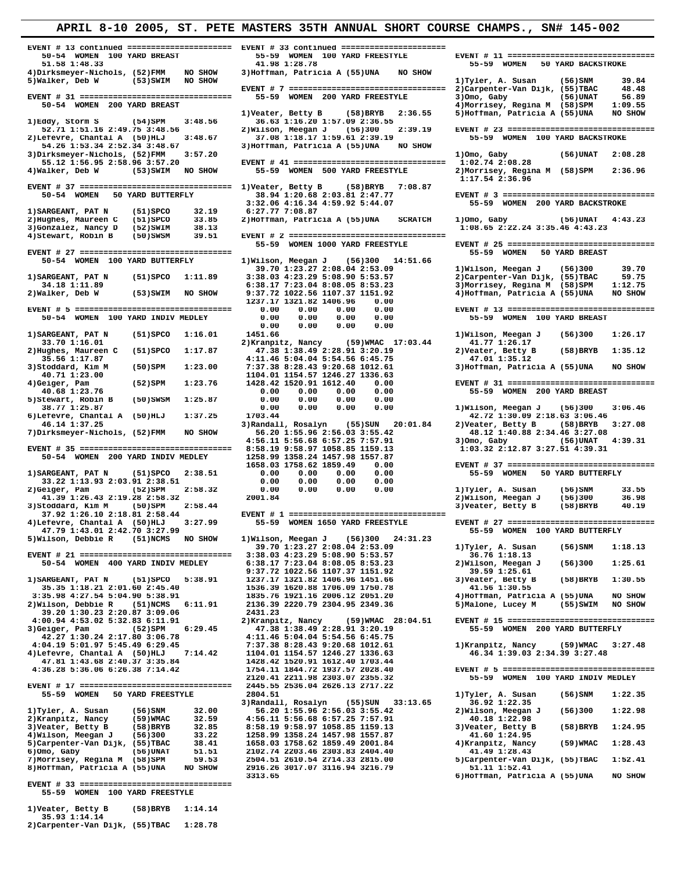| EVENT # 13 continued ====================== EVENT # 33 continued ======================<br>50-54 WOMEN 100 YARD BREAST | 55-59 WOMEN 100 YARD FREESTYLE                                             |                                                                            |
|------------------------------------------------------------------------------------------------------------------------|----------------------------------------------------------------------------|----------------------------------------------------------------------------|
| 51.58 1:48.33                                                                                                          | 41.98 1:28.78                                                              | 55-59 WOMEN<br><b>50 YARD BACKSTROKE</b>                                   |
| 4) Dirksmeyer-Nichols, (52) FMM<br>NO SHOW                                                                             | 3) Hoffman, Patricia A (55) UNA<br>NO SHOW                                 |                                                                            |
| NO SHOW<br>5)Walker, Deb W<br>(53)SWIM                                                                                 |                                                                            | 1) Tyler, A. Susan<br>39.84<br>(56)SNM                                     |
|                                                                                                                        |                                                                            | 2) Carpenter-Van Dijk, (55) TBAC<br>48.48                                  |
| EVENT # 31 =================================                                                                           | 55-59 WOMEN 200 YARD FREESTYLE                                             | 3)Omo, Gaby<br>56.89<br>(56)UNAT                                           |
| 50-54 WOMEN 200 YARD BREAST                                                                                            |                                                                            | 4) Morrisey, Regina M (58) SPM<br>1:09.55                                  |
| 1)Eddy, Storm S<br>(54)SPM<br>3:48.56                                                                                  | 1) Veater, Betty B<br>(58)BRYB<br>2:36.55<br>36.63 1:16.20 1:57.09 2:36.55 | 5) Hoffman, Patricia A (55) UNA<br>NO SHOW                                 |
| 52.71 1:51.16 2:49.75 3:48.56                                                                                          | 2) Wilson, Meegan J<br>(56)300<br>2:39.19                                  | EVENT # 23 =================================                               |
| 2)Lefevre, Chantal A (50)HLJ<br>3:48.67                                                                                | 37.08 1:18.17 1:59.61 2:39.19                                              | 55-59 WOMEN 100 YARD BACKSTROKE                                            |
| 54.26 1:53.34 2:52.34 3:48.67                                                                                          | 3) Hoffman, Patricia A (55) UNA<br>NO SHOW                                 |                                                                            |
| 3:57.20<br>3) Dirksmeyer-Nichols, (52) FMM                                                                             |                                                                            | 1) Omo, Gaby<br>(56)UNAT<br>2:08.28                                        |
| 55.12 1:56.95 2:58.96 3:57.20                                                                                          | EVENT # 41 =================================                               | 1:02.74 2:08.28                                                            |
| 4) Walker, Deb W<br>(53)SWIM<br>NO SHOW                                                                                | 55-59 WOMEN 500 YARD FREESTYLE                                             | 2) Morrisey, Regina M (58) SPM<br>2:36.96                                  |
| EVENT # 37 ================================= 1)Veater, Betty B                                                         | (58)BRYB<br>7:08.87                                                        | 1:17.54 2:36.96                                                            |
| 50 YARD BUTTERFLY<br>50-54 WOMEN                                                                                       | 38.94 1:20.68 2:03.81 2:47.77                                              | EVENT # 3 =================================                                |
|                                                                                                                        | 3:32.06 4:16.34 4:59.92 5:44.07                                            | 55-59 WOMEN 200 YARD BACKSTROKE                                            |
| $(51)$ SPCO<br>32.19<br>1) SARGEANT, PAT N                                                                             | 6:27.77 7:08.87                                                            |                                                                            |
| 2) Hughes, Maureen C<br>(51)SPCO<br>33.85                                                                              | 2) Hoffman, Patricia A (55) UNA<br><b>SCRATCH</b>                          | 1)Omo, Gaby<br>(56)UNAT<br>4:43.23                                         |
| 3) Gonzalez, Nancy D<br>38.13<br>(52)SWIM                                                                              |                                                                            | 1:08.65 2:22.24 3:35.46 4:43.23                                            |
| 39.51<br>4) Stewart, Robin B<br>(50)SWSM                                                                               | 55-59 WOMEN 1000 YARD FREESTYLE                                            | EVENT # 25 =================================                               |
| EVENT # 27 =================================                                                                           |                                                                            | 55-59 WOMEN<br>50 YARD BREAST                                              |
| 50-54 WOMEN 100 YARD BUTTERFLY                                                                                         | 1) Wilson, Meegan J<br>(56)300<br>14:51.66                                 |                                                                            |
|                                                                                                                        | 39.70 1:23.27 2:08.04 2:53.09                                              | 1) Wilson, Meegan J<br>39.70<br>(56)300                                    |
| $(51)$ SPCO<br>1:11.89<br>1) SARGEANT, PAT N                                                                           | 3:38.03 4:23.29 5:08.90 5:53.57                                            | 2) Carpenter-Van Dijk, (55) TBAC<br>59.75                                  |
| 34.18 1:11.89                                                                                                          | 6:38.17 7:23.04 8:08.05 8:53.23                                            | 3) Morrisey, Regina M (58) SPM<br>1:12.75                                  |
| 2)Walker, Deb W<br>$(53)$ SWIM<br>NO SHOW                                                                              | 9:37.72 1022.56 1107.37 1151.92                                            | 4) Hoffman, Patricia A (55) UNA<br>NO SHOW                                 |
|                                                                                                                        | 1237.17 1321.82 1406.96<br>0.00                                            |                                                                            |
|                                                                                                                        | 0.00<br>0.00<br>0.00<br>0.00                                               | EVENT # 13 ================================<br>55-59 WOMEN 100 YARD BREAST |
| 50-54 WOMEN 100 YARD INDIV MEDLEY                                                                                      | 0.00<br>0.00<br>0.00<br>0.00<br>0.00<br>0.00<br>0.00<br>0.00               |                                                                            |
| 1) SARGEANT, PAT N<br>$(51)$ SPCO<br>1:16.01                                                                           | 1451.66                                                                    | 1) Wilson, Meegan J<br>(56)300<br>1:26.17                                  |
| 33.70 1:16.01                                                                                                          | 2) Kranpitz, Nancy<br>$(59)$ WMAC 17:03.44                                 | 41.77 1:26.17                                                              |
| (51) SPCO<br>1:17.87<br>2) Hughes, Maureen C                                                                           | 47.38 1:38.49 2:28.91 3:20.19                                              | 2) Veater, Betty B<br>(58)BRYB<br>1:35.12                                  |
| 35.56 1:17.87                                                                                                          | 4:11.46 5:04.04 5:54.56 6:45.75                                            | 47.01 1:35.12                                                              |
| 3) Stoddard, Kim M<br>1:23.00<br>(50)SPM                                                                               | 7:37.38 8:28.43 9:20.68 1012.61                                            | 3) Hoffman, Patricia A (55) UNA<br>NO SHOW                                 |
| 40.71 1:23.00                                                                                                          | 1104.01 1154.57 1246.27 1336.63                                            |                                                                            |
| 4) Geiger, Pam<br>1:23.76<br>(52)SPM<br>40.68 1:23.76                                                                  | 1428.42 1520.91 1612.40<br>0.00<br>0.00<br>0.00<br>0.00<br>0.00            | EVENT # 31 ================================<br>55-59 WOMEN 200 YARD BREAST |
| 1:25.87<br>5) Stewart, Robin B<br>(50)SWSM                                                                             | 0.00<br>0.00<br>0.00<br>0.00                                               |                                                                            |
| 38.77 1:25.87                                                                                                          | 0.00<br>0.00<br>0.00<br>0.00                                               | 1) Wilson, Meegan J<br>3:06.46<br>(56)300                                  |
| 6)Lefevre, Chantal A (50)HLJ<br>1:37.25                                                                                | 1703.44                                                                    | 42.72 1:30.09 2:18.63 3:06.46                                              |
| 46.14 1:37.25                                                                                                          | 3) Randall, Rosalyn<br>$(55)$ SUN 20:01.84                                 | 2) Veater, Betty B<br>(58)BRYB<br>3:27.08                                  |
| 7) Dirksmeyer-Nichols, (52) FMM<br>NO SHOW                                                                             | 56.20 1:55.96 2:56.03 3:55.42                                              | 48.12 1:40.88 2:34.46 3:27.08                                              |
|                                                                                                                        | 4:56.11 5:56.68 6:57.25 7:57.91                                            | 3) Omo, Gaby<br>(56)UNAT<br>4:39.31                                        |
|                                                                                                                        | 8:58.19 9:58.97 1058.85 1159.13                                            | 1:03.32 2:12.87 3:27.51 4:39.31                                            |
| 50-54 WOMEN 200 YARD INDIV MEDLEY                                                                                      | 1258.99 1358.24 1457.98 1557.87<br>1658.03 1758.62 1859.49<br>0.00         | EVENT # 37 =================================                               |
| 1) SARGEANT, PAT N<br>$(51)$ SPCO<br>2:38.51                                                                           | 0.00<br>0.00<br>0.00<br>0.00                                               | 50 YARD BUTTERFLY<br>55-59 WOMEN                                           |
| 33.22 1:13.93 2:03.91 2:38.51                                                                                          | 0.00<br>0.00<br>0.00<br>0.00                                               |                                                                            |
| 2)Geiger, Pam<br>$(52)$ SPM<br>2:58.32                                                                                 | 0.00<br>0.00<br>0.00<br>0.00                                               | 1)Tyler, A. Susan<br>(56)SNM<br>33.55                                      |
| 41.39 1:26.43 2:19.28 2:58.32                                                                                          | 2001.84                                                                    | 2) Wilson, Meegan J<br>36.98<br>(56)300                                    |
| 3) Stoddard, Kim M<br>2:58.44<br>(50)SPM                                                                               |                                                                            | 3) Veater, Betty B<br>$(58)$ BRYB<br>40.19                                 |
| 37.92 1:26.10 2:18.81 2:58.44                                                                                          |                                                                            | EVENT # 27 =================================                               |
| 4) Lefevre, Chantal A (50) HLJ<br>3:27.99<br>47.79 1:43.01 2:42.70 3:27.99                                             | 55-59 WOMEN 1650 YARD FREESTYLE                                            | 55-59 WOMEN 100 YARD BUTTERFLY                                             |
| 5)Wilson, Debbie R<br>(51)NCMS<br>NO SHOW                                                                              | 1) Wilson, Meegan J<br>(56)300<br>24:31.23                                 |                                                                            |
|                                                                                                                        | 39.70 1:23.27 2:08.04 2:53.09                                              | $(56)$ SNM<br>1) Tyler, A. Susan<br>1:18.13                                |
| EVENT # 21 =================================                                                                           | 3:38.03 4:23.29 5:08.90 5:53.57                                            | 36.76 1:18.13                                                              |
| 50-54 WOMEN 400 YARD INDIV MEDLEY                                                                                      | 6:38.17 7:23.04 8:08.05 8:53.23                                            | 2)Wilson, Meegan J<br>1:25.61<br>(56)300                                   |
|                                                                                                                        | 9:37.72 1022.56 1107.37 1151.92                                            | 39.59 1:25.61                                                              |
| 1) SARGEANT, PAT N<br>(51)SPCO<br>5:38.91                                                                              | 1237.17 1321.82 1406.96 1451.66                                            | 3) Veater, Betty B<br>(58)BRYB<br>1:30.55                                  |
| 35.35 1:18.21 2:01.60 2:45.40<br>3:35.98 4:27.54 5:04.90 5:38.91                                                       | 1536.39 1620.88 1706.09 1750.78<br>1835.76 1921.16 2006.12 2051.20         | 41.56 1:30.55<br>4) Hoffman, Patricia A (55) UNA<br>NO SHOW                |
| 2) Wilson, Debbie R<br>(51)NCMS<br>6:11.91                                                                             | 2136.39 2220.79 2304.95 2349.36                                            | 5) Malone, Lucey M<br>(55)SWIM<br>NO SHOW                                  |
| 39.20 1:30.23 2:20.87 3:09.06                                                                                          | 2431.23                                                                    |                                                                            |
| 4:00.94 4:53.02 5:32.83 6:11.91                                                                                        | 2) Kranpitz, Nancy<br>$(59)$ WMAC 28:04.51                                 | EVENT # 15 ================================                                |
| 3) Geiger, Pam<br>(52)SPM<br>6:29.45                                                                                   | 47.38 1:38.49 2:28.91 3:20.19                                              | 55-59 WOMEN 200 YARD BUTTERFLY                                             |
| 42.27 1:30.24 2:17.80 3:06.78                                                                                          | 4:11.46 5:04.04 5:54.56 6:45.75                                            |                                                                            |
| 4:04.19 5:01.97 5:45.49 6:29.45<br>4) Lefevre, Chantal A (50) HLJ<br>7:14.42                                           | 7:37.38 8:28.43 9:20.68 1012.61<br>1104.01 1154.57 1246.27 1336.63         | 1) Kranpitz, Nancy<br>(59)WMAC<br>3:27.48<br>46.34 1:39.03 2:34.39 3:27.48 |
| 47.81 1:43.68 2:40.37 3:35.84                                                                                          | 1428.42 1520.91 1612.40 1703.44                                            |                                                                            |
| 4:36.28 5:36.06 6:26.38 7:14.42                                                                                        | 1754.11 1844.72 1937.57 2028.40                                            | EVENT # 5 =================================                                |
|                                                                                                                        | 2120.41 2211.98 2303.07 2355.32                                            | 55-59 WOMEN 100 YARD INDIV MEDLEY                                          |
|                                                                                                                        | 2445.55 2536.04 2626.13 2717.22                                            |                                                                            |
| 55-59 WOMEN 50 YARD FREESTYLE                                                                                          | 2804.51                                                                    | 1) Tyler, A. Susan<br>(56)SNM<br>1:22.35                                   |
|                                                                                                                        | 3) Randall, Rosalyn<br>$(55)$ SUN 33:13.65                                 | 36.92 1:22.35                                                              |
| 1) Tyler, A. Susan<br>(56)SNM<br>32.00<br>2) Kranpitz, Nancy<br>(59) WMAC<br>32.59                                     | 56.20 1:55.96 2:56.03 3:55.42<br>4:56.11 5:56.68 6:57.25 7:57.91           | 2) Wilson, Meegan J<br>(56)300<br>1:22.98<br>40.18 1:22.98                 |
| 3) Veater, Betty B<br>(58)BRYB<br>32.85                                                                                | 8:58.19 9:58.97 1058.85 1159.13                                            | 3) Veater, Betty B<br>$(58)$ BRYB<br>1:24.95                               |
| 4) Wilson, Meegan J<br>33.22<br>(56)300                                                                                | 1258.99 1358.24 1457.98 1557.87                                            | 41.60 1:24.95                                                              |
| 5) Carpenter-Van Dijk, (55) TBAC<br>38.41                                                                              | 1658.03 1758.62 1859.49 2001.84                                            | 4) Kranpitz, Nancy<br>(59) WMAC<br>1:28.43                                 |
| 6) Omo, Gaby<br>51.51<br>(56)UNAT                                                                                      | 2102.74 2203.46 2303.83 2404.40                                            | 41.49 1:28.43                                                              |
| 7) Morrisey, Regina M (58) SPM<br>59.53                                                                                | 2504.51 2610.54 2714.33 2815.00                                            | 5) Carpenter-Van Dijk, (55) TBAC<br>1:52.41                                |
| 8) Hoffman, Patricia A (55) UNA<br>NO SHOW                                                                             |                                                                            |                                                                            |
|                                                                                                                        | 2916.26 3017.07 3116.94 3216.79                                            | 51.11 1:52.41                                                              |
|                                                                                                                        | 3313.65                                                                    | 6) Hoffman, Patricia A (55) UNA<br>NO SHOW                                 |

 **55-59 WOMEN 100 YARD FREESTYLE 1)Veater, Betty B (58)BRYB 1:14.14** 

|                                  | , | ------- |
|----------------------------------|---|---------|
| 35.93 1:14.14                    |   |         |
| 2) Carpenter-Van Dijk, (55) TBAC |   | 1:28.78 |

**APRIL 8-10 2005, ST. PETE MASTERS 35TH ANNUAL SHORT COURSE CHAMPS., SN# 145-002**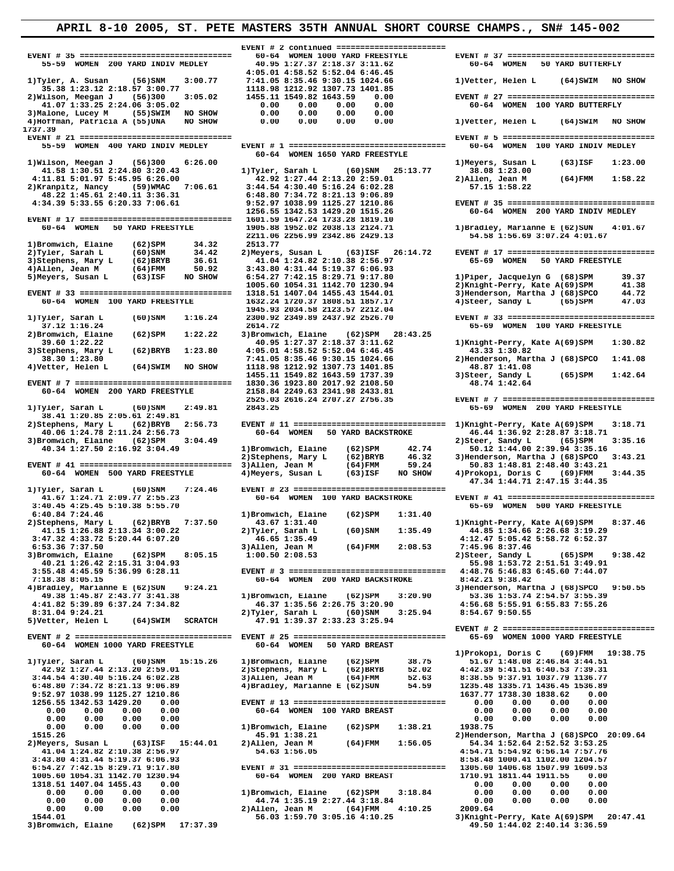**EVENT # 35 ================================ 60-64 WOMEN 1000 YARD FREESTYLE EVENT # 37 ================================ 1737.39 1)Wilson, Meegan J** (56)300 6:26.00<br>**1)Tyler, Sarah L** (60)SNM 25:13.77 38.08 1:23.00 1.13.300 1:23.00  **41.58 1:30.51 2:24.80 3:20.43 1)Tyler, Sarah L (60)SNM 25:13.77 38.08 1:23.00 2)Kranpitz, Nancy (59)WMAC 7:06.61 3:44.54 4:30.40 5:16.24 6:02.28 57.15 1:58.22 48.22 1:45.61 2:40.11 3:36.31 6:48.80 7:34.72 8:21.13 9:06.89**  1256.55 1342.53 1429.20 1515.26 60-64 WOMEN 200 YARD INDIV MEDLEY<br>60-64 WOMEN 50 YARD INDIV MEDLEY 1601.59 1647.24 1733.28 1819.10<br>60-64 WOMEN 50 YARD FREESTYLE 1905.88 1952.02 2038.13 2124.71 1)Bradley, Marianne E (62)SUN 2211.06 2256.99 2342.86 2429.13<br>1)Bromwich, Elaine (62)SPM 34.32 2513.77<br>2513.77  **1005.60 1054.31 1142.70 1230.94 2)Knight-Perry, Kate A(69)SPM 41.38 EVENT # 33 ================================ 1318.51 1407.04 1455.43 1544.01 3)Henderson, Martha J (68)SPCO 44.72 1945.93 2034.58 2123.57 2212.04 2)Bromwich, Elaine (62)SPM 1:22.22 3)Bromwich, Elaine 39.60 1:22.22** (62)SPM 1:22.22 40.95 1:27.37 2:  **3)Stephens, Mary L (62)BRYB 1:23.80 4:05.01 4:58.52 5:52.04 6:46.45 43.33 1:30.82 1)Tyler, Sarah L (60)SNM 2:49.81 2843.25 65-69 WOMEN 200 YARD FREESTYLE 38.41 1:20.85 2:05.61 2:49.81 2)Stephens, Mary L (62)BRYB 2:56.73 EVENT # 11 ================================ 1)Knight-Perry, Kate A(69)SPM 3:18.71 40.06 1:24.78 2:11.24 2:56.73 60-64 WOMEN 50 YARD BACKSTROKE 46.44 1:36.92 2:28.87 3:18.71** 3)Bromwich, Elaine (62)SPM 3:04.49<br>40.34 1:27.50 2:16.92 3:04.49 1)Bromwich, Elaine (62)SPM 42.74 50.12 1:44.00 2:39.94 3:35.16<br>2)Stephens, Mary L (62)BRYB 46.32 3)Henderson, Martha J (68)SPCO 3:43.21  **EVENT # 41 ================================ 3)Allen, Jean M (64)FMM 59.24 50.83 1:48.81 2:48.40 3:43.21 60-64 WOMEN 500 YARD FREESTYLE 4)Meyers, Susan L (63)ISF NO SHOW 4)Prokopi, Doris C (69)FMM 3:44.35 47.34 1:44.71 2:47.15 3:44.35 1)Tyler, Sarah L (60)SNM 7:24.46 EVENT # 23 ================================ 3:40.45 4:25.45 5:10.38 5:55.70 65-69 WOMEN 500 YARD FREESTYLE 6:40.84 7:24.46** 1)Bromwich, Elaine (62)SPM 1:31.40<br>
2)Stephens, Mary L (62)BRYB 7:37.50 43.67 1:31.40<br>
41.15 1:26.88 2:13.34 3:00.22 2)Tyler, Sarah L (60)SNM 1:35.49<br>
3:47.32 4:33.72 5:20.44 6:07.20 46.65 1:35.49 2)Stephens, Mary L (62)BRYB 7:37.50 <br>43.67 1:31.40 <br>41.15 1:26.88 2:13.34 3:00.22 <br>3:47.36 2:25.20.44 6:07.20 <br>6:53.36 7:37.50 <br>6:53.36 7:37.50 <br>3)Allen, Jean M (64)FMM 2:08.53 <br>3:08.53 <br>3:187.46 <br>3)Bromwich, Elaine (62)SP  **40.21 1:26.42 2:15.31 3:04.93 55.98 1:53.72 2:51.51 3:49.91 3:55.48 4:45.59 5:36.99 6:28.11 EVENT # 3 ================================= 4:48.76 5:46.83 6:45.60 7:44.07** 4)Bradley, Marianne E (62)SUN 9:24.21<br>49.38 1:45.87 2:43.77 3:41.38 1)Bromwich, Elaine (62)SPM 3:20.90 53.36 1:55.39<br>49.38 1:45.87 2:43.77 3:41.38 1)Bromwich, Elaine (62)SPM 3:20.90 53.36 1:55.7 3:55.39  **49.38 1:45.87 2:43.77 3:41.38 1)Bromwich, Elaine (62)SPM 3:20.90 53.36 1:53.74 2:54.57 3:55.39 4:41.82 5:39.89 6:37.24 7:34.82 46.37 1:35.56 2:26.75 3:20.90 4:56.68 5:55.91 6:55.83 7:55.26 8:31.04 9:24.21 2)Tyler, Sarah L (60)SNM 3:25.94 8:54.67 9:50.55 EVENT # 2 ================================= EVENT # 25 ================================ 65-69 WOMEN 1000 YARD FREESTYLE 60-64 WOMEN 1000 YARD FREESTYLE 60-64 WOMEN 50 YARD BREAST 1)Prokopi, Doris C (69)FMM 19:38.75 1)Tyler, Sarah L (60)SNM 15:15.26 1)Bromwich, Elaine (62)SPM 38.75 51.67 1:48.08 2:46.84 3:44.51** 42.92 1:27.44 2:13.20 2:59.01 2)Stephens, Mary L (62)BRYB 52.02 4:42.39 5:41.51 6:40.53 7:39.31<br>3:44.54 4:30.40 5:16.24 6:02.28 3)Allen, Jean M (64)FMM 52.63 8:38.55 9:37.91 1037.79 1136.77<br>6:48.80 7:34.72 8:21.13 9:06.89  **9:52.97 1038.99 1125.27 1210.86 1637.77 1738.30 1838.62 0.00 0.00 0.00 0.00 0.00 60-64 WOMEN 100 YARD BREAST 0.00 0.00 0.00 0.00 0.00 0.00 0.00 0.00 0.00 0.00 0.00 0.00 0.00 0.00 0.00 0.00 1)Bromwich, Elaine (62)SPM 1:38.21 1938.75 1515.26 45.91 1:38.21 2)Henderson, Martha J (68)SPCO 20:09.64 41.04 1:24.82 2:10.38 2:56.97 54.63 1:56.05 4:54.71 5:54.92 6:56.14 7:57.76 3:43.80 4:31.44 5:19.37 6:06.93 8:58.48 1000.41 1102.00 1204.57 6:54.27 7:42.15 8:29.71 9:17.80<br>1005.60 1054.31 1142.70 1230.94 1318.51 1407.04 1455.43 0.00 0.00 0.00 0.00 0.00 0.00 0.00 0.00 0.00 1)Bromwich, Elaine (62)SPM 3:18.84 0.00 0.00 0.00 0.00 0.00 0.00 0.00 0.00 44.74 1:35.19 2:27.44 3:18.84 0.00 0.00 0.00 0.00 0.00 0.00 0.00 0.00 2)Allen, Jean M (64)FMM 4:10.25 2009.64 1544.01 56.03 1:59.70 3:05.16 4:10.25 3)Knight-Perry, Kate A(69)SPM 20:47.41** 1544.01 **1992 12:37.39** 56.03 1:59.70 3:05.16 4:10.25<br>3)Bromwich, Elaine (62)SPM 17:37.39 49.50 1:44.02 2:40.14 3:36.59

 **EVENT # 2 continued =======================**  40.95 1:27.37 2:18.37 3:11.62<br>4:05.01 4:58.52 5:52.04 6:46.45 **EVENT # 1 ================================= 60-64 WOMEN 1650 YARD FREESTYLE 60-64 WOMEN 100 YARD FREESTYLE 1632.24 1720.37 1808.51 1857.17 4)Steer, Sandy L (65)SPM 47.03 5)Vetter, Helen L (64)SWIM SCRATCH 47.91 1:39.37 2:33.23 3:25.94 1256.55 1342.53 1429.20 0.00 EVENT # 13 ================================ 0.00 0.00 0.00 0.00 Bromwich, Laine (22,211 2)**<br> **2)Henderson, Martha J** (68)SPCU 45.91 1:38.21<br> **211en, Jean M (64)FMM 1:56.05** 54.34 1:52.64 2:52.52 3:53.25<br>
54.63 1:56.05 4:54.71 5:54.92 6:56.14 7:57.76  **6:54.27 7:42.15 8:29.71 9:17.80 EVENT # 31 ================================ 1305.60 1406.68 1507.99 1609.53**

 **4:05.01 4:58.52 5:52.04 6:46.45 1)Tyler, A. Susan (56)SNM 3:00.77 7:41.05 8:35.46 9:30.15 1024.66 1)Vetter, Helen L (64)SWIM NO SHOW 35.38 1:23.12 2:18.57 3:00.77 1118.98 1212.92 1307.73 1401.85 2)Wilson, Meegan J (56)300 3:05.02 1455.11 1549.82 1643.59 0.00 EVENT # 27 ================================ 41.07 1:33.25 2:24.06 3:05.02 0.00 0.00 0.00 0.00 60-64 WOMEN 100 YARD BUTTERFLY 3)Malone, Lucey M (55)SWIM NO SHOW 0.00 0.00 0.00 0.00 4)Hoffman, Patricia A (55)UNA NO SHOW 0.00 0.00 0.00 0.00 1)Vetter, Helen L (64)SWIM NO SHOW EVENT # 21 ================================ EVENT # 5 ================================= 42.92 1:27.44 2:13.20 2:59.01**<br> **3:44.54 4:30.40 5:16.24 6:02.28**<br> **57.15 1:58.22**<br> **6:48.80 7:34.72 8:21.13 9:06.89**<br> **6:48.80 7:34.72 8:21.13 9:06.89 4:34.39 5:33.55 6:20.33 7:06.61 9:52.97 1038.99 1125.27 1210.86 EVENT # 35 ================================** 1)Bromwich, Elaine (62)SPM 34.32 2513.77<br>2)Tyler, Sarah L (60)SNM 34.42 2)Meyers, Susan L (63)ISF 26:14.72 EVENT # 17 =================================<br>3)Stephens, Mary L (62)BRYB 36.61 41.04 1:24.82 2:10.38 2:56.97 65-69  **1)Tyler, Sarah L (60)SNM 1:16.24 2300.92 2349.89 2437.92 2526.70 EVENT # 33 ================================ 37.12 1:16.24 2614.72 65-69 WOMEN 100 YARD FREESTYLE 39.60 1:22.22 40.95 1:27.37 2:18.37 3:11.62 1)Knight-Perry, Kate A(69)SPM 1:30.82 38.30 1:23.80 7:41.05 8:35.46 9:30.15 1024.66 2)Henderson, Martha J (68)SPCO 1:41.08 4)Vetter, Helen L (64)SWIM NO SHOW 1118.98 1212.92 1307.73 1401.85 48.87 1:41.08 1455.11 1549.82 1643.59 1737.39 3)Steer, Sandy L (65)SPM 1:42.64 EVENT # 7 ================================= 1830.36 1923.80 2017.92 2108.50 48.74 1:42.64 60-64 WOMEN 200 YARD FREESTYLE 2158.84 2249.63 2341.98 2433.81 2525.03 2616.24 2707.27 2756.35 EVENT # 7 ================================= 41.67 1:24.71 2:09.77 2:55.23 60-64 WOMEN 100 YARD BACKSTROKE EVENT # 41 ================================ 60-64 WOMEN 200 YARD BACKSTROKE 8:42.21 9:38.42**<br>3) Henderson, Martha J (68) SPCO 9:50.55  **EVENT # 2 =================================**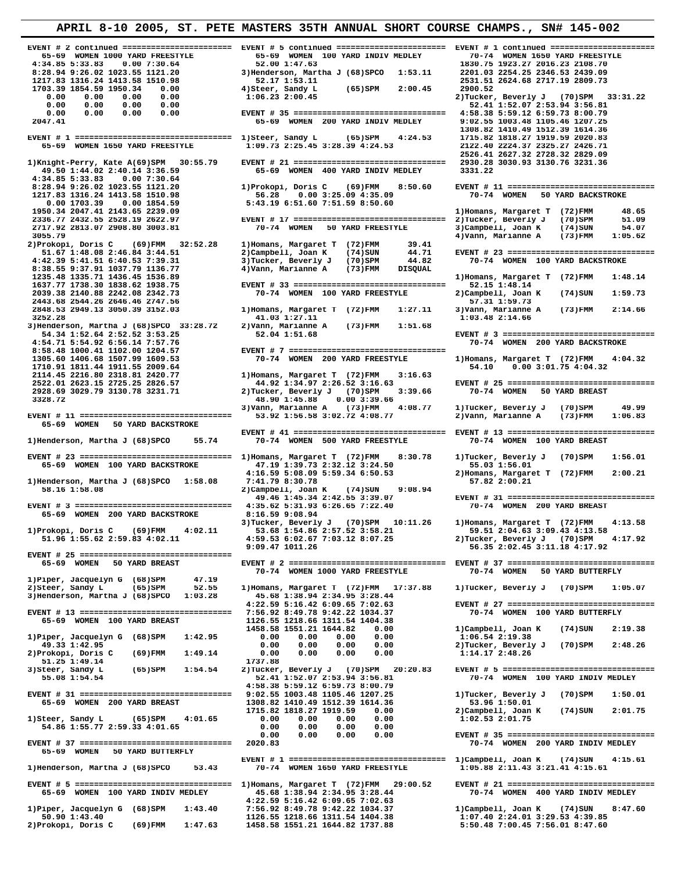**4:34.85 5:33.83 0.00 7:30.64 52.00 1:47.63 1830.75 1923.27 2016.23 2108.70 1217.83 1316.24 1413.58 1510.98 52.17 1:53.11 2531.51 2624.68 2717.19 2809.73 1703.39 1854.59 1950.34 0.00 4)Steer, Sandy L (65)SPM 2:00.45 2900.52 0.00 0.00 0.00 0.00 1:06.23 2:00.45 2)Tucker, Beverly J (70)SPM 33:31.22 0.00 0.00 0.00 0.00 52.41 1:52.07 2:53.94 3:56.81 0.00 0.00 0.00 0.00 EVENT # 35 ================================ 4:58.38 5:59.12 6:59.73 8:00.79** 1308.82 1410.49 1512.39 1614.36 1308.82 1410.49 1512.39 EVENT # 1<br>1115.82 1818.27 1715.82 1818.27 1715.82 1818.27 1715.82 1818.82 1818.82 1818.82 65-69 WOMEN 1650 YARD FREESTYLE<br>1109.73 2:25.45 3:28.39 4:24.53 122.4.53 212  **1)Knight-Perry, Kate A(69)SPM 30:55.79 EVENT # 21 ================================ 2930.28 3030.93 3130.76 3231.36 49.50 1:44.02 2:40.14 3:36.59** 65-69 WOMEN 400 YARD INDIV MEDLEY<br>4:34.85 5:33.83 0.00 7:30.64  **4:34.85 5:33.83 0.00 7:30.64 1217.83 1316.24 1413.58 1510.98 56.28 0.00 3:25.09 4:35.09 70-74 WOMEN 50 YARD BACKSTROKE 0.00 1703.39 0.00 1854.59 5:43.19 6:51.60 7:51.59 8:50.60 1950.34 2047.41 2143.65 2239.09 1)Homans, Margaret T (72)FMM 48.65 2336.77 2432.55 2528.19 2622.97 EVENT # 17 ================================ 2)Tucker, Beverly J (70)SPM 51.09 2717.92 2813.07 2908.80 3003.81 70-74 WOMEN 50 YARD FREESTYLE 3)Campbell, Joan K (74)SUN 54.07 3055.79 4)Vann, Marianne A (73)FMM 1:05.62 2)Prokopi, Doris C (69)FMM 32:52.28 1)Homans, Margaret T (72)FMM 39.41**  8:38.55 9:37.91 1037.79 1136.77 **4)Vann, Marianne A** (73)FMM DISQUAL 1235.48 1335.71 1436.45 1536.89  **2848.53 2949.13 3050.39 3152.03 1)Homans, Margaret T (72)FMM 1:27.11 3)Vann, Marianne A (73)FMM 2:14.66 3252.28 41.03 1:27.11 1:03.48 2:14.66 3)Henderson, Martha J (68)SPCO 33:28.72 2)Vann, Marianne A (73)FMM 1:51.68 8:58.48 1000.41 1102.00 1204.57 EVENT # 7 ================================= 2928.69 3029.79 3130.78 3231.71 2)Tucker, Beverly J (70)SPM 3:39.66 70-74 WOMEN 50 YARD BREAST 3328.72 48.90 1:45.88 0.00 3:39.66 3)Vann, Marianne A (73)FMM 4:08.77 1)Tucker, Beverly J (70)SPM 49.99 EVENT # 11 ================================ 53.92 1:56.58 3:02.72 4:08.77 2)Vann, Marianne A (73)FMM 1:06.83 65-69 WOMEN 50 YARD BACKSTROKE EVENT # 41 ================================ EVENT # 13 ================================ EVENT # 23 ================================ 1)Homans, Margaret T (72)FMM 8:30.78 1)Tucker, Beverly J (70)SPM 1:56.01 65-69 WOMEN 100 YARD BACKSTROKE 47.19 1:39.73 2:32.12 3:24.50 55.03 1:56.01 4:16.59 5:08.09 5:59.34 6:50.53 2)Homans, Margaret T (72)FMM 2:00.21** 1) Henderson, Martha J (68) SPCO 1:58.08 7:41.79 8:30.78 57.82 57.82 2:00.21<br>58.16 1:58.08 57.82 2:00.21 2) Campbell, Joan K (74) SUN 9:08.94 **EVENT # 3 =============================== 4:35.62 5:31.93 6:26.65 7:22.40** 70-74 WOMEN 200 YARD BREAST <br>65-69 WOMEN 200 YARD BACKSTROKE 8:16.59 9:08.94  **65-69 WOMEN 200 YARD BACKSTROKE 8:16.59 9:08.94**  3)Tucker, Beverly J (70)SPM 10:11.26 1)Homans, Margaret T (72)FMM 4:13.58<br>3)Tucker, Beverly J (70)SPM 10:11.26 1)Homans, Margaret T (72)FMM 4:13.58<br>53.68 1:54.86 2:57.52 3:58.21 59.51 2:04.63 3:09.43 4:13.58 **51.96 1:55.62 2:59.83 4:02.11** 4:59.53 6:02.67<br>**9:09.47 1011.26 EVENT # 25 ================================ 1)Piper, Jacquelyn G** (68)SPM 47.19<br> **2)Steer, Sandy L** (65)SPM 52.55  **3)Henderson, Martha J (68)SPCO 1:03.28 45.68 1:38.94 2:34.95 3:28.44 EVENT # 13 ================================ 7:56.92 8:49.78 9:42.22 1034.37 70-74 WOMEN 100 YARD BUTTERFLY 65-69 WOMEN 100 YARD BREAST 1126.55 1218.66 1311.54 1404.38 1458.58 1551.21 1644.82 0.00 1)Campbell, Joan K (74)SUN 2:19.38 1)Piper, Jacquelyn G (68)SPM 1:42.95 0.00 0.00 0.00 0.00 1:06.54 2:19.38 49.33 1:42.95 0.00 0.00 0.00 0.00 2)Tucker, Beverly J (70)SPM 2:48.26 4:58.38 5:59.12 6:59.73 8:00.79 EVENT # 31 ================================ 9:02.55 1003.48 1105.46 1207.25 1)Tucker, Beverly J (70)SPM 1:50.01 65-69 WOMEN 200 YARD BREAST 1308.82 1410.49 1512.39 1614.36 53.96 1:50.01 1715.82 1818.27 1919.59 0.00 2)Campbell, Joan K (74)SUN 2:01.75 1)Steer, Sandy L (65)SPM 4:01.65 0.00 0.00 0.00 0.00 1:02.53 2:01.75 54.86 1:55.77 2:59.33 4:01.65 0.00 0.00 0.00 0.00 EVENT # 37 ================================ 2020.83 70-74 WOMEN 200 YARD INDIV MEDLEY 65-69 WOMEN 50 YARD BUTTERFLY EVENT # 1 ================================= 1)Campbell, Joan K (74)SUN 4:15.61 1)Piper, Jacquelyn G (68)SPM 1:43.40** 7:44.39 3:10.42 0:09.03 7:04.03<br>1)Piper, Jacquelyn G (68)SPM 1:43.40 7:56.51 126.55 1218.66 1311.54 1404.38 1:07.40 2:24.01 3:29.53 4:39.85<br>2)Prokopi, Doris C (69)FMM 1:47.63 1458.58  **50.90 1:43.40 1126.55 1218.66 1311.54 1404.38 1:07.40 2:24.01 3:29.53 4:39.85 2)Prokopi, Doris C (69)FMM 1:47.63 1458.58 1551.21 1644.82 1737.88 5:50.48 7:00.45 7:56.01 8:47.60**

 **65-69 WOMEN 1000 YARD FREESTYLE 65-69 WOMEN 100 YARD INDIV MEDLEY 70-74 WOMEN 1650 YARD FREESTYLE 3) Henderson, Martha J (68) SPCO** 1:53.11 2201.03 2254.25 2346.53 2439.09<br>52.17 1:53.11 2531.51 2624.68 2717.19 2809.73  **2047.41 65-69 WOMEN 200 YARD INDIV MEDLEY 9:02.55 1003.48 1105.46 1207.25** 1235.48 1335.71 1436.45 1536.89<br>1637.77 1738.30 1838.62 1938.75 **128.89 128.89 EVENT # 33 ============================** 52.15 1:48.14  **1637.77 1738.30 1838.62 1938.75 EVENT # 33 ================================ 52.15 1:48.14 2443.68 2544.26 2646.46 2747.56 57.31 1:59.73 54.34 1:52.64 2:52.52 3:53.25 52.04 1:51.68 EVENT # 3 ================================= 4:54.71 6:54.71 12:54.71 12:54.71 12:54.71 12:54.71 12:54.71 12:54.71 12:54.71 12:54.71 12:54.71 12:54.71 12:54.71 12:54.71 12:54.71 12:54.71 12:54.71 12:54.71 12:54.71 12:54.71 12:54.71 12:54.71 12:54.71 12:54.71 12:54. 1305.60 1406.68 1507.99 1609.53 70-74 WOMEN 200 YARD FREESTYLE 1)Homans, Margaret T (72)FMM 4:04.32 1710.91 1811.44 1911.55 2009.64**<br>**2114.45 2216.80 2318.81 2420.77** 1) Homans, Margaret T (72) FMM 3:16.63  **2114.45 2216.80 2318.81 2420.77 1)Homans, Margaret T (72)FMM 3:16.63**  70-74 WOMEN 500 YARD FREESTYLE **1)**<br> **1)**<br> **1)**<br> **1)**<br> **1)**<br> **1)**<br> **1)**<br> **1)**<br> **1)**<br> **1)**<br> **1)**<br> **1)**<br> **1)**<br> **1**<br> **113.58**<br> **113.58**<br> **113.58**<br> **113.58**<br> **113.58**<br> **112.63 3:09.43 4:13.58**<br> **112.82.67**<br> **112.82.63**<br> **112.82.67**<br> **112.82.63**<br> **113.58 65-69 WOMEN 50 YARD BREAST EVENT # 2 ================================= EVENT # 37 ================================** 1)Homans, Margaret T (72)FMM 17:37.88 1)Tucker, Beverly J (70)SPM 1:05.07<br>45.68 1:38.94 2:34.95 3:28.44  **65-69 WOMEN 100 YARD INDIV MEDLEY 45.68 1:38.94 2:34.95 3:28.44 70-74 WOMEN 400 YARD INDIV MEDLEY 4:22.59 5:16.42 6:09.65 7:02.63** 

 **EVENT # 2 continued ======================= EVENT # 5 continued ======================= EVENT # 1 continued ======================= 8:28.94 9:26.02 1023.55 1121.20 1)Prokopi, Doris C (69)FMM 8:50.60 EVENT # 11 ================================ 51.67 1:48.08 2:46.84 3:44.51 2)Campbell, Joan K (74)SUN 44.71 EVENT # 23 ================================ 4:42.39 5:41.51 6:40.53 7:39.31 3)Tucker, Beverly J (70)SPM 44.82 70-74 WOMEN 100 YARD BACKSTROKE 2)Campbell, Joan K (74)SUN 1:59.73**<br>57.31 1:59.73  **2522.01 2623.15 2725.25 2826.57 44.92 1:34.97 2:26.52 3:16.63 EVENT # 25 ================================ 58.16 1:58.08 2)Campbell, Joan K (74)SUN 9:08.94 49.46 1:45.34 2:42.55 3:39.07 EVENT # 31 ================================** 2)Tucker, Beverly J (70)SPM<br>56.35 2:02.45 3:11.18 4:17.92 70-74 WOMEN 50 YARD BUTTERFLY  **4:22.59 5:16.42 6:09.65 7:02.63 EVENT # 27 ================================ 2)Prokopi, Doris C (69)FMM 1:49.14 0.00 0.00 0.00 0.00 1:14.17 2:48.26 51.25 1:49.14 1737.88 3)Steer, Sandy L (65)SPM 1:54.54 2)Tucker, Beverly J (70)SPM 20:20.83 EVENT # 5 ================================= 55.08 1:54.54 52.41 1:52.07 2:53.94 3:56.81 70-74 WOMEN 100 YARD INDIV MEDLEY**  $\begin{array}{cccccccc} 0.00 & 0.00 & 0.00 & 0.00 & 0.00 & 0.00 & 0.00 & 0.00 & 0.00 & 0.00 & 0.00 & 0.00 & 0.00 & 0.00 & 0.00 & 0.00 & 0.00 & 0.00 & 0.00 & 0.00 & 0.00 & 0.00 & 0.00 & 0.00 & 0.00 & 0.00 & 0.00 & 0.00 & 0.00 & 0.00 & 0.00 & 0.00 & 0.00 & 0.00 & 0.00 & 0$  **1)Henderson, Martha J (68)SPCO 53.43 70-74 WOMEN 1650 YARD FREESTYLE 1:05.88 2:11.43 3:21.41 4:15.61 EVENT # 5 ================================= 1)Homans, Margaret T (72)FMM 29:00.52 EVENT # 21 ================================**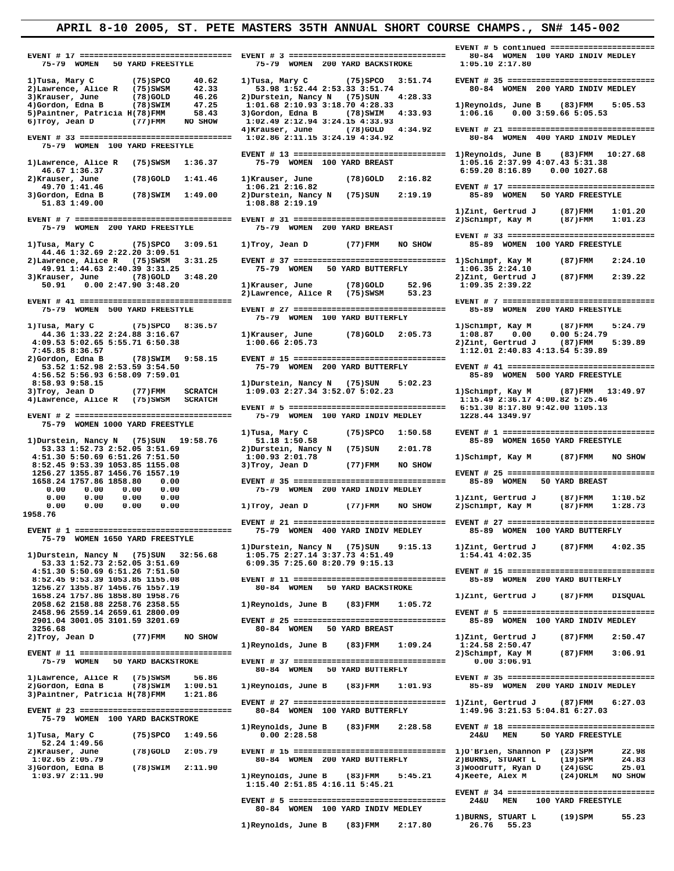**EVENT # 17 ================================ EVENT # 3 =============================== 80-84 WOMEN** 75-79 WOMEN 75-79 WOMEN 50 YARD FREESTYLE 75-79 WOMEN 200 YARD BACKSTROKE 1:05.10 2:17.80  **1)Tusa, Mary C (75)SPCO 40.62 1)Tusa, Mary C (75)SPCO 3:51.74 EVENT # 35 ================================ 2)Lawrence, Alice R** (75)SWSM<br>3)Krauser, June (78)GOLD 3)Krauser, June (78)GOLD 46.26 2)Durstein, Nancy N (75)SUN 4:28.33<br>4)Gordon, Edna B (78)SWIM 47.25 1:01.68 2:10.93 3:18.70 4:28.33 1)Reynolds, June B (83)FMM 5:05.53<br>5)Paint  **6)Troy, Jean D (77)FMM NO SHOW 1:02.49 2:12.94 3:24.15 4:33.93 4)Krauser, June (78)GOLD 4:34.92 EVENT # 21 ================================ EVENT # 33 ================================ 1:02.86 2:11.15 3:24.19 4:34.92 80-84 WOMEN 400 YARD INDIV MEDLEY 75-79 WOMEN 100 YARD FREESTYLE EVENT # 13 ================================ 1)Reynolds, June B (83)FMM 10:27.68 46.67 1:36.37 6:59.20 8:16.89 0.00 1027.68 49.70 1:41.46 1:06.21 2:16.82 EVENT # 17 ================================ 3)**Gordon, Edna B (78)SWIM 1:49.00 2)Durstein, Nancy N (75)SUN 2:19.19<br>51.83 1:49.00 1:08.88 2:19.19  **1)Zint, Gertrud J (87)FMM 1:01.20 EVENT # 7 ================================= EVENT # 31 ================================ 2)Schimpf, Kay M (87)FMM 1:01.23 75-79 WOMEN 200 YARD FREESTYLE 75-79 WOMEN 200 YARD BREAST EVENT # 33 ================================ 44.46 1:32.69 2:22.20 3:09.51 3)Krauser, June** (78)GOLD 3:48.20 <br>52.96 **2)Zint, Gertrud J** (87)FMM 2:39.22<br>52.91 **0.00 2:47.90 3:48.20** <br>1)Krauser, June (78)GOLD 52.96 1:09.35 2:39.22  **75-79 WOMEN 100 YARD BUTTERFLY**  1)Tusa, Mary C (75)SPCO 8:36.57<br>44.36 1:33.22 2:24.88 3:16.67 1)Krauser, June (78)GOLD 2:05.73 1:08.87 0.00 0.00 5:24.79<br>4:09.53 5:02.65 5:55.71 6:50.38 1:00.66 2:05.73 178.0201D 2:05.73 2)Zint, Gertrud J (87)FMM 5:39.89  **7:45.85 8:36.57 1:12.01 2:40.83 4:13.54 5:39.89 8:58.93 9:58.15 1)Durstein, Nancy N (75)SUN 5:02.23 3)Troy, Jean D (77)FMM SCRATCH 1:09.03 2:27.34 3:52.07 5:02.23 1)Schimpf, Kay M (87)FMM 13:49.97 4)Lawrence, Alice R (75)SWSM SCRATCH 1:15.49 2:36.17 4:00.82 5:25.46 EVENT # 2 ================================= 75-79 WOMEN 100 YARD INDIV MEDLEY 1228.44 1349.97 75-79 WOMEN 1000 YARD FREESTYLE 8:52.45 9:53.39 1053.85 1155.08<br>1256.27 1355.87 1456.76 1557.19 0.00 0.00 0.00 0.00 1)Zint, Gertrud J (87)FMM 1:10.52 0.00 0.00 0.00 0.00 1)Troy, Jean D (77)FMM NO SHOW 2)Schimpf, Kay M (87)FMM 1:28.73 1958.76 75-79 WOMEN 1650 YARD FREESTYLE**  1)Durstein, Nancy N (75)SUN 9:15.13 1)Zint, Gertrud J (87)FMM 4:02.35<br>1)Durstein, Nancy N (75)SUN 32:56.68 1:05.75 2:27.14 3:37.73 4:51.49 1:54.41 4:02.35  **1:05.75 2:27.14 3:37.73 4:51.49**<br>
53.33 1:52.73 2:52.05 3:51.69<br>
6:09.35 7:25.60 8:20.79 9:15.13  **53.33 1:52.73 2:52.05 3:51.69 6:09.35 7:25.60 8:20.79 9:15.13 8:52.45 9:53.39 1053.85 1155.08 EVENT # 11 ================================ 85-89 WOMEN 200 YARD BUTTERFLY 2058.62 2158.88 2258.76 2358.55 1)Reynolds, June B (83)FMM 1:05.72 2901.04 3001.05 3101.59 3201.69 EVENT # 25 ================================ 85-89 WOMEN 100 YARD INDIV MEDLEY 3256.68** 80-84 WOMEN 50 YARD BREAST 2)Trov. Jean D (77)FMM NO SHOW 80-84 WOMEN 50 YARD BREAST  **EVENT # 11 ================================ 2)Schimpf, Kay M (87)FMM 3:06.91 2)Gordon, Edna B (78)SWIM 1:00.51 1)Reynolds, June B (83)FMM 1:01.93 85-89 WOMEN 200 YARD INDIV MEDLEY 3)Paintner, Patricia H(78)FMM 1:21.86 EVENT # 23 ================================= 75-79 WOMEN 100 YARD BACKSTROKE 52.24 1:49.56 2)Krauser, June (78)GOLD 2:05.79 EVENT # 15 ================================ 1)O'Brien, Shannon P (23)SPM 22.98** 1:02.65 2:05.79 80-84 WOMEN 200 YARD BUTTERFLY 2) BURNS, STUART L (19)SPM 24.83<br>3)Gordon, Edna B (78)SWIM 2:11.90 1)Reynolds, June B (83)FMM 5:45.21 4)Keefe, Alex M (24)ORLM NO SHOW

75-79 WOMEN 200 YARD BACKSTROKE  **1)** a 1) a 1:36.37 1:36.37 1:36.37 1:36.37 1:36.37 1:05.16 2:37.99 4:07.43 5:31.38<br>16.67 1:36.37 1:36.37 6:59.20 8:16.89 0.00 1027.68  **2)Krauser, June (78)GOLD 1:41.46 1)Krauser, June (78)GOLD 2:16.82 51.83 1:49.00 1:08.88 2:19.19 2)Lawrence, Alice R (75)SWSM 3:31.25 EVENT # 37 ================================ 1)Schimpf, Kay M (87)FMM 2:24.10 49.311.25** 75-79 WOMEN 50 YARD BUTTERFLY 1:06.35 2:24.10<br>19.90LD 3:48.20 2)Zint, Gertrud J **1) Krauser, June (78) GOLD 52.96<br>2) Lawrence, Alice R (75) SWSM 53.23** 2)Lawrence, Alice R (75)SWSM **EVENT # 27 ================================= 2)Gordon, Edna B (78)SWIM 9:58.15 EVENT # 15 ================================ EVENT # 5 ================================= 6:51.30 8:17.80 9:42.00 1105.13 53.33 1:52.73 2:52.05 3:51.69 2)Durstein, Nancy N (75)SUN 2:01.78 EVENT # 35 ================================ 0.00 0.00 0.00 0.00 75-79 WOMEN 200 YARD INDIV MEDLEY**  80-84 WOMEN 50 YARD BACKSTROKE  **1)Reynolds, June B (83)FMM 1:09.24 1:24.58 2:50.47 75-79 WOMEN 50 YARD BACKSTROKE EVENT # 37 ================================ 0.00 3:06.91 80-84 WOMEN 50 YARD BUTTERFLY**  80-84 WOMEN 200 YARD BUTTERFLY 2) BURNS, STUART L<br>3) Woodruff, Ryan D<br>1) Reynolds, June B (83) FMM 5:45.21 4) Keefe, Alex M  **1:15.40 2:51.85 4:16.11 5:45.21 EVENT # 5 ================================= 24&U MEN 100 YARD FREESTYLE 80-84 WOMEN 100 YARD INDIV MEDLEY** 

 **1)Reynolds, June B (83)FMM 2:17.80 26.76 55.23**

 **EVENT # 41 ================================ EVENT # 7 ================================= 53.52 1:52.98 2:53.59 3:54.50 75-79 WOMEN 200 YARD BUTTERFLY EVENT # 41 ================================ 4:56.52 5:56.93 6:58.09 7:59.01 85-89 WOMEN 500 YARD FREESTYLE 1)Tusa, Mary C (75)SPCO 1:50.58 EVENT # 1 =================================** 85-89 WOMEN 1650 YARD FREESTYLE **1.51.30 5:50.69 6:51.26 7:51.50** 1:00.93 2:01.78 1)Schimpf, Kay M (87)FMM NO SHOW<br> **4:51.30 5:50.69 6:51.26 7:51.50** 1:00.93 2:01.78 1)Schimpf, Kay M (87)FMM NO SHOW<br>
8:52.45 9:53.39 1053.85 1155.08 3)Troy, Jean D (77)FMM  **1256.27 1355.87 1456.76 1557.19 EVENT # 25 ================================ EVENT # 21 ================================ EVENT # 27 ================================** 85-89 WOMEN 100 YARD BUTTERFLY  **4:51.30 5:50.69 6:51.26 7:51.50 EVENT # 15 ================================** 1658.24 1757.86 1858.80 1958.76<br>2058.62 2158.88 2258.76 2358.55 1)Reynolds, June B (83)FMM 1:05.72 1)Zint, Gertrud J (87)FMM DISQUAL  **2458.96 2559.14 2659.61 2800.09 EVENT # 5 =================================** 77)FMM NO SHOW 1)Reynolds, June B (83)FMM 1:09.24 1:24.58 2:50.47<br>1:24.58 2:50.47 1)Lawrence, Alice R (75)SWSM 56.86<br>2)Gordon, Edna B (78)SWIM 1:00.51 1)Reynolds, June B (83)FMM 1:01.93 85-89 WOMEN 200 YARD INDIV MEDLEY **EVENT # 27 =============================== 1)Zint, Gertrud J (87)FMM 6:27.03**<br>80-84 WOMEN 100 YARD BUTTERFLY 1:49.96 3:21.53 5:04.81 6:27.03  **1)Reynolds, June B (83)FMM 2:28.58 EVENT # 18 ================================ 24&U MEN 50 YARD FREESTYLE 4) Keefe, Alex M (24) ORLM NO SHOW EVENT # 34 ================================ 1)BURNS, STUART L (19)SPM 55.23**

 **EVENT # 5 continued =======================**

85-89 WOMEN 100 YARD FREESTYLE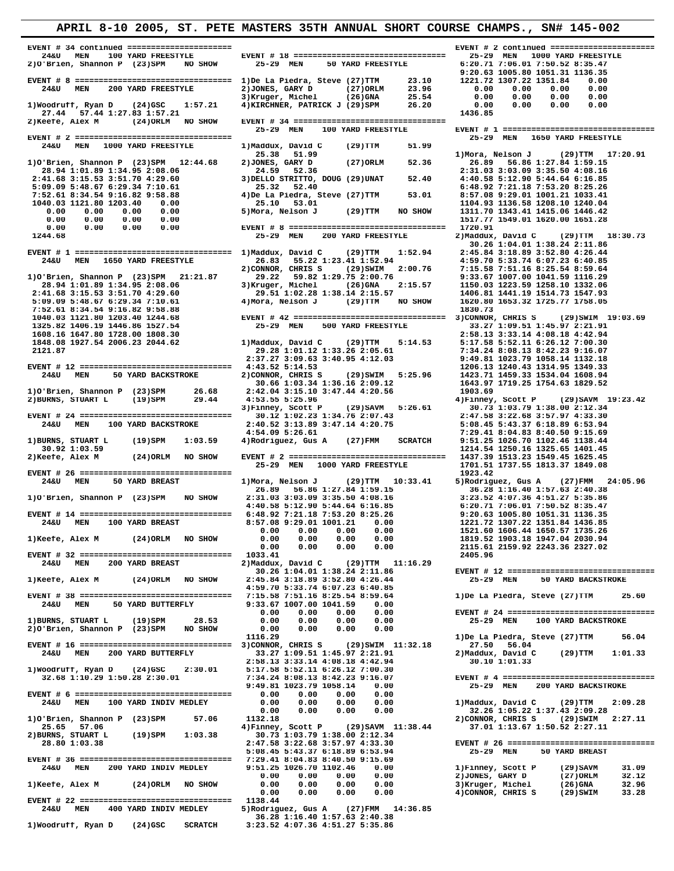**EVENT # 34 continued ====================== EVENT # 2 continued ======================= 24&U MEN 100 YARD FREESTYLE EVENT # 18 ================================ 25-29 MEN 1000 YARD FREESTYLE 2)O'Brien, Shannon P (23)SPM NO SHOW 25-29 MEN 50 YARD FREESTYLE 6:20.71 7:06.01 7:50.52 8:35.47 9:20.63 1005.80 1051.31 1136.35 EVENT # 8 ================================= 1)De La Piedra, Steve (27)TTM 23.10 1221.72 1307.22 1351.84 0.00 24&U MEN 200 YARD FREESTYLE 2)JONES, GARY D (27)ORLM 23.96 0.00 0.00 0.00 0.00 3)Kruger, Michel (26)GNA 25.54 0.00 0.00 0.00 0.00 1)Woodruff, Ryan D (24)GSC 1:57.21 4)KIRCHNER, PATRICK J (29)SPM 26.20 0.00 0.00 0.00 0.00 27.44 57.44 1:27.83 1:57.21 1436.85 2)Keefe, Alex M (24)ORLM NO SHOW EVENT # 34 ================================ EVENT # 2 ================================= 25-29 MEN 1650 YARD FREESTYLE 24&U MEN 1000 YARD FREESTYLE 1)Maddux, David C (29)TTM 51.99 25.38 51.99 1)Mora, Nelson J (29)TTM 17:20.91 1)O'Brien, Shannon P (23)SPM 12:44.68 2)JONES, GARY D (27)ORLM 52.36 26.89 56.86 1:27.84 1:59.15 28.94 1:01.89 1:34.95 2:08.06 24.59 52.36 2:31.03 3:03.09 3:35.50 4:08.16 5:09.09 5:48.67 6:29.34 7:10.61 25.32 52.40 6:48.92 7:21.18 7:53.20 8:25.26**  $\begin{array}{cccccccc} 1040.03 & 1121.80 & 1203.40 & 0.00 & 25.10 & 53.01 & 1104.93 & 1136.58 & 1208.10 & 1240.04 & 0.00 & 0.00 & 0.00 & 0.00 & 0.00 & 0.00 & 0.00 & 0.00 & 0.00 & 0.00 & 0.00 & 0.00 & 0.00 & 0.00 & 0.00 & 0.00 & 0.00 & 0.00 & 0.00 & 0.00 & 0.00 & 0.$ 1244.68 **1244.68** 1244.68 1244.68 1244.68 1244.68 25-29 MEN 200 YARD FREESTYLE 2) Maddux, David C (29)TTM 18:30.73  **30.26 1:04.01 1:38.24 2:11.86 EVENT # 1 ================================= 1)Maddux, David C (29)TTM 1:52.94 2:45.84 3:18.89 3:52.80 4:26.44**  $\begin{tabular}{cccccc} 24\&4:59.70 & 5:33.74 & 6:07.23 & 6:40.85 \\ 1) 0' \text{Brien},\; \text{Shannon P} & (23) \text{SPM} & 21:21.87 & 29.22 & 5:33.74 & 2:00.76 & 7:15.58 & 7:51.16 & 8:25.54 & 8:59.64 \\ 28.94 & 1:01.89 & 1:34.95 & 2:08.06 & 3) \text{Kryger, Michel} & (26) \text{GNA} & 2:15.57 &$ 7:52.61 8:34.54 9:16.82 9:58.88<br>
1830.73<br>
1830.73<br>
1830.73<br>
1830.73<br>
1830.73<br>
1830.73<br>
1830.73<br>
1830.73<br>
1830.73<br>
1830.73<br>
1830.73<br>
1830.73<br>
1830.73<br>
2.58.13 3:33.14 4:08.18 4:42.94<br>
1325.82 1406.19 1446.86 1527.54<br>
1848.  **EVENT # 12 ================================ 4:43.52 5:14.53 1206.13 1240.43 1314.95 1349.33 24&U MEN 50 YARD BACKSTROKE 2)CONNOR, CHRIS S (29)SWIM 5:25.96 1423.71 1459.33 1534.04 1608.94 30.66 1:03.34 1:36.16 2:09.12 1643.97 1719.25 1754.63 1829.52 1)O'Brien, Shannon P (23)SPM 26.68 2:42.04 3:15.10 3:47.44 4:20.56 1903.69** 2)BURNS, STUART L (19)SPM 29.44 4:53.55 5:25.96 4)Finney, Scott P (29)SAVM 19:23.42<br>3)Finney, Scott P (29)SAVM 5:26.61 3)Finney, Scott P (29)SAVM 3)Finney, Scott P (29)SAVM 19:23.42<br>2147.5 31.22.68 3:57.97 4:33.30<br>24&U MEN  **4:54.09 5:26.61 7:29.41 8:04.83 8:40.50 9:15.69 1)BURNS, STUART L (19)SPM 1:03.59 4)Rodriguez, Gus A (27)FMM SCRATCH 9:51.25 1026.70 1102.46 1138.44 30.92 1:03.59 1214.54 1250.16 1325.65 1401.45 2)Keefe, Alex M (24)ORLM NO SHOW EVENT # 2 ================================= 1437.39 1513.23 1549.45 1625.45 EVENT # 26 ================================ 1923.42**  $\begin{tabular}{cccccccc} 24\text{AU} & \text{MEN} & 50 & \text{YARD BREAST} & 1) \text{Mora}, & \text{Nelson J} & (29) \text{TTM} & 10:33.41 & 5) \text{Rodriquez}, & \text{Gus A} & (27) \text{FMM} & 24:05.96 \\ 1) 0' \text{Brien}, & \text{Shannon P} & (23) \text{SPM} & \text{NO} & 26.89 & 56.86 & 1:27.84 & 1:59.15 & 36.28 & 1:63.16 & 36.28 & 1:64.16$  **30.26 1:04.01 1:38.24 2:11.86 EVENT # 12 ================================ 1)Keefe, Alex M (24)ORLM NO SHOW 2:45.84 3:18.89 3:52.80 4:26.44 25-29 MEN 50 YARD BACKSTROKE 4:59.70 5:33.74 6:07.23 6:40.85 EVENT # 38 ================================ 7:15.58 7:51.16 8:25.54 8:59.64 1)De La Piedra, Steve (27)TTM 25.60 24&U MEN 50 YARD BUTTERFLY 9:33.67 1007.00 1041.59 0.00 0.00 0.00 0.00 0.00 EVENT # 24 ================================ 1)BURNS, STUART L (19)SPM 28.53 0.00 0.00 0.00 0.00 25-29 MEN 100 YARD BACKSTROKE 2)O'Brien, Shannon P (23)SPM NO SHOW 0.00 0.00 0.00 0.00 1116.29 1)De La Piedra, Steve (27)TTM 56.04 EVENT # 16 ================================ 3)CONNOR, CHRIS S (29)SWIM 11:32.18 27.50 56.04 24&U MEN 200 YARD BUTTERFLY 33.27 1:09.51 1:45.97 2:21.91 2)Maddux, David C (29)TTM 1:01.33 2:58.13 3:33.14 4:08.18 4:42.94 30.10 1:01.33 1)Woodruff, Ryan D (24)GSC 2:30.01 5:17.58 5:52.11 6:26.12 7:00.30 32.68 1:10.29 1:50.28 2:30.01 7:34.24 8:08.13 8:42.23 9:16.07 EVENT # 4 ================================= 9:49.81 1023.79 1058.14 0.00 25-29 MEN 200 YARD BACKSTROKE EVENT # 6 ================================= 0.00 0.00 0.00 0.00 24&U MEN 100 YARD INDIV MEDLEY 0.00 0.00 0.00 0.00 1)Maddux, David C (29)TTM 2:09.28 0.00 0.00 0.00 0.00 32.26 1:05.22 1:37.43 2:09.28 1)O'Brien, Shannon P (23)SPM 57.06 1132.18 2)CONNOR, CHRIS S (29)SWIM 2:27.11 25.65 57.06 4)Finney, Scott P (29)SAVM 11:38.44 37.01 1:13.67 1:50.52 2:27.11 2)BURNS, STUART L (19)SPM 1:03.38 30.73 1:03.79 1:38.00 2:12.34 28.80 1:03.38 2:47.58 3:22.68 3:57.97 4:33.30 EVENT # 26 ================================ 5:08.45 5:43.37 6:18.89 6:53.94 25-29 MEN 50 YARD BREAST EVENT # 36 ================================ 7:29.41 8:04.83 8:40.50 9:15.69 24&U MEN 200 YARD INDIV MEDLEY 9:51.25 1026.70 1102.46 0.00 1)Finney, Scott P (29)SAVM 31.09 0.00 0.00 0.00 0.00 2)JONES, GARY D (27)ORLM 32.12 1)Keefe, Alex M (24)ORLM NO SHOW 0.00 0.00 0.00 0.00 3)Kruger, Michel (26)GNA 32.96 0.00 0.00 0.00 0.00 4)CONNOR, CHRIS S (29)SWIM 33.28 EVENT # 22 ================================ 1138.44 24&U MEN 400 YARD INDIV MEDLEY 5)Rodriguez, Gus A (27)FMM 14:36.85 36.28 1:16.40 1:57.63 2:40.38 1)Woodruff, Ryan D (24)GSC SCRATCH 3:23.52 4:07.36 4:51.27 5:35.86** 

 **2:41.68 3:15.53 3:51.70 4:29.60 3)DELLO STRITTO, DOUG (29)UNAT 52.40 4:40.58 5:12.90 5:44.64 6:16.85** 4)De La Piedra, Steve (27)TTM 53.01 8:57.08 9:29.01 1001.21 1033.41<br>25.10 53.01 1104.93 1136.58 1208.10 1240.04<br>5)Mora, Nelson J (29)TTM NO SHOW 1311.70 1343.41 1415.06 1446.42 **25-29 MEN 1000 YARD FREESTYLE 1701.51 1737.55 1813.37 1849.08**<br>1923.42<br>1923.42  **24&U MEN 200 YARD BREAST 2)Maddux, David C (29)TTM 11:16.29** 

 **25-29 MEN 100 YARD FREESTYLE EVENT # 1 =================================**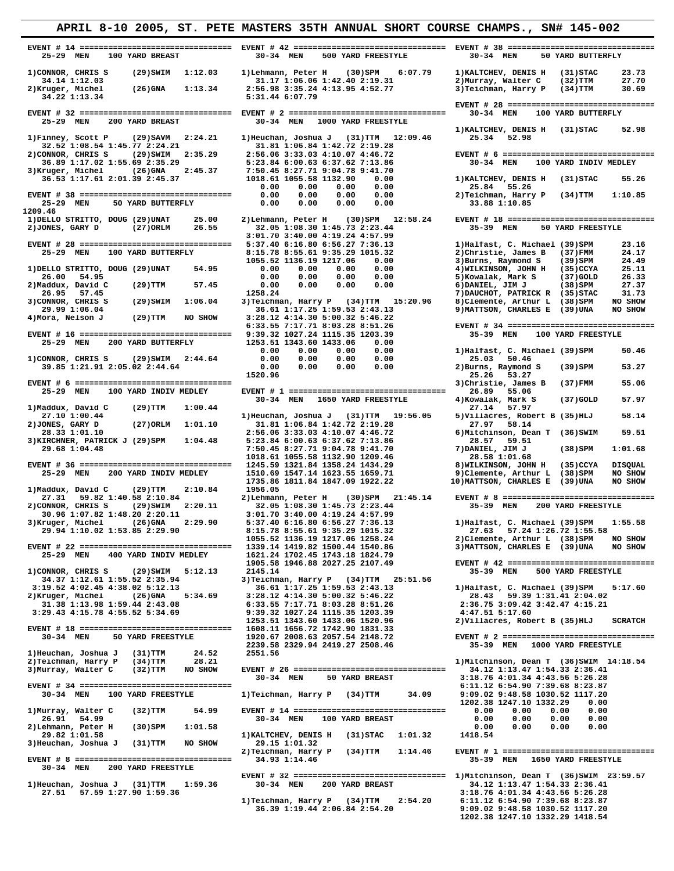# **APRIL 8-10 2005, ST. PETE MASTERS 35TH ANNUAL SHORT COURSE CHAMPS., SN# 145-002 EVENT # 14 ================================ EVENT # 42 ================================ EVENT # 38 ================================ 25-29 MEN 100 YARD BREAST 30-34 MEN 500 YARD FREESTYLE 30-34 MEN 50 YARD BUTTERFLY**  1)CONNOR, CHRIS S (29)SWIM 1:12.03 1)Lehmann, Peter H (30)SPM 6:07.79 1)KALTCHEV, DENIS H (31)STAC 23.73<br>34.14 1:12.03 31.17 1:06.06 1:42.40 2:19.31 2)Murray, Walter C (32)TTM 27.70<br>2)Kruger, Michel (26)GNA 1:13.34 2:56.98 **34.14 1:12.03**<br> **Example 1:13.34** 5:31.44 6:07.79<br> **34.22 1:13.34** 5:31.44 6:07.79  **EVENT # 28 ================================ EVENT # 32 ================================ EVENT # 2 ================================= 30-34 MEN 100 YARD BUTTERFLY 25-29 MEN 200 YARD BREAST 30-34 MEN 1000 YARD FREESTYLE**  1)Finney, Scott P (29)SAVM 2:24.21 1)Heuchan, Joshua J (31)TTM 12:09.46 1)KALTCHEV, DENIS H (31)STAC 52.98<br>32.52 1:08.54 1:45.77 2:24.21 31.81 1:06.84 1:42.72 2:19.28 25.34 52.98<br>2)CONNOR, CHRIS S (29)SWIM 2:35.29 2:56.06  **36.89 1:17.02 1:55.69 2:35.29 5:23.84 6:00.63 6:37.62 7:13.86 30-34 MEN 100 YARD INDIV MEDLEY 3)Kruger, Michel (26)GNA 2:45.37 7:50.45 8:27.71 9:04.78 9:41.70**  1.1991, MICHEL (2019) 2:45.37 1018.61 1055.58 1132.90 0.00 1)KALTCHEV, DENIS H (31)STAC 55.26<br>36.53 1:17.61 2:01.39 2:45.37 1018.61 1055.58 1132.90 0.00 0.00 1)KALTCHEV, DENIS H (31)STAC 55.26  **0.00 0.00 0.00 0.00 25.84 55.26 EVENT # 38 ================================ 0.00 0.00 0.00 0.00 2)Teichman, Harry P (34)TTM 1:10.85 25-29 MEN 50 YARD BUTTERFLY 0.00 0.00 0.00 0.00 33.88 1:10.85** 25-29 MEN 50 YARD BUTTERFLY<br>1209.46<br>1)DELLO STRITTO, DOUG (29)UNAT 25.0  **1)DELLO STRITTO, DOUG (29)UNAT 25.00 2)Lehmann, Peter H (30)SPM 12:58.24 EVENT # 18 ================================** 2)JONES, GARY D (27)ORLM 26.55 32.05 1:08.30 1:45.73 2:23.44<br>3:01.70 3:40.00 4:19.24 4:57.99  **3:01.70 3:40.00 4:19.24 4:57.99 EVENT # 28 ================================ 5:37.40 6:16.80 6:56.27 7:36.13 1)Halfast, C. Michael (39)SPM 23.16 25-29 MEN 100 YARD BUTTERFLY 8:15.78 8:55.61 9:35.29 1015.32 2)Christie, James B (37)FMM 24.17 1055.52 1136.19 1217.06 0.00 3)Burns, Raymond S (39)SPM 24.49 1)DELLO STRITTO, DOUG (29)UNAT 54.95 0.00 0.00 0.00 0.00 4)WILKINSON, JOHN H (35)CCYA 25.11 26.00 54.95 0.00 0.00 0.00 0.00 5)Kowalak, Mark S (37)GOLD 26.33 2)Maddux, David C (29)TTM 57.45 0.00 0.00 0.00 0.00 6)DANIEL, JIM J (38)SPM 27.37** 26.95 57.45 (29)SWIM 1:06.04 1258.24 (29) AUCHOT, PATRICK R (35)STAC 31.73<br>29.99 1:06.04 1:06.04 3)Teichman, Harry P (34)TTM 15:20.96 8)Clemente, Arthur L (38)SPM NO SHOW<br>29.99 1:06.04 (29)TTM NO SHOW 3:28.12 4:14.30 5:00.  **6:33.55 7:17.71 8:03.28 8:51.26 EVENT # 34 ================================ EVENT # 16 ================================ 9:39.32 1027.24 1115.35 1203.39 35-39 MEN 100 YARD FREESTYLE 25-29 MEN 200 YARD BUTTERFLY 1253.51 1343.60 1433.06 0.00 0.00 0.00 0.00 0.00 1)Halfast, C. Michael (39)SPM 50.46 1)CONNOR, CHRIS S (29)SWIM 2:44.64 0.00 0.00 0.00 0.00 25.03 50.46 39.85 1:21.91 2:05.02 2:44.64 0.00 0.00 0.00 0.00 2)Burns, Raymond S (39)SPM 53.27 1520.96 25.26 53.27 EVENT # 6 ================================= 3)Christie, James B (37)FMM 55.06 25-29 MEN 100 PREPLEY TO A 26-34 MEN 1650 YARD FREESTYLE 30-34 MEN 1650 YARD FREESTYLE 4)Kowalak, Mark S (37)GOLD 57.97** 1)Maddux, David (29)TTM 1:00.44<br>
27.10 1:00.44<br>
27.10 1:00.44<br>
27.10 1:00.44<br>
27.10 1:00.44<br>
28.33 1:01.10<br>
27.66.06 3:33.03 4:10.07 4:46.72<br>
28.33 1:01.10<br>
27.66.06 3:33.03 4:10.07 4:46.72<br>
28.56 1:04.48<br>
29.68 1:04.48<br>
2  **1)Maddux, David C (29)TTM 2:10.84 1956.05 27.31 59.82 1:40.58 2:10.84 2)Lehmann, Peter H (30)SPM 21:45.14 EVENT # 8 ================================= 2)CONNOR, CHRIS S (29)SWIM 2:20.11 32.05 1:08.30 1:45.73 2:23.44 35-39 MEN 200 YARD FREESTYLE 30.96 1:07.82 1:48.20 2:20.11 3:01.70 3:40.00 4:19.24 4:57.99**  3)Kruger, Michel (26)GNA 2:29.90 5:37.40 6:16.80 6:56.27 7:36.13 1)Halfast, C. Michael (39)SPM 1:55.58<br>29.94 1:10.02 1:53.85 2:29.90 8:15.78 8:55.61 9:35.29 1015.32 27.63 57.24 1:26.72 1:55.58<br>1055.55 1055.52 1136.19 1217.  **1)CONNOR, CHRIS S (29)SWIM 5:12.13 2145.14 35-39 MEN 500 YARD FREESTYLE 34.37 1:12.61 1:55.52 2:35.94 3)Teichman, Harry P (34)TTM 25:51.56 3:19.52 4:02.45 4:38.02 5:12.13 36.61 1:17.25 1:59.53 2:43.13 1)Halfast, C. Michael (39)SPM 5:17.60 2)Kruger, Michel (26)GNA 5:34.69 3:28.12 4:14.30 5:00.32 5:46.22 28.43 59.39 1:31.41 2:04.02 31.38 1:13.98 1:59.44 2:43.08 6:33.55 7:17.71 8:03.28 8:51.26 2:36.75 3:09.42 3:42.47 4:15.21 3:29.43 4:15.78 4:55.52 5:34.69 9:39.32 1027.24 1115.35 1203.39 4:47.51 5:17.60 1253.51 1343.60 1433.06 1520.96 2)Villacres, Robert B (35)HLJ SCRATCH EVENT # 18 ================================ 1608.11 1656.72 1742.90 1831.33 30-34 MEN 50 YARD FREESTYLE 1920.67 2008.63 2057.54 2148.72 EVENT # 2 =================================**

2239.58 2329.94 2419.27 2508.46 35-39 MEN 1000 YARD FREESTYLE (31)TTM 24.52 2551.56<br>2)Teichman, Harry P (34)TTM 28.21 1)Mitchinson, Dean T (36)SWIM 14:18.54<br>3)Murray, Walter C (32)TTM NO SHOW EVENT #26 ====================  **EVENT # 34 ================================ 6:11.12 6:54.90 7:39.68 8:23.87 30-34 MEN 100 YARD FREESTYLE 1)Teichman, Harry P (34)TTM 34.09 9:09.02 9:48.58 1030.52 1117.20 1202.38 1247.10 1332.29 0.00 1)Murray, Walter C (32)TTM 54.99 EVENT # 14 ================================ 0.00 0.00 0.00 0.00 26.91 54.99 30-34 MEN 100 YARD BREAST 0.00 0.00 0.00 0.00 2)Lehmann, Peter H (30)SPM 1:01.58 0.00 0.00 0.00 0.00** 26.91 54.99<br>
29.82 1:01.58<br>
29.82 1:01.58<br>
29.82 1:01.58<br>
29.82 1:01.58<br>
29.82 1:01.58<br>
29.82 1:01.58<br>
29.82 1:01.58<br>
29.82 1:01.58<br>
29.82 1:01.58<br>
29.15 1:01.32<br>
29.15 1:01.32<br>
29.15 1:01.32<br>
29.15 1:01.32 3) Heuchan, Joshua J (31) TTM NO SHOW  **EVENT # 8 ================================= 34.93 1:14.46 35-39 MEN 1650 YARD FREESTYLE 30-34 MEN 200 YARD FREESTYLE** 

 **30-34 MEN 50 YARD BREAST 3:18.76 4:01.34 4:43.56 5:26.28**

 **2)Teichman, Harry P (34)TTM 1:14.46 EVENT # 1 =================================**

 **EVENT # 32 ================================ 1)Mitchinson, Dean T (36)SWIM 23:59.57** 1)Heuchan, Joshua J (31)TTM 1:59.36 30-34 MEN 200 YARD BREAST 34.12 1:13.47 1:54.33 2:36.41<br>27.51 57.59 1:27.90 1:59.36 1)Teichman, Harry P (34)TTM 2:54.20 6:11.12 6:54.20<br>36.39 1:19.44 2:06.84 2:54.20 5:34.20 1202.38 1247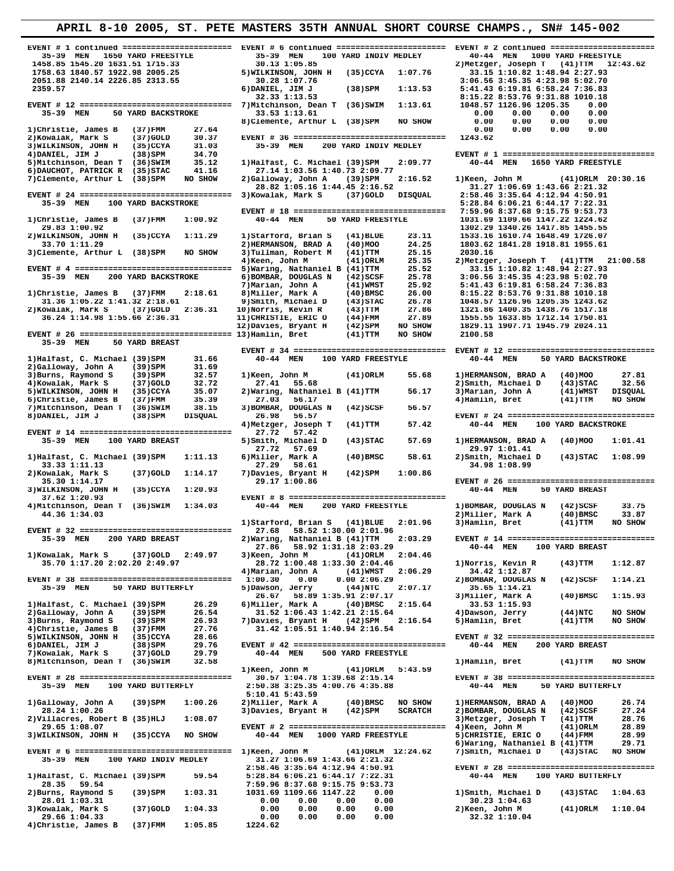| 35-39 MEN 1650 YARD FREESTYLE                                                | 35-39 MEN<br>100 YARD INDIV MEDLEY                                          | 40-44 MEN<br>1000 YARD FREESTYLE                                   |
|------------------------------------------------------------------------------|-----------------------------------------------------------------------------|--------------------------------------------------------------------|
| 1458.85 1545.20 1631.51 1715.33                                              | 30.13 1:05.85                                                               | 2) Metzger, Joseph T<br>$(41)$ TTM $12:43.62$                      |
| 1758.63 1840.57 1922.98 2005.25                                              | 5) WILKINSON, JOHN H<br>$(35)$ CCYA<br>1:07.76                              | 33.15 1:10.82 1:48.94 2:27.93                                      |
| 2051.88 2140.14 2226.85 2313.55                                              | 30.28 1:07.76                                                               | 3:06.56 3:45.35 4:23.98 5:02.70                                    |
| 2359.57                                                                      | 6) DANIEL, JIM J<br>(38)SPM<br>1:13.53                                      | 5:41.43 6:19.81 6:58.24 7:36.83                                    |
|                                                                              | 32.33 1:13.53                                                               | 8:15.22 8:53.76 9:31.88 1010.18                                    |
| 35-39 MEN<br>50 YARD BACKSTROKE                                              | 7) Mitchinson, Dean T (36) SWIM<br>1:13.61<br>33.53 1:13.61                 | 1048.57 1126.96 1205.35<br>0.00<br>0.00<br>0.00<br>0.00<br>0.00    |
|                                                                              | 8) Clemente, Arthur L (38) SPM<br>NO SHOW                                   | 0.00<br>0.00<br>0.00<br>0.00                                       |
| 1) Christie, James B<br>(37)FMM<br>27.64                                     |                                                                             | 0.00<br>0.00<br>0.00<br>0.00                                       |
| 30.37<br>2) Kowalak, Mark S<br>$(37)$ GOLD                                   | EVENT # 36 =================================                                | 1243.62                                                            |
| 3) WILKINSON, JOHN H<br>$(35)$ CCYA<br>31.03                                 | 35-39 MEN<br>200 YARD INDIV MEDLEY                                          |                                                                    |
| 34.70<br>4) DANIEL, JIM J<br>$(38)$ SPM                                      |                                                                             | EVENT # 1 =================================                        |
| 5) Mitchinson, Dean T<br>35.12<br>(36)SWIM<br>6) DAUCHOT, PATRICK R<br>41.16 | 1) Halfast, C. Michael (39) SPM<br>2:09.77<br>27.14 1:03.56 1:40.73 2:09.77 | 40-44 MEN<br>1650 YARD FREESTYLE                                   |
| (35) STAC<br>NO SHOW<br>7) Clemente, Arthur L<br>(38)SPM                     | 2) Galloway, John A<br>$(39)$ SPM<br>2:16.52                                | 1) Keen, John M<br>(41) ORLM 20:30.16                              |
|                                                                              | 28.82 1:05.16 1:44.45 2:16.52                                               | 31.27 1:06.69 1:43.66 2:21.32                                      |
| EVENT # 24 ================================= 3) Kowalak, Mark S              | $(37)$ GOLD<br>DISQUAL                                                      | 2:58.46 3:35.64 4:12.94 4:50.91                                    |
| 35-39 MEN<br>100 YARD BACKSTROKE                                             |                                                                             | 5:28.84 6:06.21 6:44.17 7:22.31                                    |
|                                                                              | EVENT # 18 =================================                                | 7:59.96 8:37.68 9:15.75 9:53.73                                    |
| 1:00.92<br>1) Christie, James B<br>(37)FMM                                   | 40-44 MEN<br>50 YARD FREESTYLE                                              | 1031.69 1109.66 1147.22 1224.62                                    |
| 29.83 1:00.92<br>2) WILKINSON, JOHN H<br>$(35)$ CCYA<br>1:11.29              | 1) Starford, Brian S<br>23.11<br>$(41)$ BLUE                                | 1302.29 1340.26 1417.85 1455.55<br>1533.16 1610.74 1648.49 1726.07 |
| 33.70 1:11.29                                                                | 2) HERMANSON, BRAD A<br>$(40)$ MOO<br>24.25                                 | 1803.62 1841.28 1918.81 1955.61                                    |
| 3) Clemente, Arthur L (38) SPM<br>NO SHOW                                    | 3) Tullman, Robert M<br>$(41)$ TTM<br>25.15                                 | 2030.16                                                            |
|                                                                              | 4) Keen, John M<br>$(41)$ ORLM<br>25.35                                     | 2) Metzger, Joseph T (41) TTM<br>21:00.58                          |
|                                                                              | 5) Waring, Nathaniel B (41) TTM<br>25.52                                    | 33.15 1:10.82 1:48.94 2:27.93                                      |
| 35-39 MEN<br>200 YARD BACKSTROKE                                             | 25.78<br>6) BOMBAR, DOUGLAS N<br>$(42)$ SCSF                                | 3:06.56 3:45.35 4:23.98 5:02.70                                    |
|                                                                              | 25.92<br>7) Marian, John A<br>$(41)$ WMST                                   | 5:41.43 6:19.81 6:58.24 7:36.83                                    |
| 1) Christie, James B<br>(37)FMM<br>2:18.61                                   | 8) Miller, Mark A<br>$(40)$ BMSC<br>26.00                                   | 8:15.22 8:53.76 9:31.88 1010.18                                    |
| 31.36 1:05.22 1:41.32 2:18.61                                                | 26.78<br>9) Smith, Michael D<br>$(43)$ STAC                                 | 1048.57 1126.96 1205.35 1243.62                                    |
| 2) Kowalak, Mark S<br>$(37)$ GOLD<br>2:36.31                                 | 27.86<br>10)Norris, Kevin R<br>$(43)$ TTM                                   | 1321.86 1400.35 1438.76 1517.18                                    |
| 36.24 1:14.98 1:55.66 2:36.31                                                | 27.89<br>11) CHRISTIE, ERIC O<br>(44) FMM<br>NO SHOW<br>$(42)$ SPM          | 1555.55 1633.85 1712.14 1750.81                                    |
| EVENT # 26 ================================= 13) Hamlin, Bret                | 12) Davies, Bryant H<br>$(41)$ TTM<br>NO SHOW                               | 1829.11 1907.71 1945.79 2024.11<br>2100.58                         |
| 50 YARD BREAST<br>35-39 MEN                                                  |                                                                             |                                                                    |
|                                                                              |                                                                             |                                                                    |
| 1) Halfast, C. Michael (39) SPM<br>31.66                                     | 40-44 MEN<br>100 YARD FREESTYLE                                             | 40-44 MEN<br>50 YARD BACKSTROKE                                    |
| 2)Galloway, John A<br>$(39)$ SPM<br>31.69                                    |                                                                             |                                                                    |
| 3) Burns, Raymond S<br>32.57<br>$(39)$ SPM                                   | 1) Keen, John M<br>$(41)$ ORLM<br>55.68                                     | 1) HERMANSON, BRAD A<br>27.81<br>$(40)$ MOO                        |
| 4) Kowalak, Mark S<br>$(37)$ GOLD<br>32.72                                   | 27.41<br>55.68                                                              | 2) Smith, Michael D<br>$(43)$ STAC<br>32.56                        |
| 35.07<br>5) WILKINSON, JOHN H<br>$(35)$ CCYA                                 | 2) Waring, Nathaniel B (41) TTM<br>56.17                                    | 3) Marian, John A<br>$(41)$ WMST<br><b>DISQUAL</b>                 |
| 6) Christie, James B<br>35.39<br>(37) FMM                                    | 27.03<br>56.17                                                              | 4) Hamlin, Bret<br>NO SHOW<br>(41)TTM                              |
| 7) Mitchinson, Dean T<br>(36)SWIM<br>38.15                                   | 56.57<br>3) BOMBAR, DOUGLAS N<br>$(42)$ SCSF                                |                                                                    |
| 8) DANIEL, JIM J<br>$(38)$ SPM<br><b>DISQUAL</b>                             | 26.98<br>56.57                                                              | EVENT # 24 ================================                        |
| EVENT # 14 =================================                                 | 57.42<br>4) Metzger, Joseph T<br>(41)TTM                                    | 40-44 MEN<br>100 YARD BACKSTROKE                                   |
| 35-39 MEN<br>100 YARD BREAST                                                 | 27.72<br>57.42<br>57.69<br>5) Smith, Michael D<br>$(43)$ STAC               | 1) HERMANSON, BRAD A<br>$(40)$ MOO<br>1:01.41                      |
|                                                                              | 27.72<br>57.69                                                              | 29.97 1:01.41                                                      |
| 1) Halfast, C. Michael (39) SPM<br>1:11.13                                   | 6) Miller, Mark A<br>$(40)$ BMSC<br>58.61                                   | 2) Smith, Michael D<br>$(43)$ STAC<br>1:08.99                      |
| 33.33 1:11.13                                                                | 27.29<br>58.61                                                              | 34.98 1:08.99                                                      |
| 2) Kowalak, Mark S<br>$(37)$ GOLD<br>1:14.17                                 | 7) Davies, Bryant H<br>$(42)$ SPM<br>1:00.86                                |                                                                    |
| 35.30 1:14.17                                                                | 29.17 1:00.86                                                               | EVENT # 26 =================================                       |
| 3) WILKINSON, JOHN H<br>$(35)$ CCYA<br>1:20.93                               |                                                                             | 40-44 MEN<br>50 YARD BREAST                                        |
| 37.62 1:20.93                                                                |                                                                             |                                                                    |
| 4) Mitchinson, Dean T (36) SWIM<br>1:34.03                                   | 40-44 MEN<br>200 YARD FREESTYLE                                             | 1) BOMBAR, DOUGLAS N<br>$(42)$ SCSF<br>33.75                       |
| 44.36 1:34.03                                                                |                                                                             | 2) Miller, Mark A<br>33.87<br>$(40)$ BMSC                          |
|                                                                              | 1) Starford, Brian S (41) BLUE<br>2:01.96                                   | 3) Hamlin, Bret<br>$(41)$ TTM<br>NO SHOW                           |
| EVENT # 32 =====================<br>35-39 MEN<br>200 YARD BREAST             | 27.68 58.52 1:30.00 2:01.96<br>2) Waring, Nathaniel B (41) TTM<br>2:03.29   | EVENT # 14 =================================                       |
|                                                                              | 58.92 1:31.18 2:03.29<br>27.86                                              | 100 YARD BREAST<br>40-44 MEN                                       |
| 1) Kowalak, Mark S<br>$(37)$ GOLD<br>2:49.97                                 | 3) Keen, John M<br>$(41)$ ORLM<br>2:04.46                                   |                                                                    |
|                                                                              |                                                                             |                                                                    |
|                                                                              |                                                                             | 1) Norris, Kevin R                                                 |
| 35.70 1:17.20 2:02.20 2:49.97                                                | 28.72 1:00.48 1:33.30 2:04.46<br>4) Marian, John A<br>(41)WMST<br>2:06.29   | $(43)$ TTM<br>1:12.87<br>34.42 1:12.87                             |
| EVENT # 38 =================================                                 | 0.00<br>1:00.30<br>0.002:06.29                                              | 2) BOMBAR, DOUGLAS N<br>$(42)$ SCSF<br>1:14.21                     |
| 35-39 MEN<br>50 YARD BUTTERFLY                                               | 2:07.17<br>5) Dawson, Jerry<br>$(44)$ NTC                                   | 35.65 1:14.21                                                      |
|                                                                              | 58.89 1:35.91 2:07.17<br>26.67                                              | 3) Miller, Mark A<br>$(40)$ BMSC<br>1:15.93                        |
| 1) Halfast, C. Michael (39) SPM<br>26.29                                     | 6) Miller, Mark A<br>(40)BMSC<br>2:15.64                                    | 33.53 1:15.93                                                      |
| 26.54<br>2)Galloway, John A<br>(39)SPM                                       | 31.52 1:06.43 1:42.21 2:15.64                                               | 4) Dawson, Jerry<br>(44)NTC<br>NO SHOW                             |
| 26.93<br>3) Burns, Raymond S<br>$(39)$ SPM                                   | 7) Davies, Bryant H<br>(42)SPM<br>2:16.54                                   | 5)Hamlin, Bret<br>(41)TTM<br>NO SHOW                               |
| 4) Christie, James B<br>27.76<br>(37)FMM                                     | 31.42 1:05.51 1:40.94 2:16.54                                               |                                                                    |
| 5) WILKINSON, JOHN H<br>(35)CCYA<br>28.66                                    |                                                                             | EVENT # 32 ================================                        |
| 29.76<br>6) DANIEL, JIM J<br>$(38)$ SPM                                      |                                                                             | 40-44 MEN<br>200 YARD BREAST                                       |
| 7) Kowalak, Mark S<br>$(37)$ GOLD<br>29.79                                   | 40-44 MEN<br>500 YARD FREESTYLE                                             |                                                                    |
| 8) Mitchinson, Dean T (36) SWIM<br>32.58                                     | 5:43.59                                                                     | 1)Hamlin, Bret<br>(41)TTM<br>NO SHOW                               |
| EVENT # 28 =================================                                 | 1)Keen, John M<br>(41)ORLM<br>30.57 1:04.78 1:39.68 2:15.14                 | EVENT # 38 ================================                        |
| 35-39 MEN<br>100 YARD BUTTERFLY                                              | 2:50.38 3:25.35 4:00.76 4:35.88                                             | 40-44 MEN<br>50 YARD BUTTERFLY                                     |
|                                                                              | 5:10.41 5:43.59                                                             |                                                                    |
| 1)Galloway, John A<br>(39)SPM<br>1:00.26                                     | 2) Miller, Mark A<br>$(40)$ BMSC<br>NO SHOW                                 | 1) HERMANSON, BRAD A<br>$(40)$ MOO<br>26.74                        |
| 28.24 1:00.26                                                                | 3) Davies, Bryant H<br>(42)SPM<br><b>SCRATCH</b>                            | 27.24<br>2) BOMBAR, DOUGLAS N<br>(42) SCSF                         |
| 2) Villacres, Robert B (35) HLJ<br>1:08.07                                   |                                                                             | 28.76<br>3) Metzger, Joseph T<br>(41)TTM                           |
| 29.65 1:08.07                                                                |                                                                             | 4) Keen, John M<br>28.89<br>(41) ORLM                              |
| 3) WILKINSON, JOHN H<br>(35) CCYA<br>NO SHOW                                 | 40-44 MEN 1000 YARD FREESTYLE                                               | 5) CHRISTIE, ERIC O<br>28.99<br>(44)FMM                            |
|                                                                              |                                                                             | 6) Waring, Nathaniel B (41) TTM<br>29.71                           |
|                                                                              | $(41)$ ORLM $12:24.62$                                                      | 7) Smith, Michael D<br>NO SHOW<br>(43) STAC                        |
| 35-39 MEN<br>100 YARD INDIV MEDLEY                                           | 31.27 1:06.69 1:43.66 2:21.32<br>2:58.46 3:35.64 4:12.94 4:50.91            | EVENT # 28 ================================                        |
| 1) Halfast, C. Michael (39) SPM<br>59.54                                     | 5:28.84 6:06.21 6:44.17 7:22.31                                             | 40-44 MEN<br>100 YARD BUTTERFLY                                    |
| 28.35 59.54                                                                  | 7:59.96 8:37.68 9:15.75 9:53.73                                             |                                                                    |
| $(39)$ SPM<br>1:03.31<br>2) Burns, Raymond S                                 | 1031.69 1109.66 1147.22<br>0.00                                             | 1)Smith, Michael D<br>$(43)$ STAC<br>1:04.63                       |
| 28.01 1:03.31                                                                | 0.00<br>0.00<br>0.00<br>0.00                                                | 30.23 1:04.63                                                      |
| 1:04.33<br>3) Kowalak, Mark S<br>(37) GOLD                                   | 0.00<br>0.00<br>0.00<br>0.00                                                | 1:10.04<br>2) Keen, John M<br>(41)ORLM                             |
| 29.66 1:04.33<br>1:05.85<br>4) Christie, James B<br>(37)FMM                  | 0.00<br>0.00<br>0.00<br>0.00<br>1224.62                                     | 32.32 1:10.04                                                      |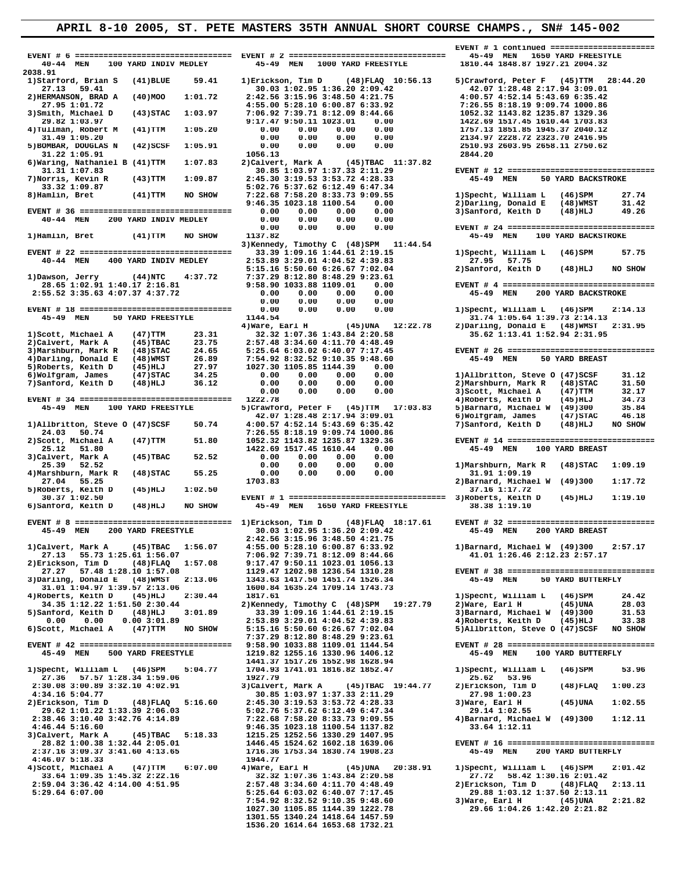**EVENT # 6 ================================= EVENT # 2 ================================= 45-49 MEN 1650 YARD FREESTYLE 40-44 MEN 100 YARD INDIV MEDLEY 2038.91 1)Starford, Brian S** (41)BLUE 59.41 1)Erickson, Tim D (48)FLAQ 10:56.13 5)Crawford, Peter F (45)TTM 28:44.20<br>27.13 59.41 30.03 1:02.95 1:36.20 2:09.42 42.07 1:28.48 2:17.94 3:09.01<br>2)HERMANSON, BRAD A (40)MOO 1:01.72 2:42  **2)HERMANSON, BRAD A (40)MOO 1:01.72 2:42.56 3:15.96 3:48.50 4:21.75 4:00.57 4:52.14 5:43.69 6:35.42** 27.95 1:01.72<br>
3) Smith, Michael D (43) STAC 1:03.97<br>
3) Smith, Michael D (43) STAC 1:03.97<br>
41 STAC 1:03.97<br>
32.92 1143.82 1235.87 1329.36<br>
32.82 1:03.97<br>
42.82 1235.87 1329.36<br>
42.82 1235.87 1329.36<br>
41 TIM 1:05.20<br>
31.4  **5)BOMBAR, DOUGLAS N (42)SCSF 1:05.91 0.00 0.00 0.00 0.00 2510.93 2603.95 2658.11 2750.62 31.22 1:05.91 1056.13 2844.20 6)Waring, Nathaniel B (41)TTM 1:07.83** 2)Calvert, Mark A (45)TBAC 11:37.82<br>31.31 1:07.83 30.85 1:03.97 1:37.33 2:11.29  **31.31 1:07.83 30.85 1:03.97 1:37.33 2:11.29 EVENT # 12 ================================ 7)Norris, Kevin R (43)TTM 1:09.87 2:45.30 3:19.53 3:53.72 4:28.33 45-49 MEN 50 YARD BACKSTROKE 33.32 1:09.87**<br> **8)Hamlin, Bret** (41)TTM NO SHOW  **8)Hamlin, Bret (41)TTM NO SHOW 7:22.68 7:58.20 8:33.73 9:09.55 1)Specht, William L (46)SPM 27.74 9:46.35 1023.18 1100.54 0.00 2)Darling, Donald E (48)WMST 31.42 EVENT # 36 ================================ 0.00 0.00 0.00 0.00 3)Sanford, Keith D (48)HLJ 49.26 40-44 MEN 200 YARD INDIV MEDLEY 0.00 0.00 0.00 0.00 0.00 0.00 0.00 0.00 EVENT # 24 ================================ 3)Kennedy, Timothy C (48)SPM 11:44.54 EVENT # 22 ================================ 33.39 1:09.16 1:44.61 2:19.15 1)Specht, William L (46)SPM 57.75**  $\begin{array}{cccccccc} 40-44 & \text{MEN} & 400 & \text{YARD INDIV MEDLEY} & 2:53.89 & 3:29.01 & 4:04.52 & 4:39.83 & 27.95 & 57.75 & 57.75 & 57.75 & 57.75 & 57.75 & 57.75 & 57.75 & 57.75 & 57.75 & 57.75 & 57.75 & 57.75 & 57.75 & 57.75 & 57.75 & 57.75 & 57.75 & 57.75 & 57.75 & 57.7$  **4)Ware, Earl H (45)UNA 12:22.78 2)Darling, Donald E (48)WMST 2:31.95 1)Scott, Michael A (47)TTM 23.31 32.32 1:07.36 1:43.84 2:20.58 35.62 1:13.41 1:52.94 2:31.95 2)Calvert, Mark A (45)TBAC 23.75 2:57.48 3:34.60 4:11.70 4:48.49 3)Marshburn, Mark R (48)STAC 24.65 5:25.64 6:03.02 6:40.07 7:17.45 EVENT # 26 ================================ 4)Darling, Donald E (48)WMST 26.89 7:54.92 8:32.52 9:10.35 9:48.60 45-49 MEN 50 YARD BREAST 5)Roberts, Keith D (45)HLJ 27.97 1027.30 1105.85 1144.39 0.00 6)Wolfgram, James (47)STAC 34.25 0.00 0.00 0.00 0.00 1)Allbritton, Steve O (47)SCSF 31.12 7)Sanford, Keith D (48)HLJ 36.12 0.00 0.00 0.00 0.00 2)Marshburn, Mark R (48)STAC 31.50 0.00 0.00 0.00 0.00 3)Scott, Michael A (47)TTM 32.17 EVENT # 34 ================================ 1222.78 4)Roberts, Keith D (45)HLJ 34.73 45-49 MEN 100 YARD FREESTYLE 5)Crawford, Peter F (45)TTM 17:03.83 5)Barnard, Michael W (49)300 35.84 42.07 1:28.48 2:17.94 3:09.01 6)Wolfgram, James (47)STAC 46.18** 43-49 MEN 100 TARD FREESITLE 5)CRAWTOR, PETER F (43)11M 17:03.63 5)Barnard, Michael W (49)300 33.64<br>42.07 1:28.48 2:17.94 3:09.01 6)Wolfgram, James (47)STAC 46.18<br>24.03 50.74 7:26.55 8:18.19 9:09.74 1000.86 7)Sanford, Keit  **24.03 50.74 7:26.55 8:18.19 9:09.74 1000.86 2)Scott, Michael A (47)TTM 51.80 1052.32 1143.82 1235.87 1329.36 EVENT # 14 ================================ 25.12 51.80 1422.69 1517.45 1610.44 0.00 45-49 MEN 100 YARD BREAST 25.12** 51.80<br>3)Calvert, Mark A (45)TBAC 52.52<br>25.39 52.52 **4)Marshburn, Mark R (48)STAC 55.25 0.00** 27.04 55.25 1703.83  **27.04 55.25 1703.83 2)Barnard, Michael W (49)300 1:17.72 5)Roberts, Keith D (45)HLJ 1:02.50 37.16 1:17.72 30.37 1:02.50 EVENT # 1 ================================= 3)Roberts, Keith D (45)HLJ 1:19.10 6)Sanford, Keith D (48)HLJ NO SHOW 45-49 MEN 1650 YARD FREESTYLE 38.38 1:19.10 EVENT # 8 ================================= 1)Erickson, Tim D (48)FLAQ 18:17.61 EVENT # 32 ================================ 45-49 MEN 200 YARD FREESTYLE 30.03 1:02.95 1:36.20 2:09.42 45-49 MEN 200 YARD BREAST 2:42.56 3:15.96 3:48.50 4:21.75**  1)Calvert, Mark A (45)TBAC 1:56.07 4:55.00 5:28.10 6:00.87 6:33.92 1)Barnard, Michael W (49)300 2:57.17<br>27.13 55.73 1:25.61 1:56.07 7:06.92 7:39.71 8:12.09 8:44.66 41.01 1:26.46 2:12.23 2:57.17<br>2)Erickson, Tim D (48)FLAQ 1  **27.27 57.48 1:28.10 1:57.08 1129.47 1202.98 1236.54 1310.28 EVENT # 38 ================================ 3)Darling, Donald E (48)WMST 2:13.06 1343.63 1417.50 1451.74 1526.34 45-49 MEN 50 YARD BUTTERFLY 31.01 1:04.97 1:39.57 2:13.06 1600.84 1635.24 1709.14 1743.73 4)Roberts, Keith D (45)HLJ 2:30.44 1817.61 1)Specht, William L (46)SPM 24.42 34.35 1:12.22 1:51.50 2:30.44 2)Kennedy, Timothy C (48)SPM 19:27.79 2)Ware, Earl H (45)UNA 28.03** 5)Sanford, Keith D (48)HLJ 3:01.89 33.39 1:09.16 1:44.61 2:19.15 3)Barnard, Michael W (49)300 31.53<br>0.00 0.00 0.00 3:01.89 2:53.89 3:29.01 4:04.52 4:39.83 4)Roberts, Keith D (45)HLJ 33.38<br>6)Scott, Michael A (47)TTM NO SHOW  **7:37.29 8:12.80 8:48.29 9:23.61 EVENT # 42 ================================ 9:58.90 1033.88 1109.01 1144.54 EVENT # 28 ================================ 45-49 MEN 500 YARD FREESTYLE 1219.82 1255.16 1330.96 1406.12 45-49 MEN 100 YARD BUTTERFLY 1441.37 1517.26 1552.98 1628.94**  1)Specht, William L (46)SPM 5:04.77 1704.93 1741.01 1816.82 1852.47 1)Specht, William L (46)SPM 53.96<br>27.36 57.57 1:28.34 1:59.06 1927.79 25.62 53.96 23.06 1927.79 25.62 53.96 2:30.08 3:00.89 3:32.10 4:02.91 3)Calvert, mark A (45)LDAL 15:33.13 2010 30.085 1:00.23<br>4:34.16 5:04.77 30.85 1:03.97 1:37.33 2:11.29 3)Ware, Earl H (48)FLAQ 5:16.60 3:45.30 3:19.53 3:53.72 4:28.33<br>3)Erickson, Tim D (48)FL 2) Erickson, Tim D (48) FLAQ 5:16.60 2:45.30 3:19.53 3:53.72 4:28.33 3) Ware, Earl H (45) UNA 1:02.55<br>29.62 1:01.22 1:33.39 2:06.03 5:02.76 5:37.62 6:12.49 6:47.34 29.14 1:02.55<br>2:38.46 3:10.40 3:42.76 4:14.89 7:22.68 7:58  **4:46.44 5:16.60 9:46.35 1023.18 1100.54 1137.82 33.64 1:12.11 3)Calvert, Mark A (45)TBAC 5:18.33 1215.25 1252.56 1330.29 1407.95 28.82 1:00.38 1:32.44 2:05.01 1446.45 1524.62 1602.18 1639.06 EVENT # 16 ================================ 2:37.16 3:09.37 3:41.60 4:13.65 1716.36 1753.34 1830.74 1908.23 45-49 MEN 200 YARD BUTTERFLY**  4:46.07 5:18.33 1944.77<br>4) 49 4.77 Earl H (45)UNA 20:38.91 1)Specht, William L (46)SPM 2:01.42<br>33.64 1:09.35 1:45.32 2:22.16 32.32 1:07.36 1:43.84 2:20.58 27.72 58.42 1:30.16 2:01.42<br>2:59.04 3:36.42 4:14.00 4:51.95 2:57.48  **5:29.64 6:07.00 5:25.64 6:03.02 6:40.07 7:17.45 29.88 1:03.12 1:37.50 2:13.11**

**30.03 1:02.95 1:36.20 2:09.42**<br>2:42.56 3:15.96 3:48.50 4:21.75  **1027.30 1105.85 1144.39 1222.78 29.66 1:04.26 1:42.20 2:21.82 1301.55 1340.24 1418.64 1457.59 1536.20 1614.64 1653.68 1732.21** 

 **EVENT # 1 continued ======================= 100 YARD BACKSTROKE 11:44.54 15-49** MEN 100 YARD BACKSTROKE  **25.39 52.52 0.00 0.00 0.00 0.00 1)Marshburn, Mark R (48)STAC 1:09.19 29.88 1:03.12 1:37.30 2:31.82**<br>3) Ware, Earl H (45)UNA 2:21.82<br>29.66 1:04.26 1:42.20 2:21.82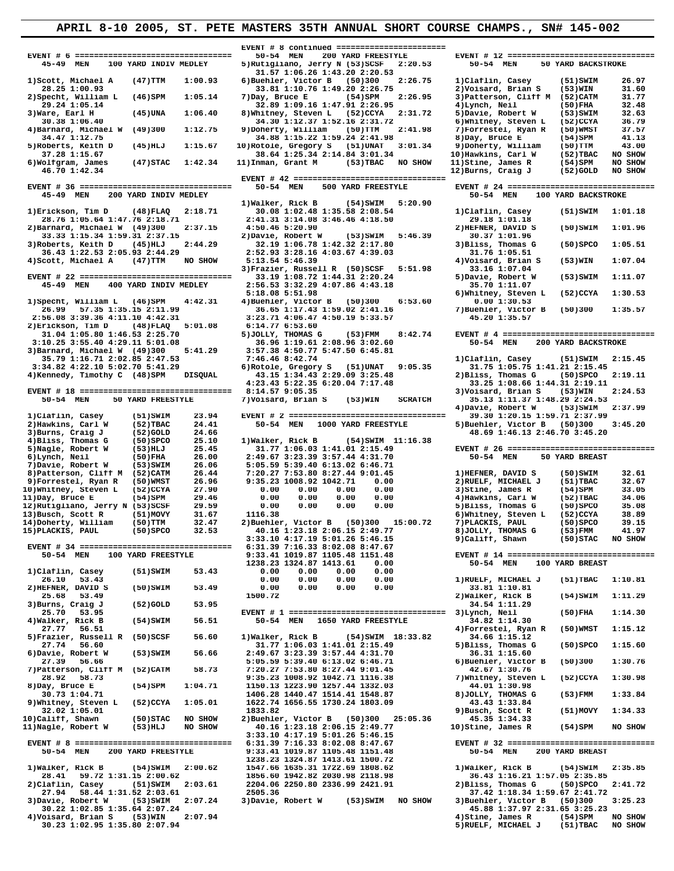**EVENT # 8 continued ======================= 45-49 MEN 100 YARD INDIV MEDLEY** 31.57 1:06.26 1:43.20 2:20.53<br>1)Scott, Michael A (47)TTM 1:00.93 6)Buehler, Victor B (50)300 2:26.75 **28.25 1:00.93** 33.81 1:10.76 1:49.20 2:26.75 2)Voisard, Brian S (53)WIN 31.60<br>2)Specht, William L (46)SPM 1:05.14 7)Day, Bruce E (54)SPM 2:26.95 3)Patterson, Cliff M (52)CATM 31.77  **2)Specht, William L (46)SPM 1:05.14 7)Day, Bruce E (54)SPM 2:26.95 3)Patterson, Cliff M (52)CATM 31.77 29.24 1:05.14 32.89 1:09.16 1:47.91 2:26.95 4)Lynch, Neil (50)FHA 32.48 32.89 1:09.16 1:47.91 2:26.95** 4)Lynch, Neil (50)FHA 32.48<br>3)Ware, Earl H (45)UNA 1:06.40 8)Whitney, Steven L (52)CCYA 2:31.72 5)Davie, Robert W (53)SWIM 32.63<br>30.38 1:06.40 34.30 1:12.37 1:52.16 2:31.72 6)Whitney, Steven  **4)Barnard, Michael W (49)300 1:12.75 9)Doherty, William (50)TTM 2:41.98 7)Forrestel, Ryan R (50)WMST 37.57** 34.47 1:12.75 34.88 1:15.22 1:59.24 2:41.98 8)Day, Bruce E (54)SPM 41.13<br>5)Roberts, Keith D (45)HLJ 1:15.67 10)Rotole, Gregory S (51)UNAT 3:01.34 9)Doherty, William (50)TTM 43.00<br>37.28 1:15.67 38.64 1:25.34 2:14.84 3:01.34 **14.47 1:12.75**<br> **5)Roberts, Keith D** (45)HLJ 1:15.67 10)Rotole, Gregory S (51)UNAT 3:01.34 9)Doherty, William (52)TBAC NO SHOW<br>
38.64 1:25.34 2:14.84 3:01.34 10)Hawkins, Carl W (52)TBAC NO SHOW<br>
6)Wolfgram, James (47)STAC  **EVENT # 42 ================================**  45-49 MEN 200 YARD INDIV MEDLEY<br>1) Walker, Rick B (54) SWIM 5:20.90 **1)Walker, Rick B**<br>**1)Erickson, Tim D** (48)FLAQ 2:18.71 **30.08** 1:02.48 28.76 1:05.64 1:47.76 2:18.71 2:41.31 3:14.08 3:46.46 4:18.50 29.18 1:01.18<br>
2)Barnard, Michael W (49)300 2:37.15 4:50.46 5:20.90 2)HEFNER, DAVID S<br>
33.33 1:15.34 1:59.31 2:37.15 2)Davie, Robert W (53)SWIM 5:46.39 30.37 1: 2) Barnard, Michael W (49) 300 2:37.15 4:50.46 5:20.90 2 2:37.15 4:50.46 5:20.90 2) 2) EEFNER, DAVID S (50) SWIM 1:01.96<br>33.33 1:15.34 1:59.31 2:37.15 2) Davie, Robert W (53) SWIM 5:46.39 30.37 1:01.96<br>3) Roberts, Keith D  **4)Scott, Michael A (47)TTM NO SHOW 5:13.54 5:46.39 4)Voisard, Brian S (53)WIN 1:07.04 3)Frazier, Russell R (50)SCSF 5:51.98 33.16 1:07.04 5:18.08 5:51.98 6)Whitney, Steven L (52)CCYA 1:30.53 1)Specht, William L (46)SPM 4:42.31 4)Buehler, Victor B**<br>26.99 57.35 1:35.15 2:11.99 36.65 1:17.43 1:53.6<br>2:56.08 3:30.36 4:11.10 4:42.31 3:23.71 4:06.47 4:50  **2)Erickson, Tim D (48)FLAQ 5:01.08 6:14.77 6:53.60 3:10.25 3:55.40 4:29.11 5:01.08** 36.96 1:19.61 2:08.96 3:02.60<br>3)Barnard, Michael W (49)300 5:41.29 3:57.38 4:50.77 5:47.50 6:45.81 1, 33.79 1:16.71 2:37.300 1.11.25 1.2.7.300 1.2.71 2:15.45 1.334.82.74 1.6.71 2:15.45<br>3:34.82 4:22.10 5:02.85 2:41.29 1.35.46 8:42.74 6.18.46 8:42.74 1.31 2:15.45 1.334.82 4:22.10 5:02.70 5:41.29 6.18.45 1.89 1.75 1.16.75 1100.71 2012.05 2013.78 1110.71 202.05 2014.103<br>3:34.82 4:22.10 5:02.70 5:04.1.21 2:15.1.29 6)Rotole, Gregory S (51)UNAT 9:05.35 31.75 1:41.21 2:15.75 1:41.21<br>4)Xennedy, Timothy C (48)SPM DISQUAL 43.15 1:34.43 2:29.09 3:25 **EVENT # 18 ================================= 8:14.57 9:05.35**<br>50-54 MEN 50 YARD FREESTYLE 7)Voisard, Brian S (53)WIN SCRATCH  **50-54 MEN 50 YARD FREESTYLE 7)Voisard, Brian S (53)WIN SCRATCH 35.13 1:11.37 1:48.29 2:24.53 4)Davie, Robert W (53)SWIM 2:37.99 1)Claflin, Casey (51)SWIM 23.94 EVENT # 2 ================================= 39.30 1:20.15 1:59.71 2:37.99 2)Hawkins, Carl W (52)TBAC 24.41 50-54 MEN 1000 YARD FREESTYLE 5)Buehler, Victor B (50)300 3:45.20 3)Burns, Craig J** (52)GOLD 24.66 48.69 1:46.13 2:46.70 3:45.20<br>**48.69 1:46.13 2:46.70 3:45.20** 4)Bliss, Thomas G (50)SPCO 25.10 1)Walker, Rick B (54)SWIM 11:16.38 **4)Bliss, Thomas G (50)SPCO 25.10**<br>
5)Nagle, Robert W (53)HLJ 25.45<br>
6)Lynch, Neil (50)FHA 26.00  **5)Nagle, Robert W (53)HLJ 25.45 31.77 1:06.03 1:41.01 2:15.49 EVENT # 26 ================================** 6)Lynch, Neil (50)FHA 26.00 2:49.67 3:23.39 3:57.44 4:31.70 50-54 MEN 50 YARD BREAST<br>7)Davie, Robert W (53)SWIM 26.06 5:05.59 5:39.40 6:13.02 6:46.71 50-54 MEN 50 YARD BREAST<br>8)Patterson, Cliff M (52)CATM 26.44 7:20.27 7:5 **11)Day, Bruce E (54)SPM 29.46 0.00 0.00 0.00 0.00 4)Hawkins, Carl W (52)TBAC 34.06** 12)Rutigliano, Jerry N (53)SCSF 29.59 0.00 0.00 0.00 0.00 5)Bliss, Thomas G (50)SPCO 35.08<br>13)Busch, Scott R (51)MOVY 31.67 1116.38 6)Whitney, Steven L (52)CCYA 38.89<br>14)Doherty, William (50)TTM 32.47 2)Buehler. Victor B ( **13)Busch, Scott R (51)MOVY 31.67 1116.38 6)Whitney, Steven L (52)CCYA 38.89 14)Doherty, William (50)TTM 32.47 2)Buehler, Victor B (50)300 15:00.72 7)PLACKIS, PAUL (50)SPCO 39.15 EVENT # 34 ================================ 6:31.39 7:16.33 8:02.08 8:47.67**  1238.23 1324.87 1413.61 0.00 50-54 MEN 100 YARD BREAST [10.81]<br>1)Claflin, Casey (51)SWIM 53.43 0.00 0.00 0.00 0.00 0.00 1)RUELF, MICHAEL J (51)TBAC 1:10.81<br>2)HEFNER, DAVID S (50)SWIM 53.49 0.00 0.00 0.00 0.00 0.00 0.00 33.  **3)Burns, Craig J (52)GOLD 53.95 34.54 1:11.29 25.70 53.95 EVENT # 1 ================================= 3)Lynch, Neil (50)FHA 1:14.30 4)Walker, Rick B (54)SWIM 56.51 50-54 MEN 1650 YARD FREESTYLE 5)Frazier, Russell R** (50)SCSF 56.60 1)Walker, Rick B (54)SWIM 18:33.82 34.66 1:15.12<br>27.74 56.60 31.77 1:06.03 1:41.01 2:15.49 5)Bliss, Thomas G  **27.74 56.60 31.77 1:06.03 1:41.01 2:15.49 5)Bliss, Thomas G (50)SPCO 1:15.60 7)Patterson, Cliff M (52)CATM 58.73 7:20.27 7:53.80 8:27.44 9:01.45**<br>28.92 58.73 9:35.23 1008.92 1042.71 1116.38 **28.92 58.73** 9:35.23 1008.92 1042.71 1116.38 7)Whitney, Steven L (52)CCYA 1:30.98<br> **28.92 1:04.71** 1150.13 1223.90 1257.44 1332.03 44.01 1:30.98<br> **28.92 11:04.71** 1504.71 1150.13 1223.90 1257.44 1332.03 44.01 1:30.98<br> **28 9)Whitney, Steven L (52)CCYA 1:05.01 1622.74**<br>32.02 1:05.01 1833.82 32.02 1:05.01 1833.82 9)Busch, Scott R (51)MOVY 1:34.33<br>10)Califf, Shawn (50)STAC NO SHOW 2)Buehler, Victor B (50)300 25:05.36 45.35 1:34.33 **10)Califf, Shawn (50)STAC NO SHOW 2)Buehler, Victor B (50)300 25:05.36 45.35 1:34.33 11)Nagle, Robert W (53)HLJ NO SHOW 40.16 1:23.18 2:06.15 2:49.77 10)Stine, James R (54)SPM NO SHOW 3:33.10 4:17.19 5:01.26 5:46.15**  1238.23 1324.87 1413.61 1500.72<br>138.185 1)Walker, Rick B (54)SWIM 2:00.62 1547.66 1635.31 1722.69 1808.62<br>28.41 59.72 1:31.15 2:00.62 1856.60 1942.82 2030.98 2118.98 36.43 1:16.21 1:57.05 2:35.85  **2)Claflin, Casey (51)SWIM 2:03.61 2204.06 2250.80 2336.99 2421.91 2)Bliss, Thomas G (50)SPCO 2:41.72** 27.94 58.44 1:31.52 2:03.61 2505.36 2505.36 37.42 1:18.34 1:59.67 2:41.72<br>3)Davie, Robert W (53)SWIM 2:07.24 3)Davie, Robert W (53)SWIM NO SHOW 3)Buehler, Victor B (50)300 3:25.23 **avie, Robert W** (53)SWIM 2:07.24 3)Davie, Robert W (53)SWIM NO SHOW 3)Buehler, Victor B (50)300<br>30.22 1:02.85 1:35.64 2:07.24 3:25.23  **30.22 1:02.85 1:35.64 2:07.24 45.88 1:37.97 2:31.65 3:25.23 30.23 1:02.95 1:35.80 2:07.94 30.23 1:02.95 1:35.80 2:07.94** 

 **36.43 1:22.53 2:05.93 2:44.29 2:52.93 3:28.16 4:03.67 4:39.03 31.76 1:05.51 2:56.53 3:32.29 4:07.86 4:43.18<br>5:18.08 5:51.98 13.2:11.99** 36.65 1:17.43 1:59.02 2:41.16<br> **2:39.31 3:23.71 4:06.47 4:50.19 5:33.57**<br> **4:48)FLAQ** 5:01.08 6:14.77 6:53.60  **3)Barnard, Michael W (49)300 5:41.29 3:57.38 4:50.77 5:47.50 6:45.81 43.15 1:34.43 2:29.09 3:25.48** 2)Bliss, Thomas G (50)SPCO<br>
23.43 5:22.35 6:20.04 7:17.48 33.25 1:08.66 1:44.31 2:19.11  **3:33.10 4:17.19 5:01.26 5:46.15 9)Califf, Shawn (50)STAC NO SHOW 1990 12: 1990 12: 1990 12: 1990 12: 1990 12: 1990 12: 1990 12: 1990 12: 1990 12: 1990 12: 1990 12: 1990 12: 1**<br>27.39 16.66 13.02 5:39.40 6:13.02 6:46.71 6)Buehler, Victor B (50)300 1150.13 1223.90 1257.44 1332.03 **44.01 1:30.98**<br>1406.28 1440.47 1514.41 1548.87 8)JOLLY, THOMAS G **5000000 1000 1000 1000 1000 1105.48** 1151.48

 **EVENT # 6 ================================= 50-54 MEN 200 YARD FREESTYLE EVENT # 12 ================================ 1)Scott, Michael A (47)TTM 1:00.93 6)Buehler, Victor B (50)300 2:26.75 1)Claflin, Casey (51)SWIM 26.97** 34.30 1:12.37 1:52.16 2:31.72 6)Whitney, Steven L (52)CCYA 36.79<br>
9)Doherty, William (50)TTM 2:41.98 7)Forrestel, Ryan R (50)WMST 37.57 14.70 11.12.12.34<br> **14.70 11.12.34 12.12.12.34 12.13.34 12.13.34 12.13.34 12.13.34 13.34 13.34 13.34 13.34 13.34 13.34 13.34 13.34 13.34 13.34 13.34 13.34 13.34 13.34 13.34 13.34 13.34 13.34 13.34 13.34 13.34 13.34 13.34 1 EVENT # 36 ================================ 50-54 MEN 500 YARD FREESTYLE EVENT # 24 ================================ 1)Claflin, Casey** (51)SWIM 1:01.18<br>2:41.31 3:14.08 3:46.46 4:18.50 29.18 1:01.18  **EVENT # 22 ================================ 33.19 1:08.72 1:44.31 2:20.24 5)Davie, Robert W (53)SWIM 1:11.07 7)Buehler, Victor B** (50)300 1:35.57<br>45.20 1:35.57  **31.04 1:05.80 1:46.53 2:25.70 5)JOLLY, THOMAS G (53)FMM 8:42.74 EVENT # 4 ================================= 4:23.43 5:22.35 6:20.04 7:17.48 33.25 1:08.66 1:44.31 2:19.11** 16)<br>**16)** 15 2:06.15 2:49.77 8)JOLLY, THOMAS G (53)FMM 41.97<br>13.10 4:17.19 5:01.26 5:46.15 9)Califf, Shawn (50)STAC NO SHOW:  **50-54 MEN 100 YARD FREESTYLE 9:33.41 1019.87 1105.48 1151.48 EVENT # 14 ================================ 25.68 53.49 1500.72 2)Walker, Rick B (54)SWIM 1:11.29 27.77 56.51 4)Forrestel, Ryan R (50)WMST 1:15.12 27.39 56.66 5:05.59 5:39.40 6:13.02 6:46.71 6)Buehler, Victor B (50)300 1:30.76** 1406.28 1440.47 1514.41 1548.87 8)JOLLY, THOMAS G (53)FMM 1:33.84<br>1622.74 1656.55 1730.24 1803.09 43.43 1:33.84  **EVENT # 8 ================================= 6:31.39 7:16.33 8:02.08 8:47.67 EVENT # 32 ================================ 4)Stine, James R (54)SPM NO SHOW**<br>5)RUELF, MICHAEL J (51)TBAC NO SHOW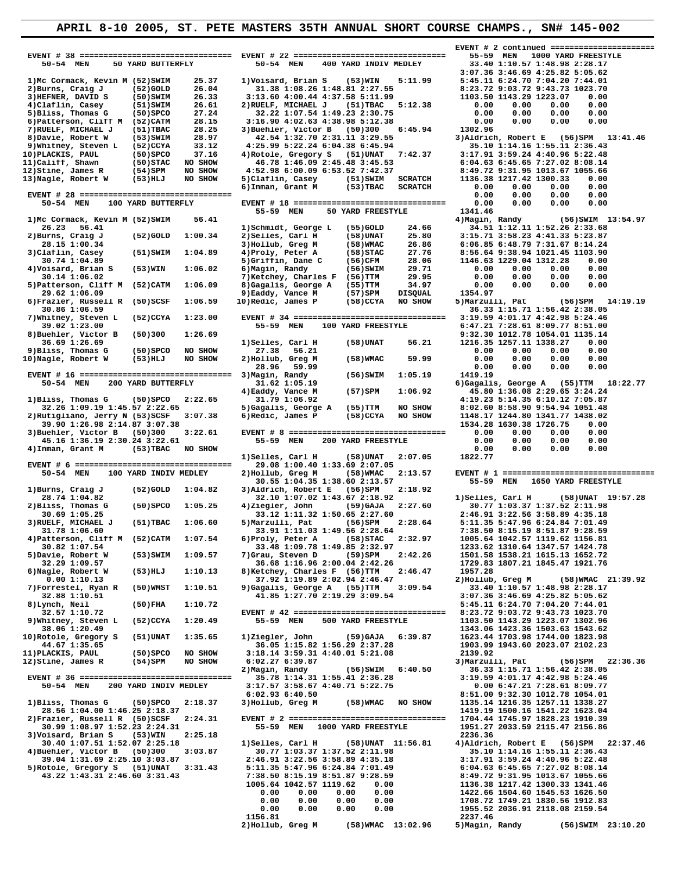**EVENT # 2 continued ======================= EVENT # 38 ================================ EVENT # 22 ================================ 55-59 MEN 1000 YARD FREESTYLE 50-54 MEN 50 YARD BUTTERFLY 50-54 MEN 400 YARD INDIV MEDLEY 33.40 1:10.57 1:48.98 2:28.17 1)Mc Cormack, Kevin M (52)SWIM 25.37 1)Voisard, Brian S (53)WIN 5:11.99 5:45.11 6:24.70 7:04.20 7:44.01**<br> **2)Burns, Craig J (52)GOLD 26.04 31.38 1:08.26 1:48.81 2:27.55 8:23.72 9:03.72 9:43.73 1023.70**<br> **3)HEFNER, DAVID S 2)Burns, Craig J (52)GOLD 26.04 31.38 1:08.26 1:48.81 2:27.55**<br>3)HEFNER, DAVID S (50)SWIM 26.33 3:13.60 4:00.44 4:37.58 5:11.99 3) HEFNER, DAVID S (50) SWIM 26.33 3:13.60 4:00.44 4:37.58 5:11.99 1103.50 1143.29 1223.07 0.00<br>4) Claflin, Casey (51) SWIM 26.61 2) RUELE, MICHAEL J (51) TRAC 5:12.38 0.00 0.00 0.00 0.00 0.00<br>5) Bliss, Thomas G (50) SPCO  **7)RUELF, MICHAEL J (51)TBAC 28.25 3)Buehler, Victor B (50)300 6:45.94 1302.96 8)Davie, Robert W (53)SWIM 28.97 42.54 1:32.70 2:31.11 3:29.55 3)Aldrich, Robert E (56)SPM 13:41.46 9)Whitney, Steven L (52)CCYA 33.12 4:25.99 5:22.24 6:04.38 6:45.94 35.10 1:14.16 1:55.11 2:36.43 10)PLACKIS, PAUL (50)SPCO 37.16 4)Rotole, Gregory S (51)UNAT 7:42.37 3:17.91 3:59.24 4:40.96 5:22.48 11)Califf, Shawn (50)STAC NO SHOW 46.78 1:46.09 2:45.48 3:45.53 6:04.63 6:45.65 7:27.02 8:08.14 12)Stine, James R (54)SPM NO SHOW 4:52.98 6:00.09 6:53.52 7:42.37 8:49.72 9:31.95 1013.67 1055.66 13)Nagle, Robert W (53)HLJ NO SHOW 5)Claflin, Casey (51)SWIM SCRATCH 1136.38 1217.42 1300.33 0.00 6)Inman, Grant M (53)TBAC SCRATCH 0.00 0.00 0.00 0.00 EVENT # 28 ================================ 0.00 0.00 0.00 0.00** 55-59 MEN 50 YARD FREESTYLE 1341.46<br>1)Mc Cormack, Kevin M (52)SWIM 56.41 55-59 MEN 50 YARD FREESTYLE 4)Magin, Randy 1)Mc Cormack, Kevin M (52)SWIM 56.41<br>
26.23 56.41<br>
29.3 56.41<br>
29.3 56.41<br>
29.3 56.41<br>
29.3 56.41<br>
29.3 56.41<br>
29.3 56.41<br>
29.90LD 1:00.34<br>
29.95 1:00.34<br>
29.15 1:12.11 1:52.23 4:41.33 5:23 3.68<br>
28.15 1:00.34<br>
29.15 1:00. **29.62 1:06.09** 9)Eaddy, Vance M<br>6)Frazier, Russell R (50)SCSF 1:06.59 10)Redic, James P 6)Frazier, Russell R (50)SCSF 1:06.59 10)Redic, James P (58)CCYA NO SHOW 5)Marzulli, Pat (56)SPM 14:19.19<br>30.86 1:06.59 10.86 106.59 36.33 1:15.71 1:56.42 2:38.05<br>7)Whitney, Steven L (52)CCYA 1:23.00 EVENT # 34 =========== 8)Buehler, Victor B (50)300 1:26.69 <br>36.69 1:26.69 **9:32.30 1012.78 1054.01 1135.14** <br>36.69 1:26.69 **9:32.30 1012.78 1054.01 1135.14** (58)UNAT 56.21 1216.35 1257.11 1338.27 0.00 36.69 1:26.69 10.00 1)Selles, Carl H (58)UNAT 56.21 1216.35 1257.11 1338.27 0.00<br>9)Bliss, Thomas G (50)SPCO NO SHOW 27.38 56.21 0.00 0.00 0.00 0.00 0.00<br>10)Nagle, Robert W (53)HLJ NO SHOW 2)Hollub, Greg M (58)WMAC 59.99 0.  **28.96 59.99 0.00 0.00 0.00 0.00 EVENT # 16 ================================ 3)Magin, Randy (56)SWIM 1:05.19 1419.19** 50-54 MEN 200 YARD BUTTERFLY 31.62 1:05.19 6)Gagalis, George A (55)TTM 18:22.77<br>4)Eaddy, Vance M (57)SPM 1:06.92 45.80 1:36.08 2:29.65 3:24.24<br>4:19.23 5:14.35 6:10.12 7:05.87 4:19.23 5:14.35 6:10.12 7:05.87 32.26 1:09.19 1:45.57 2:22.65 5)Gagalis, George A (55)TTM NO SHOW 8:02.60 8:58.90 9:54.94 1051.48<br>2)Rutigliano, Jerry N (53)SCSF 3:07.38 6)Redic, James P (58)CCYA NO SHOW 1148.17 1244.80 1341.77 1438.02<br>39.90 1:26.98 2:14.  **3)Buehler, Victor B (50)300 3:22.61 EVENT # 8 ================================= 0.00 0.00 0.00 0.00** 4)Inman, Grant M (53)TBAC NO SHOW 1)Selles, Carl H (58)UNAT  **EVENT # 6 ================================= 29.08 1:00.40 1:33.69 2:07.05**  30.55 1:04.35 1:38.60 2:13.57 55-59 MEN 1650 YARD FREESTYLE<br>1)Burns, Craig J (52)GOLD 1:04.82 3)Aldrich, Robert E (56)SPM 2:18.92 **Burns, Craig J** (52)GOLD 1:04.82 3)Aldrich, Robert E (56)SPM 28.74 1:04.82 <br>28.74 1:04.82 <br>2:18.9 **28.74 1:04.82** 32.10 1:07.02 1:43.67 2:18.92 1)Selles, Carl H (58)UNAT 19:57.28<br>2)Bliss, Thomas G (50)SPCO 1:05.25 4)Ziegler, John (59)GAJA 2:27.60 30.77 1:03.37 1:37.52 2:11.98<br>33.12 1:11.32 1:50.65 2:27.60 2:46.91 3:22.  **2)Bliss, Thomas G (50)SPCO 1:05.25 4)Ziegler, John (59)GAJA 2:27.60 30.77 1:03.37 1:37.52 2:11.98 30.69 1:05.25 33.12 1:11.32 1:50.65 2:27.60 2:46.91 3:22.56 3:58.89 4:35.18 3)RUELF, MICHAEL J (51)TBAC 1:06.60 5)Marzulli, Pat (56)SPM 2:28.64 5:11.35 5:47.96 6:24.84 7:01.49 31.78 1:06.60 33.91 1:11.03 1:49.56 2:28.64 7:38.50 8:15.19 8:51.87 9:28.59 4)Patterson, Cliff M (52)CATM 1:07.54 6)Proly, Peter A (58)STAC 2:32.97 1005.64 1042.57 1119.62 1156.81 20.32.97 1005.64 1042.57 1119.62 1:07.54 5)Proly, Peter A** (58)STAC 2:32.97 1005.64 1042.57 1119.62 1119.62 136.81<br>30.82 1:07.54 33.48 1:09.78 1:49.85 2:32.97 1233.62 1310.64 1347.57 1424.78<br>30.82 1501.58 1538.21 1615.13  **5)Davie, Robert W (53)SWIM 1:09.57 7)Grau, Steven D (59)SPM 2:42.26 1501.58 1538.21 1615.13 1652.72** 32.29 1:09.57<br> **36.68 1:16.96 2:00.04 2:42.26** 1729.83<br>
6)Nagle, Robert W (53)HLJ 1:10.13 8)Ketchey, Charles F (56)TTM 2:46.47 1957.28  **1910**, Robert W (53) HLJ 1:10.13 8) Ketchey, Charles F (56) TTM 2:46.47 1957.28<br>0.00 1:10.13 37.92 1:19.89 2:02.94 2:46.47 2) Hollub, Greg M  **0.00 1:10.13 37.92 1:19.89 2:02.94 2:46.47 2)Hollub, Greg M (58)WMAC 21:39.92 7)Forrestel, Ryan R (50)WMST 1:10.51 9)Gagalis, George A (55)TTM 3:09.54 33.40 1:10.57 1:48.98 2:28.17 32.88 1:10.51 41.85 1:27.70 2:19.29 3:09.54 3:07.36 3:46.69 4:25.82 5:05.62 8)Lynch, Neil (50)FHA 1:10.72 5:45.11 6:24.70 7:04.20 7:44.01 32.57 1:10.72 EVENT # 42 ================================ 8:23.72 9:03.72 9:43.73 1023.70 9)Whitney, Steven L (52)CCYA 1:20.49 55-59 MEN 500 YARD FREESTYLE 1103.50 1143.29 1223.07 1302.96 38.06 1:20.49 1343.06 1423.36 1503.63 1543.62** 10)Rotole, Gregory S (51)UNAT 1:35.65 1)Ziegler, John (59)GAJA 6:39.87 1623.44 1703.98 1744.00 1823.98<br>44.67 1:35.65 36.05 1:15.82 1:56.29 2:37.28 1623.98 1744.00 1823.98<br>11)PLACKIS, PAUL (50)SPCO NO SHOW 3:18.14 3:59.31 4  $[1]\texttt{PLACKIS, PAUL}\xspace{11} \xspace{12} \xspace{13} \xspace{14} \xspace{15} \xspace{16} \xspace{16} \xspace{16} \xspace{16} \xspace{16} \xspace{16} \xspace{16} \xspace{16} \xspace{16} \xspace{16} \xspace{16} \xspace{16} \xspace{16} \xspace{16} \xspace{16} \xspace{16} \xspace{16} \xspace{16} \xspace{16} \xspace{16} \xspace{16} \xspace{16} \xspace{16} \xspace{16} \xspace{1$ **1)Bliss, Thomas G** (50)SPCO 2:18.37 3)Hollub, Greg M (58)WMAC NO SHOW 1135.14 1216.35 1257.11 1338.27<br>28.56 1:04.00 1:46.25 2:18.37 1419.19 1500.16 1541.22 1623.04<br>2)Frazier, Russell R (50)SCSF 2:24.31 EVENT # 2 =========  **30.99 1:08.97 1:52.23 2:24.31 55-59 MEN 1000 YARD FREESTYLE 1951.27 2033.59 2115.47 2156.86** 3)Voisard, Brian S (53)WIN 2:25.18<br>30.40 19.01.07.51 1:56.81 4)Selles, Carl H (58)UNAT 11:56.81 4)Aldrich, Robert E (56)SPM 22:37.46<br>4)Buehler, Victor B (50)300 3:03.87 30.77 1:03.37 1:37.52 2:11.98 35.10 1:14.16 1:55.11 2  **5)Rotole, Gregory S (51)UNAT 3:31.43 5:11.35 5:47.96 6:24.84 7:01.49 6:04.63 6:45.65 7:27.02 8:08.14 43.22 1:43.31 2:46.60 3:31.43 7:38.50 8:15.19 8:51.87 9:28.59 8:49.72 9:31.95 1013.67 1055.66**

 **50-54 MEN 100 YARD BUTTERFLY EVENT # 18 ================================ 0.00 0.00 0.00 0.00 45.16 1:36.19 2:30.24 3:22.61 55-59 MEN 200 YARD FREESTYLE 0.00 0.00 0.00 0.00 Selles, Carl H (58)UNAT 2:07.05 1822.77**<br>29.08 1:00.40 1:33.69 2:07.05  **50-54 MEN 100 SOUNDER 100 YARD INDIVERENT METALLUBRAND IN STARD FREESTYLE**<br>10.55 1:04.35 1:38.60 2:13.57 55-59 MEN 1650 YARD FREESTYLE  **2)Frazier, Russell R (50)SCSF 2:24.31 EVENT # 2 ================================= 1704.44 1745.97 1828.23 1910.39**  $\begin{matrix} 1005.64 & 1042.57 & 1119.62 & 0.00 & 1136.38 & 1217.42 & 1300.33 & 1341.46\ 0.00 & 0.00 & 0.00 & 0.00 & 0.1422.66 & 15045.53 & 1626.50\ 0.00 & 0.00 & 0.00 & 0.00 & 0.00 & 1708.72 & 1749.21 & 1830.56 & 1912.83\ 0.00 & 0.00 & 0.00 & 0.00 & 0$  **1156.81 2237.46 2)Hollub, Greg M (58)WMAC 13:02.96 5)Magin, Randy (56)SWIM 23:10.20**

3:07.36 3:46.69 4:25.82 5:05.62<br>25.37 1)Voisard, Brian S (53)WIN 5:11.99 5:45.11 6:24.70 7:04.20 7:44.01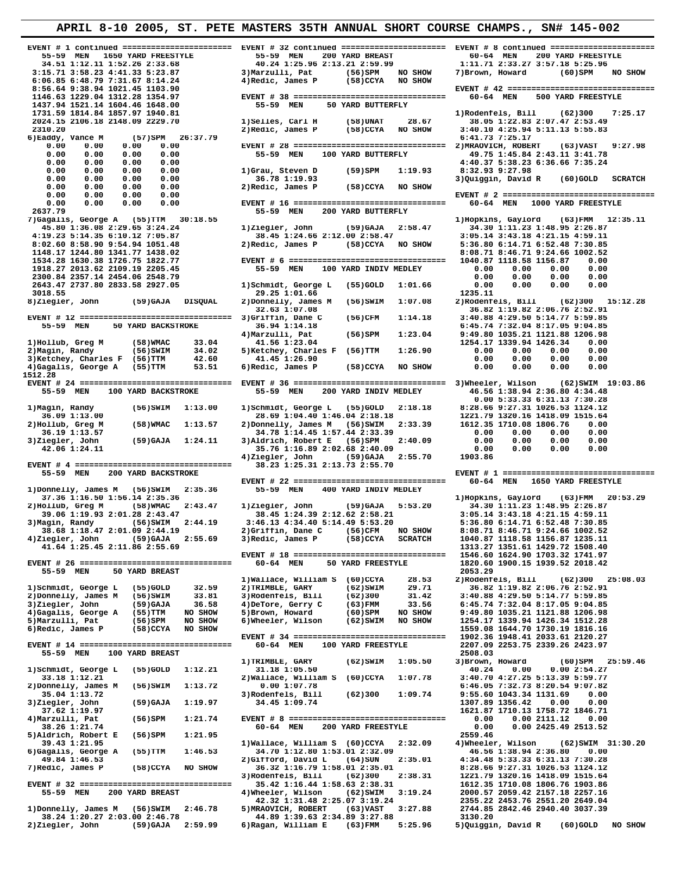## **APRIL 8-10 2005, ST. PETE MASTERS 35TH ANNUAL SHORT COURSE CHAMPS., SN# 145-002 EVENT # 1 continued ======================= EVENT # 32 continued ====================== EVENT # 8 continued ======================= 55-59 MEN 1650 YARD FREESTYLE 55-59 MEN 200 YARD BREAST 60-64 MEN 200 YARD FREESTYLE 34.51 1:12.11 1:52.26 2:33.68 40.24 1:25.96 2:13.21 2:59.99 1:11.71 2:33.27 3:57.18 5:25.96 3:15.71 3:58.23 4:41.33 5:23.87 3)Marzulli, Pat (56)SPM NO SHOW 7)Brown, Howard (60)SPM NO SHOW 6:06.85 6:48.79 7:31.67 8:14.24 4)Redic, James P (58)CCYA NO SHOW 8:56.64 9:38.94 1021.45 1103.90 EVENT # 42 ================================ 1146.63 1229.04 1312.28 1354.97 EVENT # 38 ================================ 60-64 MEN 500 YARD FREESTYLE 1437.94 1521.14 1604.46 1648.00 55-59 MEN 50 YARD BUTTERFLY 1731.59 1814.84 1857.97 1940.81 1)Rodenfels, Bill (62)300 7:25.17 2024.15 2106.18 2148.09 2229.70 1)Selles, Carl H (58)UNAT 28.67 38.05 1:22.83 2:07.47 2:53.49 2310.20 2)Redic, James P (58)CCYA NO SHOW 3:40.10 4:25.94 5:11.13 5:55.83 6)Eaddy, Vance M (57)SPM 26:37.79 6:41.73 7:25.17 0.00 0.00 0.00 0.00 EVENT # 28 ================================ 2)MRAOVICH, ROBERT (63)VAST 9:27.98** 0.00 0.00 0.00 0.00 0.00 55-59 MEN 100 YARD BUTTERFLY 49.75 1:45.84 2:43.11 3:41.78<br>0.00 0.00 0.00 0.00 1)Grau, Steven D (59)SPM 1:19.93 8:32.93 9:27.98<br>0.00 0.00 0.00 0.00 36.78 1:19.93 (59)SPM 1:19.93 8:32.93 9:27.98<br>0.0  **0.00 0.00 0.00 0.00 2)Redic, James P (58)CCYA NO SHOW 0.00 0.00 0.00 0.00 EVENT # 2 ================================= 0.00 0.00 0.00 0.00 EVENT # 16 ================================ 60-64 MEN 1000 YARD FREESTYLE 2637.79 55-59 MEN 200 YARD BUTTERFLY**  7)Gagalis, George A (55)TTM 30:18.55<br>45.80 1:36.08 2:29.65 3:24.24 12:35.11<br>4:95.23 5:14.35 6:10.12 7:05.87 1)Ziegler, John (59)GAJA 2:58.47 3:43 1:41.235.11<br>8:02.60 8:58.49 9:54.94 1051.48 2)Redic, James P (58)CCYA NO SHO  **1148.17 1244.80 1341.77 1438.02 8:08.71 8:46.71 9:24.66 1002.52 1534.28 1630.38 1726.75 1822.77 EVENT # 6 ================================= 1040.87 1118.58 1156.87 0.00** 55-59 **MEN** 100 YARD INDIV MEDLEY  **2300.84 2357.14 2454.06 2548.79 0.00 0.00 0.00 0.00 2643.47 2737.80 2833.58 2927.05 1)Schmidt, George L (55)GOLD 1:01.66 0.00 0.00 0.00 0.00 3018.55 29.25 1:01.66 1235.11 8)Ziegler, John (59)GAJA DISQUAL 2)Donnelly, James M (56)SWIM 1:07.08 2)Rodenfels, Bill (62)300 15:12.28 32.63 1:07.08 36.82 1:19.82 2:06.76 2:52.91 EVENT # 12 ================================ 3)Griffin, Dane C (56)CFM 1:14.18 3:40.88 4:29.50 5:14.77 5:59.85 55-59 MEN 50 YARD BACKSTROKE 36.94 1:14.18 6:45.74 7:32.04 8:17.05 9:04.85** 4)Marzulli, Pat (56)SPM 1:23.04 9:49.80 1035.21 1121.88 1206.98<br>2)Magin, Randy (56)SPM 33.04 41.56 1:23.04 1254.17 1339.94 1426.34 0.00<br>3)Ketchey, Charles F (56)TTM 42.60 41.45 1:26.90 0.00 0.00 0.00 0.00 0.00<br>4)Gagalis, G **1512.28 EVENT # 24 ================================ EVENT # 36 ================================ 3)Wheeler, Wilson (62)SWIM 19:03.86** 55-59 MEN 200 YARD INDIV MEDLEY 46.56 1:38.94 2:36.80 4:34.48<br>0.00 5:33.33 6:31.13 7:30.28 0.00 5:33.33 6:31.13 7:30.28 (56) 1:13.00 1)Schmidt, George L (55) GOLD 2:18.18 8:28.66 9:27.31 1026.53 1124.12<br>36.09 1:13.00 28.69 1:04.40 1:46.04 2:18.18 8:28.66 9:27.31 1026.53 1124.12<br>2)Hollub, Greg M (58)WMAC 1:13.57 **A2.06 1:24.11 42.06 1:24.11 42.15 12.15.76 1:16.89** 2:02.68 2:40.09 **1:16.89** 2:33.39 **1612.35** 1710.08 1806.76 **0.00**<br> **42.06 1:24.11 45.76 42.06 1:24.11 3)**<br> **43.76 1:16.89** 2:02.68 2:40.09 **0.00 0.00 4)Ziegler, John (59)GAJA 2:55.70 1903.86 EVENT # 4 ================================= 38.23 1:25.31 2:13.73 2:55.70 55-59 MEN 200 YARD BACKSTROKE EVENT # 1 ================================= EVENT # 22 ================================ 60-64 MEN 1650 YARD FREESTYLE**  55-59 MEN 400 YARD INDIV MEDLEY 37.36 1:16.50 1:56.14 2:35.36 1 ) 2iegler, John (59)GAJA 5:53.20 1) Hopkins, Gaylord (63)FMM 20:53.29<br>2)Hollub, Greg M (58)WMAC 2:43.47 1) Ziegler, John (59)GAJA 5:53.20 34.51.12.31 1:43.39 1:46.85 2:26.87<br>39.06 1:19.93 2:  **38.68 1:18.47 2:01.09 2:44.19 2)Griffin, Dane C (56)CFM NO SHOW 8:08.71 8:46.71 9:24.66 1002.52 4)Ziegler, John (59)GAJA 2:55.69 3)Redic, James P (58)CCYA SCRATCH 1040.87 1118.58 1156.87 1235.11 41.64 1:25.45 2:11.86 2:55.69 1313.27 1351.61 1429.72 1508.40 EVENT # 18 ================================ 1546.60 1624.90 1703.32 1741.97 EVENT # 26 ================================ 60-64 MEN 50 YARD FREESTYLE 1820.60 1900.15 1939.52 2018.42** 55-59 MEN 50 YARD BREAST<br>
1) Wallace, William S (60)CCYA 28.53 2) ROMERIES, Bill (62) 300 25:08.03<br>
1) Schmidt, George L (55) GOLD 32.59 2) TRIMBLE, GARY (62) SWIM 29.71 36.82 1:19.82 2:06.76 2:52.91<br>
2) Donnelly, James M  **EVENT # 34 ================================ 1902.36 1948.41 2033.61 2120.27 EVENT # 14 ================================ 60-64 MEN 100 YARD FREESTYLE 2207.09 2253.75 2339.26 2423.97 55-59 MEN 100 YARD BREAST** 1)TRIMBLE, GARY **TRIMBLE, GARY** (62)SWIM 1:05.50 3)Brown, Howard (60)SPM 25:59.46<br>31.18 1:05.50 40.24 0.00 0.00 2:54.27  **1)Schmidt, George L (55)GOLD 1:12.21 31.18 1:05.50 40.24 0.00 0.00 2:54.27 2)Wallace, William S** (60)CCYA 1:07.78 3:40.70 4:27.25 5:13.39 5:59.77 0.00 1:07.78 <br>0.00 1:07.78 5:46.05 7:32.73 8:20.54 9:07.82 **2)** 2,000 1:07.78<br>3)Rodenfels, Bill (62)300 1:09.74 **2)Donnelly, James M** (56)SWIM 1:13.72 0.0001:07.78<br>35.04 1:13.72 3)Rodenfels, Bill<br>3)Ziegler, John (59)GAJA 1:19.97 34.45 1:09.74 3)Rodenfels, Bill (62)300 1:09.74 9:55.60 1043.34 1131.69 0.00<br>Ziegler, John (59)GAJA 1:19.97 34.45 1:09.74 1307.89 1356.42 0.00 0.00<br>37.62 1:19.97 1621.87 1710.13 1758.72 1846.71  **37.62 1:19.97 1621.87 1710.13 1758.72 1846.71 4)Marzulli, Pat (56)SPM 1:21.74 EVENT # 8 ================================= 0.00 0.00 2111.12 0.00 38.26 1:200 YARD FREESTYLE 10.00 12559.46**<br>2559.46 2559.46

**6)Ragan, William E (63)FMM 5:25.96** 

- **5)Aldrich, Robert E** (56)SPM 1:21.95<br>39.43 1:21.95 2559.46 11 Wallace. William S (60)CCYA 2:32.09 4)Wheeler. Wilson  **39.43 1:21.95 1)Wallace, William S (60)CCYA 2:32.09 4)Wheeler, Wilson (62)SWIM 31:30.20 6)Gagalis, George A (55)TTM 1:46.53 34.70 1:12.80 1:53.01 2:32.09 46.56 1:38.94 2:36.80 0.00 49.84 1:46.53 2)Gifford, David L (64)SUN 2:35.01 4:34.48 5:33.33 6:31.13 7:30.28 7)Redic, James P (58)CCYA NO SHOW 36.32 1:16.79 1:58.01 2:35.01 8:28.66 9:27.31 1026.53 1124.12 3)Rodenfels, Bill (62)300 2:38.31 1221.79 1320.16 1418.09 1515.64 EVENT # 32 ================================ 35.42 1:16.44 1:58.63 2:38.31 1612.35 1710.08 1806.76 1903.86**
- **55-59 MEN 200 YARD BREAST 4)Wheeler, Wilson (62)SWIM 3:19.24 2000.57 2059.42 2157.18 2257.16 42.32 1:31.48 2:25.07 3:19.24 2355.22 2453.76 2551.20 2649.04 00nnelly, James M (56)SWIM 2:46.78 5)MRAOVICH, ROBERT (63)VAST 3:27.88 2744.85**<br>38.24 1:20.27 2:03.00 2:46.78 44.89 1:39.63 2:34.89 3:27.88 3130.20
- **38.24 1:20.27 2:03.00 2:46.78 44.89 1:39.63 2:34.89 3:27.88 3130.20**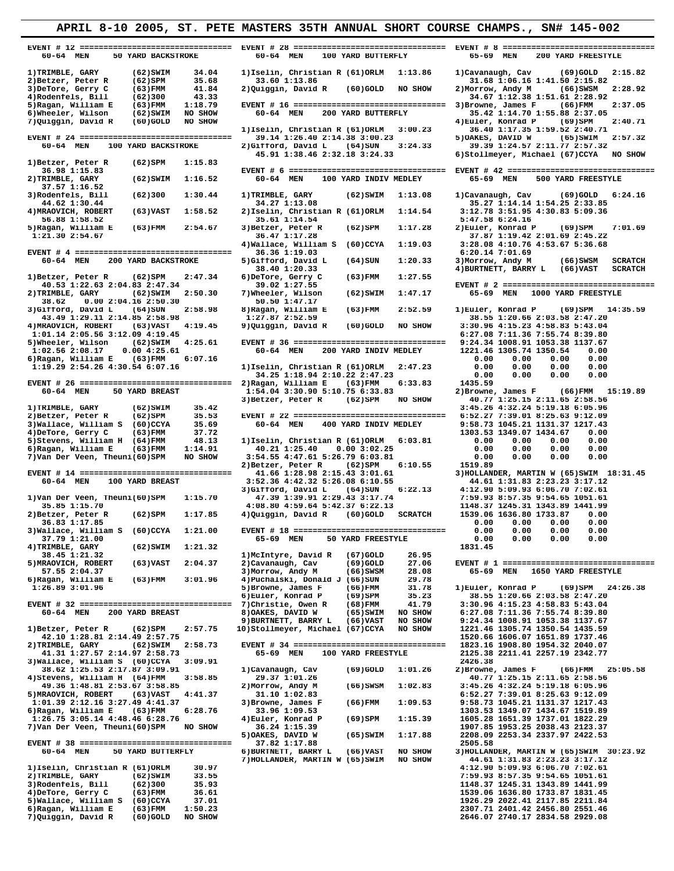|                                                                 | APRIL 8-10 2005, ST. PETE MASTERS 35TH ANNUAL SHORT COURSE CHAMPS., SN# 145-002 |                                                    |
|-----------------------------------------------------------------|---------------------------------------------------------------------------------|----------------------------------------------------|
| 60-64 MEN<br>50 YARD BACKSTROKE                                 | 60-64 MEN<br>100 YARD BUTTERFLY                                                 | 65-69 MEN<br>200 YARD FREESTYLE                    |
| 1) TRIMBLE, GARY<br>34.04<br>$(62)$ SWIM                        | 1) Iselin, Christian R (61) ORLM 1:13.86                                        | 1) Cavanaugh, Cav<br>$(69)$ GOLD<br>2:15.82        |
| 2) Betzer, Peter R<br>$(62)$ SPM<br>35.68                       | 33.60 1:13.86                                                                   | 31.68 1:06.16 1:41.50 2:15.82                      |
| 3) DeTore, Gerry C<br>41.84<br>$(63)$ FMM                       | $(60)$ GOLD<br>NO SHOW<br>2) Quiggin, David R                                   | 2:28.92<br>2) Morrow, Andy M<br>(66)SWSM           |
| 4) Rodenfels, Bill<br>43.33<br>(62)300                          |                                                                                 | 34.67 1:12.38 1:51.61 2:28.92                      |
| 5) Ragan, William E<br>1:18.79<br>$(63)$ FMM                    | EVENT # 16 ================================ 3)Browne, James F                   | (66)FMM<br>2:37.05                                 |
| 6) Wheeler, Wilson<br>NO SHOW<br>$(62)$ SWIM                    | 60-64 MEN<br>200 YARD BUTTERFLY                                                 | 35.42 1:14.70 1:55.88 2:37.05                      |
| 7) Quiggin, David R<br>$(60)$ GOLD<br>NO SHOW                   |                                                                                 | 4) Euler, Konrad P<br>(69)SPM<br>2:40.71           |
|                                                                 | 1) Iselin, Christian R (61) ORLM 3:00.23                                        | 36.40 1:17.35 1:59.52 2:40.71                      |
|                                                                 | 39.14 1:26.40 2:14.38 3:00.23                                                   | 5) OAKES, DAVID W<br>(65)SWIM<br>2:57.32           |
| 60-64 MEN<br>100 YARD BACKSTROKE                                | 2)Gifford, David L (64)SUN<br>3:24.33                                           | 39.39 1:24.57 2:11.77 2:57.32                      |
|                                                                 | 45.91 1:38.46 2:32.18 3:24.33                                                   | 6) Stollmeyer, Michael (67) CCYA NO SHOW           |
| 1) Betzer, Peter R<br>$(62)$ SPM<br>1:15.83                     |                                                                                 |                                                    |
| 36.98 1:15.83                                                   |                                                                                 |                                                    |
| 2) TRIMBLE, GARY<br>(62) SWIM<br>1:16.52                        | 100 YARD INDIV MEDLEY<br>60-64 MEN                                              | 500 YARD FREESTYLE<br>65-69 MEN                    |
| 37.57 1:16.52                                                   |                                                                                 |                                                    |
| 3) Rodenfels, Bill<br>(62)300<br>1:30.44                        | $(62)$ SWIM<br>1) TRIMBLE, GARY<br>1:13.08                                      | 1) Cavanaugh, Cav<br>(69)GOLD<br>6:24.16           |
| 44.62 1:30.44                                                   | 34.27 1:13.08                                                                   | 35.27 1:14.14 1:54.25 2:33.85                      |
| 4) MRAOVICH, ROBERT<br>$(63)$ VAST<br>1:58.52                   | 2) Iselin, Christian R (61) ORLM<br>1:14.54                                     | 3:12.78 3:51.95 4:30.83 5:09.36                    |
| 56.88 1:58.52                                                   | 35.61 1:14.54                                                                   | 5:47.58 6:24.16                                    |
| 5) Ragan, William E<br>(63)FMM<br>2:54.67                       | 3) Betzer, Peter R<br>(62)SPM<br>1:17.28                                        | 2) Euler, Konrad P<br>$(69)$ SPM<br>7:01.69        |
| 1:21.30 2:54.67                                                 | 36.47 1:17.28                                                                   | 37.87 1:19.42 2:01.69 2:45.22                      |
|                                                                 | 1:19.03<br>4) Wallace, William S (60) CCYA                                      | 3:28.08 4:10.76 4:53.67 5:36.68                    |
|                                                                 | 36.36 1:19.03                                                                   | 6:20.14 7:01.69                                    |
| 60-64 MEN<br>200 YARD BACKSTROKE                                | 1:20.33<br>5) Gifford, David L<br>(64) SUN                                      | <b>SCRATCH</b><br>3) Morrow, Andy M<br>$(66)$ SWSM |
|                                                                 | 38.40 1:20.33                                                                   | 4) BURTNETT, BARRY L (66) VAST<br><b>SCRATCH</b>   |
| $(62)$ SPM<br>2:47.34                                           | 1:27.55                                                                         |                                                    |
| 1) Betzer, Peter R                                              | 6) DeTore, Gerry C<br>(63)FMM<br>39.02 1:27.55                                  | EVENT # 2 =================================        |
| 40.53 1:22.63 2:04.83 2:47.34                                   | 7) Wheeler, Wilson                                                              | 65-69 MEN                                          |
| 2) TRIMBLE, GARY<br>(62)SWIM<br>2:50.30                         | (62) SWIM<br>1:47.17                                                            | 1000 YARD FREESTYLE                                |
| 0.002:04.162:50.30<br>38.62                                     | 50.50 1:47.17                                                                   |                                                    |
| 3) Gifford, David L<br>(64) SUN<br>2:58.98                      | 2:52.59<br>8) Ragan, William E<br>$(63)$ FMM                                    | 1) Euler, Konrad P<br>$(69)$ SPM 14:35.59          |
| 43.49 1:29.11 2:14.85 2:58.98                                   | 1:27.87 2:52.59                                                                 | 38.55 1:20.66 2:03.58 2:47.20                      |
| 4) MRAOVICH, ROBERT<br>(63)VAST<br>4:19.45                      | 9) Quiggin, David R<br>$(60)$ GOLD<br>NO SHOW                                   | 3:30.96 4:15.23 4:58.83 5:43.04                    |
| 1:01.14 2:05.56 3:12.09 4:19.45                                 |                                                                                 | 6:27.08 7:11.36 7:55.74 8:39.80                    |
| 5)Wheeler, Wilson<br>(62)SWIM<br>4:25.61                        |                                                                                 | 9:24.34 1008.91 1053.38 1137.67                    |
| 1:02.56 2:08.17<br>0.004:25.61                                  | 60-64 MEN<br>200 YARD INDIV MEDLEY                                              | 1221.46 1305.74 1350.54<br>0.00                    |
| 6) Ragan, William E<br>(63)FMM<br>6:07.16                       |                                                                                 | 0.00<br>0.00<br>0.00<br>0.00                       |
| 1:19.29 2:54.26 4:30.54 6:07.16                                 | 1) Iselin, Christian R (61) ORLM<br>2:47.23                                     | 0.00<br>0.00<br>0.00<br>0.00                       |
|                                                                 | 34.25 1:18.94 2:10.22 2:47.23                                                   | 0.00<br>0.00<br>0.00<br>0.00                       |
| EVENT # 26 ================================= 2)Ragan, William E | (63)FMM<br>6:33.83                                                              | 1435.59                                            |
| 60-64 MEN<br>50 YARD BREAST                                     | 1:54.04 3:30.90 5:10.75 6:33.83                                                 | 2) Browne, James F<br>$(66)$ FMM 15:19.89          |
|                                                                 | 3) Betzer, Peter R<br>(62)SPM<br>NO SHOW                                        | 40.77 1:25.15 2:11.65 2:58.56                      |
| 1) TRIMBLE, GARY<br>$(62)$ SWIM<br>35.42                        |                                                                                 | 3:45.26 4:32.24 5:19.18 6:05.96                    |
| 2) Betzer, Peter R<br>35.53<br>$(62)$ SPM                       |                                                                                 | 6:52.27 7:39.01 8:25.63 9:12.09                    |
| 3) Wallace, William S (60) CCYA<br>35.69                        | 60-64 MEN<br>400 YARD INDIV MEDLEY                                              | 9:58.73 1045.21 1131.37 1217.43                    |
| 4) DeTore, Gerry C<br>37.72<br>(63)FMM                          |                                                                                 | 1303.53 1349.07 1434.67<br>0.00                    |
| 5) Stevens, William H (64) FMM<br>48.13                         | 1) Iselin, Christian R (61) ORLM<br>6:03.81                                     | 0.00<br>0.00<br>0.00<br>0.00                       |
| 6) Ragan, William E<br>1:14.91<br>(63) FMM                      | 40.21 1:25.40<br>0.003:02.25                                                    | 0.00<br>0.00<br>0.00<br>0.00                       |
| 7) Van Der Veen, Theuni(60) SPM<br>NO SHOW                      | 3:54.55 4:47.61 5:26.79 6:03.81                                                 | 0.00<br>0.00<br>0.00<br>0.00                       |
|                                                                 | 2) Betzer, Peter R<br>(62)SPM<br>6:10.55                                        | 1519.89                                            |
|                                                                 | 41.66 1:28.98 2:15.43 3:01.61                                                   | 3) HOLLANDER, MARTIN W (65) SWIM 18:31.45          |
| 60-64 MEN<br>100 YARD BREAST                                    | 3:52.36 4:42.32 5:26.08 6:10.55                                                 | 44.61 1:31.83 2:23.23 3:17.12                      |
|                                                                 | 6:22.13<br>3) Gifford, David L<br>(64) SUN                                      | 4:12.90 5:09.93 6:06.70 7:02.61                    |
| 1) Van Der Veen, Theuni(60) SPM<br>1:15.70                      | 47.39 1:39.91 2:29.43 3:17.74                                                   | 7:59.93 8:57.35 9:54.65 1051.61                    |
| 35.85 1:15.70                                                   | 4:08.80 4:59.64 5:42.37 6:22.13                                                 | 1148.37 1245.31 1343.89 1441.99                    |
| 2) Betzer, Peter R (62) SPM 1:17.85                             | 4) Quiggin, David R (60) GOLD SCRATCH                                           | 1539.06 1636.80 1733.87 0.00                       |
| 36.83 1:17.85                                                   |                                                                                 | 0.00<br>0.00<br>0.00<br>0.00                       |
| 3) Wallace, William S (60) CCYA<br>1:21.00                      | EVENT # 18 =================================                                    | 0.00<br>0.00<br>0.00<br>0.00                       |
| 37.79 1:21.00                                                   | 65-69 MEN<br>50 YARD FREESTYLE                                                  | 0.00<br>0.00<br>0.00<br>0.00                       |
| 4) TRIMBLE, GARY<br>$(62)$ SWIM<br>1:21.32                      |                                                                                 | 1831.45                                            |
| 38.45 1:21.32                                                   | 1) McIntyre, David R<br>(67) GOLD<br>26.95                                      |                                                    |
| 5) MRAOVICH, ROBERT<br>$(63)$ VAST<br>2:04.37                   | 2) Cavanaugh, Cav<br>(69) GOLD<br>27.06                                         | EVENT # 1 =================================        |
| 57.55 2:04.37                                                   | 28.08<br>3) Morrow, Andy M<br>$(66)$ SWSM                                       | 65-69 MEN<br>1650 YARD FREESTYLE                   |
| 6) Ragan, William E<br>(63)FMM<br>3:01.96                       | 4) Puchalski, Donald J (66) SUN<br>29.78                                        |                                                    |
|                                                                 |                                                                                 | 1) Euler, Konrad P                                 |
| 1:26.89 3:01.96                                                 | 5) Browne, James F<br>(66)FMM<br>31.78                                          | $(69)$ SPM 24:26.38                                |
|                                                                 | 6) Euler, Konrad P<br>(69)SPM<br>35.23                                          | 38.55 1:20.66 2:03.58 2:47.20                      |
|                                                                 | 7) Christie, Owen R<br>(68)FMM<br>41.79                                         | 3:30.96 4:15.23 4:58.83 5:43.04                    |
| 60-64 MEN<br>200 YARD BREAST                                    | 8) OAKES, DAVID W<br>(65)SWIM<br>NO SHOW                                        | 6:27.08 7:11.36 7:55.74 8:39.80                    |
|                                                                 | 9) BURTNETT, BARRY L<br>(66)VAST<br>NO SHOW                                     | 9:24.34 1008.91 1053.38 1137.67                    |
| 1) Betzer, Peter R<br>(62)SPM<br>2:57.75                        | 10) Stollmeyer, Michael (67) CCYA<br>NO SHOW                                    | 1221.46 1305.74 1350.54 1435.59                    |
| 42.10 1:28.81 2:14.49 2:57.75                                   |                                                                                 | 1520.66 1606.07 1651.89 1737.46                    |
| 2) TRIMBLE, GARY<br>(62)SWIM<br>2:58.73                         |                                                                                 | 1823.16 1908.80 1954.32 2040.07                    |
| 41.31 1:27.57 2:14.97 2:58.73                                   | 65-69 MEN<br>100 YARD FREESTYLE                                                 | 2125.38 2211.41 2257.19 2342.77                    |
| 3) Wallace, William S (60) CCYA<br>3:09.91                      |                                                                                 | 2426.38                                            |
| 38.62 1:25.53 2:17.87 3:09.91                                   | 1) Cavanaugh, Cav<br>$(69)$ GOLD<br>1:01.26                                     | 2) Browne, James F<br>25:05.58<br>(66)FMM          |
| 3:58.85<br>4) Stevens, William H (64) FMM                       | 29.37 1:01.26                                                                   | 40.77 1:25.15 2:11.65 2:58.56                      |
| 49.36 1:48.81 2:53.67 3:58.85                                   | 1:02.83<br>2) Morrow, Andy M<br>(66)SWSM                                        | 3:45.26 4:32.24 5:19.18 6:05.96                    |
| 5) MRAOVICH, ROBERT<br>(63)VAST<br>4:41.37                      | 31.10 1:02.83                                                                   | 6:52.27 7:39.01 8:25.63 9:12.09                    |
| 1:01.39 2:12.16 3:27.49 4:41.37                                 | 3) Browne, James F<br>(66)FMM<br>1:09.53                                        | 9:58.73 1045.21 1131.37 1217.43                    |
| 6) Ragan, William E<br>(63)FMM<br>6:28.76                       | 33.96 1:09.53                                                                   | 1303.53 1349.07 1434.67 1519.89                    |
| 1:26.75 3:05.14 4:48.46 6:28.76                                 | 4) Euler, Konrad P<br>(69)SPM<br>1:15.39                                        | 1605.28 1651.39 1737.01 1822.29                    |
| 7) Van Der Veen, Theuni(60) SPM<br>NO SHOW                      | 36.24 1:15.39                                                                   | 1907.85 1953.25 2038.43 2123.37                    |
|                                                                 | 5) OAKES, DAVID W<br>(65)SWIM<br>1:17.88                                        | 2208.09 2253.34 2337.97 2422.53                    |
|                                                                 | 37.82 1:17.88                                                                   | 2505.58                                            |
| 60-64 MEN<br>50 YARD BUTTERFLY                                  | 6) BURTNETT, BARRY L<br>(66)VAST<br>NO SHOW                                     | 3) HOLLANDER, MARTIN W (65) SWIM 30:23.92          |
|                                                                 | NO SHOW                                                                         |                                                    |
|                                                                 | 7) HOLLANDER, MARTIN W (65) SWIM                                                | 44.61 1:31.83 2:23.23 3:17.12                      |
| 1) Iselin, Christian R (61) ORLM<br>30.97                       |                                                                                 | 4:12.90 5:09.93 6:06.70 7:02.61                    |
| 2) TRIMBLE, GARY<br>$(62)$ SWIM<br>33.55                        |                                                                                 | 7:59.93 8:57.35 9:54.65 1051.61                    |
| 3) Rodenfels, Bill<br>(62)300<br>35.93                          |                                                                                 | 1148.37 1245.31 1343.89 1441.99                    |
| 4) DeTore, Gerry C<br>$(63)$ FMM<br>36.61                       |                                                                                 | 1539.06 1636.80 1733.87 1831.45                    |
| 5) Wallace, William S (60) CCYA<br>37.01                        |                                                                                 | 1926.29 2022.41 2117.85 2211.84                    |

**1:50.23**<br>**NO SHOW**<br>**ROBER 2007.71 2401.42 2456.80 2551.46**<br>**2646.07 2740.17 2834.58 2929.08** 

 **7)Quiggin, David R (60)GOLD NO SHOW 2646.07 2740.17 2834.58 2929.08**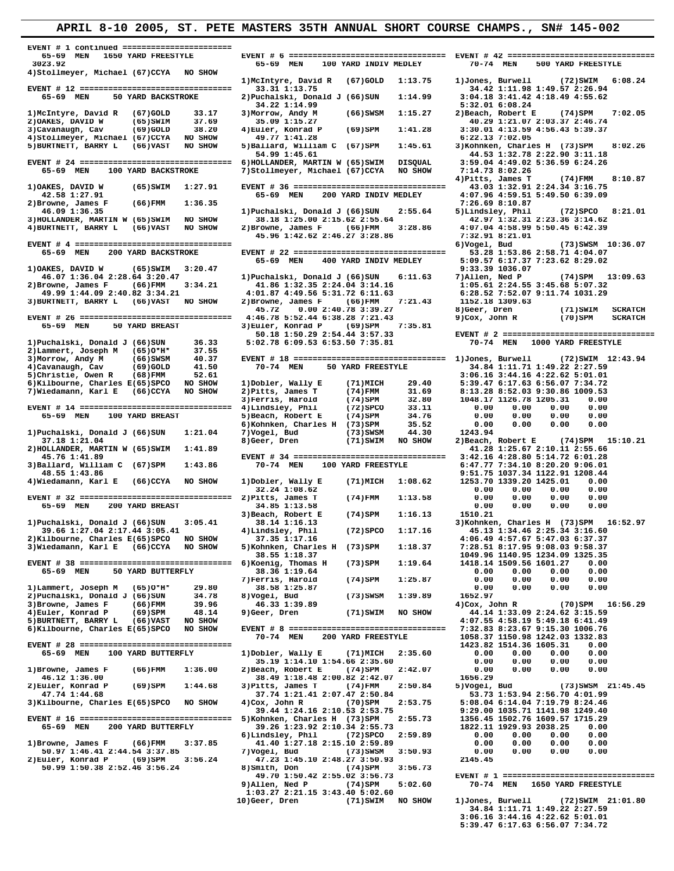| 65-69 MEN<br>1650 YARD FREESTYLE                                                            |                                                                                   |                                                                                 |
|---------------------------------------------------------------------------------------------|-----------------------------------------------------------------------------------|---------------------------------------------------------------------------------|
| 3023.92<br>4) Stollmeyer, Michael (67) CCYA<br>NO SHOW                                      | 65-69 MEN<br>100 YARD INDIV MEDLEY                                                | 70-74 MEN<br>500 YARD FREESTYLE                                                 |
|                                                                                             | 1) McIntyre, David R<br>$(67)$ GOLD<br>1:13.75                                    | 1) Jones, Burwell<br>(72) SWIM<br>6:08.24                                       |
| 65-69 MEN<br>50 YARD BACKSTROKE                                                             | 33.31 1:13.75<br>2) Puchalski, Donald J (66) SUN<br>1:14.99                       | 34.42 1:11.98 1:49.57 2:26.94<br>3:04.18 3:41.42 4:18.49 4:55.62                |
|                                                                                             | 34.22 1:14.99                                                                     | 5:32.01 6:08.24                                                                 |
| 1) McIntyre, David R<br>$(67)$ GOLD<br>33.17                                                | 3) Morrow, Andy M<br>$(66)$ SWSM<br>1:15.27                                       | 2) Beach, Robert E<br>(74)SPM<br>7:02.05                                        |
| 37.69<br>2) OAKES, DAVID W<br>$(65)$ SWIM<br>3) Cavanaugh, Cav<br>38.20<br>$(69)$ GOLD      | 35.09 1:15.27<br>4) Euler, Konrad P<br>(69)SPM<br>1:41.28                         | 40.29 1:21.07 2:03.37 2:46.74<br>3:30.01 4:13.59 4:56.43 5:39.37                |
| NO SHOW<br>4) Stollmeyer, Michael (67) CCYA                                                 | 49.77 1:41.28                                                                     | 6:22.13 7:02.05                                                                 |
| 5) BURTNETT, BARRY L<br>NO SHOW<br>$(66)$ VAST                                              | 1:45.61<br>5) Ballard, William C (67) SPM                                         | 3) Kohnken, Charles H (73) SPM<br>8:02.26                                       |
|                                                                                             | 54.99 1:45.61<br>6) HOLLANDER, MARTIN W (65) SWIM<br>DISQUAL                      | 44.53 1:32.78 2:22.90 3:11.18<br>3:59.04 4:49.02 5:36.59 6:24.26                |
| 100 YARD BACKSTROKE<br>65-69 MEN                                                            | 7) Stollmeyer, Michael (67) CCYA<br>NO SHOW                                       | 7:14.73 8:02.26                                                                 |
|                                                                                             |                                                                                   | 4) Pitts, James T<br>$(74)$ FMM<br>8:10.87<br>43.03 1:32.91 2:24.34 3:16.75     |
| 1) OAKES, DAVID W<br>$(65)$ SWIM<br>1:27.91<br>42.58 1:27.91                                | 65-69 MEN<br>200 YARD INDIV MEDLEY                                                | 4:07.96 4:59.51 5:49.50 6:39.09                                                 |
| 2) Browne, James F<br>$(66)$ FMM<br>1:36.35                                                 |                                                                                   | 7:26.69 8:10.87                                                                 |
| 46.09 1:36.35<br>3) HOLLANDER, MARTIN W (65) SWIM<br>NO SHOW                                | 1) Puchalski, Donald J (66) SUN<br>2:55.64<br>38.18 1:25.00 2:15.62 2:55.64       | 5)Lindsley, Phil<br>$(72)$ SPCO<br>8:21.01<br>42.97 1:32.31 2:23.36 3:14.62     |
| 4) BURTNETT, BARRY L<br>(66)VAST<br>NO SHOW                                                 | 2) Browne, James F<br>(66)FMM<br>3:28.86                                          | 4:07.04 4:58.99 5:50.45 6:42.39                                                 |
|                                                                                             | 45.96 1:42.62 2:46.27 3:28.86                                                     | 7:32.91 8:21.01                                                                 |
| 65-69 MEN<br>200 YARD BACKSTROKE                                                            |                                                                                   | 6) Vogel, Bud<br>$(73)$ SWSM $10:36.07$<br>53.28 1:53.86 2:58.71 4:04.07        |
|                                                                                             | 65-69 MEN<br>400 YARD INDIV MEDLEY                                                | 5:09.57 6:17.37 7:23.62 8:29.02                                                 |
| 1) OAKES, DAVID W<br>(65)SWIM<br>3:20.47                                                    |                                                                                   | 9:33.39 1036.07                                                                 |
| 46.07 1:36.04 2:28.64 3:20.47<br>2) Browne, James F<br>(66)FMM<br>3:34.21                   | 1) Puchalski, Donald J (66) SUN<br>6:11.63<br>41.86 1:32.35 2:24.04 3:14.16       | 7) Allen, Ned P<br>$(74)$ SPM 13:09.63<br>1:05.61 2:24.55 3:45.68 5:07.32       |
| 49.99 1:44.09 2:40.82 3:34.21                                                               | 4:01.87 4:49.56 5:31.72 6:11.63                                                   | 6:28.52 7:52.07 9:11.74 1031.29                                                 |
| 3) BURTNETT, BARRY L<br>(66)VAST<br>NO SHOW                                                 | 2) Browne, James F<br>7:21.43<br>(66)FMM<br>45.72<br>0.002:40.783:39.27           | 1152.18 1309.63<br>$(71)$ SWIM<br><b>SCRATCH</b>                                |
|                                                                                             | 4:46.78 5:52.44 6:38.28 7:21.43                                                   | 8) Geer, Dren<br>$9)$ Cox, John R<br>(70)SPM<br><b>SCRATCH</b>                  |
| 65-69 MEN<br>50 YARD BREAST                                                                 | 3) Euler, Konrad P<br>(69)SPM<br>7:35.81                                          |                                                                                 |
| 1) Puchalski, Donald J (66) SUN<br>36.33                                                    | 50.18 1:50.29 2:54.44 3:57.33<br>5:02.78 6:09.53 6:53.50 7:35.81                  | EVENT # 2 =================================<br>1000 YARD FREESTYLE<br>70-74 MEN |
| 2) Lammert, Joseph M<br>$(65)$ <sup>*H*</sup><br>37.55                                      |                                                                                   |                                                                                 |
| 3) Morrow, Andy M<br>$(66)$ SWSM<br>40.37                                                   | EVENT # 18 ================================ 1)Jones, Burwell                      | (72) SWIM 12:43.94                                                              |
| 41.50<br>4) Cavanaugh, Cav<br>$(69)$ GOLD<br>52.61<br>5) Christie, Owen R<br>$(68)$ FMM     | 70-74 MEN<br>50 YARD FREESTYLE                                                    | 34.84 1:11.71 1:49.22 2:27.59<br>3:06.16 3:44.16 4:22.62 5:01.01                |
| 6) Kilbourne, Charles E(65) SPCO<br>NO SHOW                                                 | 29.40<br>1)Dobler, Wally E<br>(71)MICH                                            | 5:39.47 6:17.63 6:56.07 7:34.72                                                 |
| 7) Wiedamann, Karl E<br>$(66)$ CCYA<br>NO SHOW                                              | (74)FMM<br>31.69<br>2) Pitts, James T                                             | 8:13.28 8:52.03 9:30.86 1009.53                                                 |
|                                                                                             | 3) Ferris, Harold<br>(74)SPM<br>32.80<br>4)Lindsley, Phil<br>$(72)$ SPCO<br>33.11 | 1048.17 1126.78 1205.31<br>0.00<br>0.00<br>0.00<br>0.00<br>0.00                 |
| 100 YARD BREAST<br>65-69 MEN                                                                | 5) Beach, Robert E<br>(74)SPM<br>34.76                                            | 0.00<br>0.00<br>0.00<br>0.00                                                    |
|                                                                                             | 35.52<br>6) Kohnken, Charles H<br>(73)SPM                                         | 0.00<br>0.00<br>0.00<br>0.00                                                    |
| 1) Puchalski, Donald J (66) SUN<br>1:21.04<br>37.18 1:21.04                                 | 7) Vogel, Bud<br>$(73)$ SWSM<br>44.30<br>8) Geer, Dren<br>(71)SWIM<br>NO SHOW     | 1243.94<br>2) Beach, Robert E<br>$(74)$ SPM $15:10.21$                          |
| 2) HOLLANDER, MARTIN W (65) SWIM<br>1:41.89                                                 |                                                                                   | 41.28 1:25.67 2:10.11 2:55.66                                                   |
| 45.76 1:41.89<br>3) Ballard, William C (67) SPM<br>1:43.86                                  | 70-74 MEN<br>100 YARD FREESTYLE                                                   | 3:42.16 4:28.80 5:14.72 6:01.28<br>6:47.77 7:34.10 8:20.20 9:06.01              |
| 48.55 1:43.86                                                                               |                                                                                   | 9:51.75 1037.34 1122.91 1208.44                                                 |
| 4) Wiedamann, Karl E<br>(66)CCYA<br>NO SHOW                                                 | 1)Dobler, Wally E<br>(71)MICH<br>1:08.62                                          | 1253.70 1339.20 1425.01<br>0.00                                                 |
| EVENT # 32 ================================ 2)Pitts, James T                                | 32.24 1:08.62<br>(74)FMM<br>1:13.58                                               | 0.00<br>0.00<br>0.00<br>0.00<br>0.00<br>0.00<br>0.00<br>0.00                    |
| 65-69 MEN<br>200 YARD BREAST                                                                | 34.85 1:13.58                                                                     | 0.00<br>0.00<br>0.00<br>0.00                                                    |
|                                                                                             | 1:16.13<br>3) Beach, Robert E<br>(74)SPM                                          | 1510.21                                                                         |
| 1) Puchalski, Donald J (66) SUN<br>3:05.41<br>39.66 1:27.04 2:17.44 3:05.41                 | 38.14 1:16.13<br>(72) SPCO<br>1:17.16<br>4)Lindsley, Phil                         | 3) Kohnken, Charles H (73) SPM<br>16:52.97<br>45.13 1:34.46 2:25.34 3:16.60     |
| 2) Kilbourne, Charles E(65) SPCO<br>NO SHOW                                                 | 37.35 1:17.16                                                                     | 4:06.49 4:57.67 5:47.03 6:37.37                                                 |
| 3) Wiedamann, Karl E<br>(66)CCYA<br>NO SHOW                                                 | 5) Kohnken, Charles H (73) SPM<br>1:18.37<br>38.55 1:18.37                        | 7:28.51 8:17.95 9:08.03 9:58.37<br>1049.96 1140.95 1234.09 1325.35              |
| EVENT # 38 ================================= 6) Koenig, Thomas H                            | (73)SPM<br>1:19.64                                                                | 1418.14 1509.56 1601.27<br>0.00                                                 |
| 65-69 MEN<br>50 YARD BUTTERFLY                                                              | 38.36 1:19.64                                                                     | 0.00<br>0.00<br>0.00<br>0.00                                                    |
| 1)Lammert, Joseph M<br>$(65)$ <sup>*H*</sup><br>29.80                                       | 7) Ferris, Harold<br>(74)SPM<br>1:25.87<br>38.58 1:25.87                          | 0.00<br>0.00<br>0.00<br>0.00<br>0.00<br>0.00<br>0.00<br>0.00                    |
| 2) Puchalski, Donald J (66) SUN<br>34.78                                                    | 8) Vogel, Bud<br>(73)SWSM<br>1:39.89                                              | 1652.97                                                                         |
| 3) Browne, James F<br>39.96<br>$(66)$ FMM                                                   | 46.33 1:39.89                                                                     | $4)$ Cox, John R<br>$(70)$ SPM 16:56.29                                         |
| 4) Euler, Konrad P<br>$(69)$ SPM<br>48.14<br>5) BURTNETT, BARRY L<br>$(66)$ VAST<br>NO SHOW | 9) Geer, Dren<br>(71)SWIM<br>NO SHOW                                              | 44.14 1:33.09 2:24.62 3:15.59<br>4:07.55 4:58.19 5:49.18 6:41.49                |
| 6) Kilbourne, Charles E(65) SPCO<br>NO SHOW                                                 |                                                                                   | 7:32.83 8:23.67 9:15.30 1006.76                                                 |
|                                                                                             | 200 YARD FREESTYLE<br>70-74 MEN                                                   | 1058.37 1150.98 1242.03 1332.83                                                 |
| EVENT # 28 =================================<br>65-69 MEN<br>100 YARD BUTTERFLY             | 1)Dobler, Wally E<br>(71)MICH<br>2:35.60                                          | 1423.82 1514.36 1605.31<br>0.00<br>0.00<br>0.00<br>0.00<br>0.00                 |
|                                                                                             | 35.19 1:14.10 1:54.66 2:35.60                                                     | 0.00<br>0.00<br>0.00<br>0.00                                                    |
| 1) Browne, James F<br>$(66)$ FMM<br>1:36.00<br>46.12 1:36.00                                | 2) Beach, Robert E<br>(74)SPM<br>2:42.07<br>38.49 1:18.48 2:00.82 2:42.07         | 0.00<br>0.00<br>0.00<br>0.00<br>1656.29                                         |
| 2) Euler, Konrad P<br>$(69)$ SPM<br>1:44.68                                                 | 3) Pitts, James T<br>$(74)$ FMM<br>2:50.84                                        | 5) Vogel, Bud<br>$(73)$ SWSM $21:45.45$                                         |
| 47.74 1:44.68                                                                               | 37.74 1:21.41 2:07.47 2:50.84                                                     | 53.73 1:53.94 2:56.70 4:01.99                                                   |
| 3) Kilbourne, Charles E(65) SPCO<br>NO SHOW                                                 | $4)$ Cox, John R<br>$(70)$ SPM<br>2:53.75<br>39.44 1:24.16 2:10.53 2:53.75        | 5:08.04 6:14.04 7:19.79 8:24.46<br>9:29.00 1035.71 1141.98 1249.40              |
|                                                                                             | 5) Kohnken, Charles H (73) SPM<br>2:55.73                                         | 1356.45 1502.76 1609.57 1715.29                                                 |
| 65-69 MEN<br>200 YARD BUTTERFLY                                                             | 39.26 1:23.92 2:10.34 2:55.73                                                     | 1822.11 1929.93 2038.25<br>0.00                                                 |
| 1) Browne, James F<br>$(66)$ FMM<br>3:37.85                                                 | 6)Lindsley, Phil<br>$(72)$ SPCO<br>2:59.89<br>41.40 1:27.18 2:15.10 2:59.89       | 0.00<br>0.00<br>0.00<br>0.00<br>0.00<br>0.00<br>0.00<br>0.00                    |
| 50.97 1:46.41 2:44.54 3:37.85                                                               | 7) Vogel, Bud<br>(73)SWSM<br>3:50.93                                              | 0.00<br>0.00<br>0.00<br>0.00                                                    |
| 2) Euler, Konrad P<br>$(69)$ SPM<br>3:56.24                                                 | 47.23 1:45.10 2:48.27 3:50.93                                                     | 2145.45                                                                         |
| 50.99 1:50.38 2:52.46 3:56.24                                                               | (74)SPM<br>8)Smith, Don<br>3:56.73                                                | EVENT # 1 =================================                                     |
|                                                                                             | 49.70 1:50.42 2:55.02 3:56.73                                                     |                                                                                 |
|                                                                                             | 9) Allen, Ned P<br>$(74)$ SPM<br>5:02.60                                          | 70-74 MEN<br>1650 YARD FREESTYLE                                                |
|                                                                                             | 1:03.27 2:21.15 3:43.40 5:02.60<br>NO SHOW<br>10) Geer, Dren<br>(71)SWIM          | 1) Jones, Burwell<br>(72) SWIM 21:01.80                                         |

 **3:06.16 3:44.16 4:22.62 5:01.01 5:39.47 6:17.63 6:56.07 7:34.72**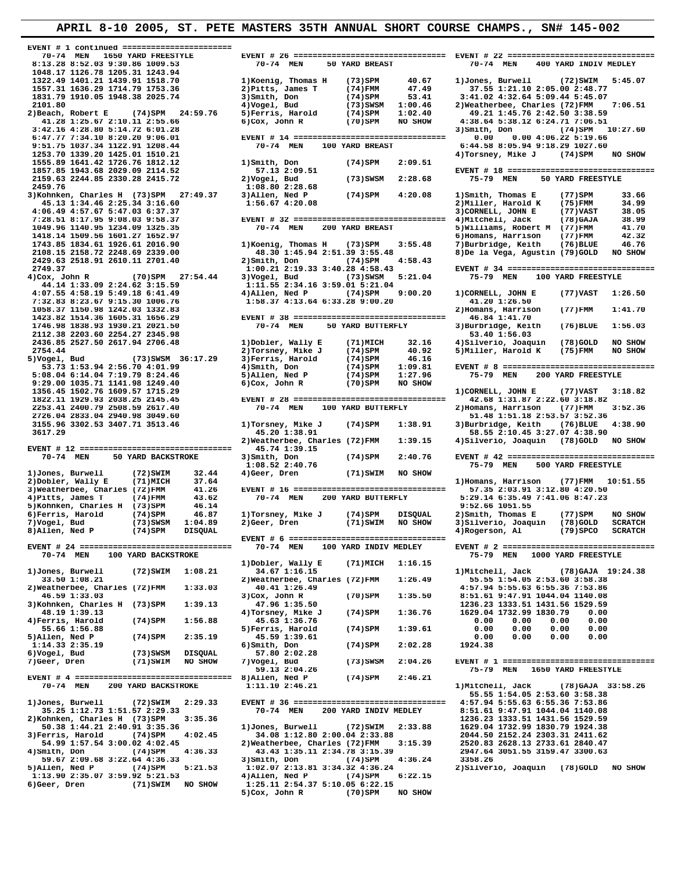| 70-74 MEN<br><b>1650 YARD FREESTYLE</b><br>8:13.28 8:52.03 9:30.86 1009.53           | 70-74 MEN<br>50 YARD BREAST                                                         | 70-74 MEN<br>400 YARD INDIV MEDLEY                                                |
|--------------------------------------------------------------------------------------|-------------------------------------------------------------------------------------|-----------------------------------------------------------------------------------|
| 1048.17 1126.78 1205.31 1243.94                                                      |                                                                                     |                                                                                   |
| 1322.49 1401.21 1439.91 1518.70<br>1557.31 1636.29 1714.79 1753.36                   | 1) Koenig, Thomas H<br>40.67<br>$(73)$ SPM<br>47.49<br>2) Pitts, James T<br>(74)FMM | 1) Jones, Burwell<br>(72)SWIM<br>5:45.07<br>37.55 1:21.10 2:05.00 2:48.77         |
| 1831.79 1910.05 1948.38 2025.74                                                      | 3) Smith, Don<br>53.41<br>(74)SPM                                                   | 3:41.02 4:32.64 5:09.44 5:45.07                                                   |
| 2101.80                                                                              | 4) Vogel, Bud<br>$(73)$ SWSM<br>1:00.46                                             | 2) Weatherbee, Charles (72) FMM<br>7:06.51                                        |
| 2) Beach, Robert E<br>$(74)$ SPM 24:59.76                                            | 5) Ferris, Harold<br>1:02.40<br>(74)SPM                                             | 49.21 1:45.76 2:42.50 3:38.59                                                     |
| 41.28 1:25.67 2:10.11 2:55.66                                                        | $6)$ Cox, John R<br>$(70)$ SPM<br>NO SHOW                                           | 4:38.64 5:38.12 6:24.71 7:06.51                                                   |
| 3:42.16 4:28.80 5:14.72 6:01.28                                                      |                                                                                     | 3)Smith, Don<br>(74)SPM<br>10:27.60                                               |
| 6:47.77 7:34.10 8:20.20 9:06.01<br>9:51.75 1037.34 1122.91 1208.44                   | 70-74 MEN<br>100 YARD BREAST                                                        | 0.004:06.225:19.66<br>0.00<br>6:44.58 8:05.94 9:18.29 1027.60                     |
| 1253.70 1339.20 1425.01 1510.21                                                      |                                                                                     | 4)Torsney, Mike J<br>(74)SPM<br>NO SHOW                                           |
| 1555.89 1641.42 1726.76 1812.12                                                      | 1)Smith, Don<br>$(74)$ SPM<br>2:09.51                                               |                                                                                   |
| 1857.85 1943.68 2029.09 2114.52                                                      | 57.13 2:09.51                                                                       | EVENT # 18 ================================                                       |
| 2159.63 2244.85 2330.28 2415.72                                                      | $(73)$ SWSM<br>2:28.68<br>2) Vogel, Bud                                             | 75-79 MEN<br>50 YARD FREESTYLE                                                    |
| 2459.76                                                                              | 1:08.80 2:28.68                                                                     |                                                                                   |
| 3) Kohnken, Charles H (73) SPM 27:49.37<br>45.13 1:34.46 2:25.34 3:16.60             | (74)SPM<br>4:20.08<br>3) Allen, Ned P<br>1:56.67 4:20.08                            | 33.66<br>1) Smith, Thomas E<br>(77)SPM<br>2) Miller, Harold K<br>34.99<br>(75)FMM |
| 4:06.49 4:57.67 5:47.03 6:37.37                                                      |                                                                                     | 3) CORNELL, JOHN E<br>38.05<br>$(77)$ VAST                                        |
| 7:28.51 8:17.95 9:08.03 9:58.37                                                      |                                                                                     | 38.99<br>4) Mitchell, Jack<br>$(78)$ GAJA                                         |
| 1049.96 1140.95 1234.09 1325.35                                                      | 70-74 MEN<br>200 YARD BREAST                                                        | 5) Williams, Robert M (77) FMM<br>41.70                                           |
| 1418.14 1509.56 1601.27 1652.97                                                      |                                                                                     | 6) Homans, Harrison<br>42.32<br>(77)FMM                                           |
| 1743.85 1834.61 1926.61 2016.90                                                      | 1) Koenig, Thomas H<br>(73)SPM<br>3:55.48                                           | 7) Burbridge, Keith<br>$(76)$ BLUE<br>46.76                                       |
| 2108.15 2158.72 2248.69 2339.00                                                      | 48.30 1:45.94 2:51.39 3:55.48                                                       | 8) De la Vega, Agustin (79) GOLD<br>NO SHOW                                       |
| 2429.63 2518.91 2610.11 2701.40<br>2749.37                                           | 2) Smith, Don<br>(74)SPM<br>4:58.43<br>1:00.21 2:19.33 3:40.28 4:58.43              | EVENT # 34 ================================                                       |
| $4)$ Cox, John R<br>$(70)$ SPM $27:54.44$                                            | 3) Vogel, Bud<br>(73)SWSM<br>5:21.04                                                | 75-79 MEN<br>100 YARD FREESTYLE                                                   |
| 44.14 1:33.09 2:24.62 3:15.59                                                        | 1:11.55 2:34.16 3:59.01 5:21.04                                                     |                                                                                   |
| 4:07.55 4:58.19 5:49.18 6:41.49                                                      | 9:00.20<br>4)Allen, Ned P<br>(74)SPM                                                | 1) CORNELL, JOHN E<br>$(77)$ VAST<br>1:26.50                                      |
| 7:32.83 8:23.67 9:15.30 1006.76                                                      | 1:58.37 4:13.64 6:33.28 9:00.20                                                     | 41.20 1:26.50                                                                     |
| 1058.37 1150.98 1242.03 1332.83                                                      |                                                                                     | 2) Homans, Harrison<br>(77)FMM<br>1:41.70                                         |
| 1423.82 1514.36 1605.31 1656.29                                                      |                                                                                     | 46.84 1:41.70                                                                     |
| 1746.98 1838.93 1930.21 2021.50<br>2112.38 2203.60 2254.27 2345.98                   | 70-74 MEN<br>50 YARD BUTTERFLY                                                      | 3) Burbridge, Keith<br>$(76)$ BLUE<br>1:56.03<br>53.40 1:56.03                    |
| 2436.85 2527.50 2617.94 2706.48                                                      | 32.16<br>1) Dobler, Wally E<br>(71)MICH                                             | NO SHOW<br>$(78)$ GOLD<br>4)Silverio, Joaquin                                     |
| 2754.44                                                                              | 2) Torsney, Mike J<br>$(74)$ SPM<br>40.92                                           | NO SHOW<br>5) Miller, Harold K<br>(75)FMM                                         |
| 5) Vogel, Bud<br>$(73)$ SWSM $36:17.29$                                              | 3) Ferris, Harold<br>46.16<br>(74)SPM                                               |                                                                                   |
| 53.73 1:53.94 2:56.70 4:01.99                                                        | 4) Smith, Don<br>1:09.81<br>(74)SPM                                                 | EVENT # 8 =================================                                       |
| 5:08.04 6:14.04 7:19.79 8:24.46                                                      | 1:27.96<br>5) Allen, Ned P<br>(74)SPM                                               | 75-79 MEN<br>200 YARD FREESTYLE                                                   |
| 9:29.00 1035.71 1141.98 1249.40                                                      | (70)SPM<br>NO SHOW<br>$6)$ Cox, John R                                              |                                                                                   |
| 1356.45 1502.76 1609.57 1715.29<br>1822.11 1929.93 2038.25 2145.45                   |                                                                                     | 1) CORNELL, JOHN E<br>(77) VAST<br>3:18.82<br>42.68 1:31.87 2:22.60 3:18.82       |
| 2253.41 2400.79 2508.59 2617.40                                                      | 70-74 MEN<br>100 YARD BUTTERFLY                                                     | 2) Homans, Harrison<br>(77)FMM<br>3:52.36                                         |
| 2726.04 2833.04 2940.98 3049.60                                                      |                                                                                     | 51.48 1:51.18 2:53.57 3:52.36                                                     |
| 3155.96 3302.53 3407.71 3513.46                                                      | 1)Torsney, Mike J<br>(74)SPM<br>1:38.91                                             | 3) Burbridge, Keith<br>$(76)$ BLUE<br>4:38.90                                     |
| 3617.29                                                                              | 45.20 1:38.91                                                                       | 58.55 2:10.45 3:27.07 4:38.90                                                     |
|                                                                                      | 2) Weatherbee, Charles (72) FMM<br>1:39.15                                          | 4) Silverio, Joaquin (78) GOLD NO SHOW                                            |
| EVENT # 12 =================================<br>70-74 MEN                            | 45.74 1:39.15                                                                       |                                                                                   |
| 50 YARD BACKSTROKE                                                                   |                                                                                     | EVENT # 42 =================================                                      |
|                                                                                      | 3) Smith, Don<br>(74)SPM<br>2:40.76                                                 |                                                                                   |
|                                                                                      | 1:08.52 2:40.76                                                                     | 75-79 MEN<br>500 YARD FREESTYLE                                                   |
| 1)Jones, Burwell<br>$(72)$ SWIM<br>32.44                                             | NO SHOW<br>4) Geer, Dren<br>(71)SWIM                                                |                                                                                   |
| 2) Dobler, Wally E<br>(71) MICH<br>37.64<br>3) Weatherbee, Charles (72) FMM<br>41.26 |                                                                                     | 1) Homans, Harrison<br>$(77)$ FMM $10:51.55$<br>57.35 2:03.91 3:12.80 4:20.50     |
| 4) Pitts, James T<br>43.62<br>(74)FMM                                                | 70-74 MEN<br>200 YARD BUTTERFLY                                                     | 5:29.14 6:35.49 7:41.06 8:47.23                                                   |
| 5) Kohnken, Charles H (73) SPM<br>46.14                                              |                                                                                     | 9:52.66 1051.55                                                                   |
| 6) Ferris, Harold<br>46.87<br>(74)SPM                                                | 1)Torsney, Mike J<br>$(74)$ SPM<br><b>DISQUAL</b>                                   | 2) Smith, Thomas E<br>$(77)$ SPM<br>NO SHOW                                       |
| 7) Vogel, Bud<br>1:04.89<br>(73)SWSM                                                 | 2) Geer, Dren<br>(71)SWIM<br>NO SHOW                                                | 3) Silverio, Joaquin<br>(78) GOLD<br><b>SCRATCH</b>                               |
| 8) Allen, Ned P<br>(74)SPM<br><b>DISQUAL</b>                                         |                                                                                     | 4) Rogerson, Al<br>(79) SPCO<br><b>SCRATCH</b>                                    |
| EVENT # 24 =================================                                         | 70-74 MEN<br>100 YARD INDIV MEDLEY                                                  |                                                                                   |
| 70-74 MEN<br>100 YARD BACKSTROKE                                                     |                                                                                     | 75-79 MEN<br>1000 YARD FREESTYLE                                                  |
|                                                                                      | 1) Dobler, Wally E<br>(71)MICH<br>1:16.15                                           |                                                                                   |
| 1) Jones, Burwell<br>$(72)$ SWIM<br>1:08.21                                          | 34.67 1:16.15                                                                       | 1) Mitchell, Jack<br>(78) GAJA 19:24.38                                           |
| 33.50 1:08.21                                                                        | 2) Weatherbee, Charles (72) FMM<br>1:26.49                                          | 55.55 1:54.05 2:53.60 3:58.38                                                     |
| 2) Weatherbee, Charles (72) FMM<br>1:33.03<br>46.59 1:33.03                          | 40.41 1:26.49<br>$3)$ Cox, John R<br>$(70)$ SPM<br>1:35.50                          | 4:57.94 5:55.63 6:55.36 7:53.86<br>8:51.61 9:47.91 1044.04 1140.08                |
| 3) Kohnken, Charles H (73) SPM<br>1:39.13                                            | 47.96 1:35.50                                                                       | 1236.23 1333.51 1431.56 1529.59                                                   |
| 48.19 1:39.13                                                                        | 4) Torsney, Mike J<br>$(74)$ SPM<br>1:36.76                                         | 1629.04 1732.99 1830.79<br>0.00                                                   |
| 4) Ferris, Harold<br>1:56.88<br>(74)SPM                                              | 45.63 1:36.76                                                                       | 0.00<br>0.00<br>0.00<br>0.00                                                      |
| 55.66 1:56.88                                                                        | 5) Ferris, Harold<br>(74)SPM<br>1:39.61                                             | 0.00<br>0.00<br>0.00<br>0.00                                                      |
| 2:35.19<br>5)Allen, Ned P<br>$(74)$ SPM                                              | 45.59 1:39.61                                                                       | 0.00<br>0.00<br>0.00<br>0.00                                                      |
| 1:14.33 2:35.19<br>6) Vogel, Bud                                                     | 2:02.28<br>6) Smith, Don<br>(74)SPM                                                 | 1924.38                                                                           |
| (73) SWSM<br>DISQUAL<br>7) Geer, Dren<br>(71)SWIM<br>NO SHOW                         | 57.80 2:02.28<br>7) Vogel, Bud<br>$(73)$ SWSM<br>2:04.26                            | EVENT # 1 =================================                                       |
|                                                                                      | 59.13 2:04.26                                                                       | 75-79 MEN<br>1650 YARD FREESTYLE                                                  |
|                                                                                      | 8) Allen, Ned P<br>(74)SPM<br>2:46.21                                               |                                                                                   |
| 70-74 MEN<br>200 YARD BACKSTROKE                                                     | 1:11.10 2:46.21                                                                     | 1) Mitchell, Jack<br>$(78)$ GAJA 33:58.26                                         |
|                                                                                      |                                                                                     | 55.55 1:54.05 2:53.60 3:58.38                                                     |
| 1) Jones, Burwell<br>$(72)$ SWIM<br>2:29.33<br>35.25 1:12.73 1:51.57 2:29.33         | EVENT # 36 =================================<br>70-74 MEN                           | 4:57.94 5:55.63 6:55.36 7:53.86                                                   |
| 2) Kohnken, Charles H (73) SPM<br>3:35.36                                            | 200 YARD INDIV MEDLEY                                                               | 8:51.61 9:47.91 1044.04 1140.08<br>1236.23 1333.51 1431.56 1529.59                |
| 50.38 1:44.21 2:40.91 3:35.36                                                        | 1) Jones, Burwell<br>(72) SWIM<br>2:33.88                                           | 1629.04 1732.99 1830.79 1924.38                                                   |
| 3) Ferris, Harold<br>(74)SPM<br>4:02.45                                              | 34.08 1:12.80 2:00.04 2:33.88                                                       | 2044.50 2152.24 2303.31 2411.62                                                   |
| 54.99 1:57.54 3:00.02 4:02.45                                                        | 2) Weatherbee, Charles (72) FMM<br>3:15.39                                          | 2520.83 2628.13 2733.61 2840.47                                                   |
| 4) Smith, Don<br>4:36.33<br>(74)SPM                                                  | 43.43 1:35.11 2:34.78 3:15.39                                                       | 2947.64 3051.55 3159.47 3300.63                                                   |
| 59.67 2:09.68 3:22.64 4:36.33                                                        | 3)Smith, Don<br>4:36.24<br>(74)SPM                                                  | 3358.26                                                                           |
| 5)Allen, Ned P<br>(74)SPM<br>5:21.53                                                 | 1:02.07 2:13.81 3:34.32 4:36.24                                                     | 2) Silverio, Joaquin<br>(78)GOLD<br>NO SHOW                                       |
| 1:13.90 2:35.07 3:59.92 5:21.53<br>6) Geer, Dren<br>(71)SWIM<br>NO SHOW              | 4) Allen, Ned P<br>$(74)$ SPM<br>6:22.15<br>1:25.11 2:54.37 5:10.05 6:22.15         |                                                                                   |
|                                                                                      | NO SHOW<br>5) Cox, John R<br>(70)SPM                                                |                                                                                   |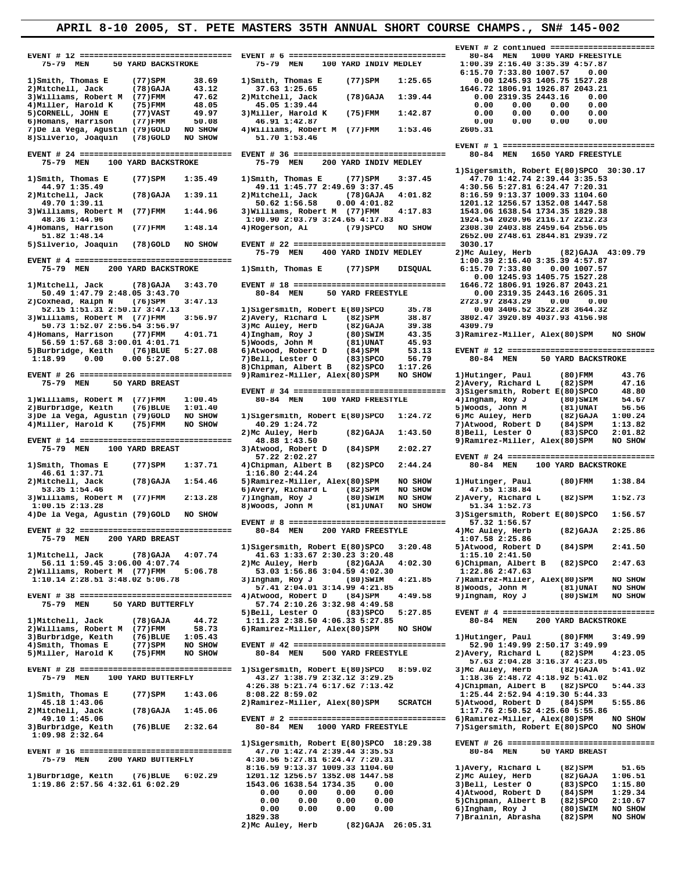|                                                                                          |                                                                                        | EVENT # 2 continued =======================                                        |
|------------------------------------------------------------------------------------------|----------------------------------------------------------------------------------------|------------------------------------------------------------------------------------|
|                                                                                          |                                                                                        | 80-84 MEN<br>1000 YARD FREESTYLE                                                   |
| 75-79 MEN<br>50 YARD BACKSTROKE                                                          | 75-79 MEN<br>100 YARD INDIV MEDLEY                                                     | 1:00.39 2:16.40 3:35.39 4:57.87<br>6:15.70 7:33.80 1007.57                         |
| $(77)$ SPM<br>1) Smith, Thomas E<br>38.69                                                | 1) Smith, Thomas E<br>$(77)$ SPM<br>1:25.65                                            | 0.00<br>0.00 1245.93 1405.75 1527.28                                               |
| 2) Mitchell, Jack<br>(78) GAJA<br>43.12                                                  | 37.63 1:25.65                                                                          | 1646.72 1806.91 1926.87 2043.21                                                    |
| 3) Williams, Robert M (77) FMM<br>47.62                                                  | 2) Mitchell, Jack<br>(78) GAJA<br>1:39.44                                              | 0.00 2319.35 2443.16<br>0.00                                                       |
| 4) Miller, Harold K<br>(75) FMM<br>48.05                                                 | 45.05 1:39.44                                                                          | 0.00<br>0.00<br>0.00<br>0.00                                                       |
| 49.97<br>5) CORNELL, JOHN E<br>$(77)$ VAST<br>50.08<br>6) Homans, Harrison<br>$(77)$ FMM | 3) Miller, Harold K<br>$(75)$ FMM<br>1:42.87<br>46.91 1:42.87                          | 0.00<br>0.00<br>0.00<br>0.00<br>0.00<br>0.00<br>0.00<br>0.00                       |
| NO SHOW<br>7)De la Vega, Agustin (79)GOLD                                                | 4) Williams, Robert M (77) FMM<br>1:53.46                                              | 2605.31                                                                            |
| 8) Silverio, Joaquin<br>NO SHOW<br>(78) GOLD                                             | 51.70 1:53.46                                                                          |                                                                                    |
|                                                                                          |                                                                                        |                                                                                    |
| 75-79 MEN<br>100 YARD BACKSTROKE                                                         | EVENT # $36$ ===================================<br>75-79 MEN<br>200 YARD INDIV MEDLEY | 80-84 MEN<br>1650 YARD FREESTYLE                                                   |
|                                                                                          |                                                                                        | 1) Sigersmith, Robert E(80) SPCO 30:30.17                                          |
| 1) Smith, Thomas E<br>$(77)$ SPM<br>1:35.49                                              | 1) Smith, Thomas E<br>$(77)$ SPM<br>3:37.45                                            | 47.70 1:42.74 2:39.44 3:35.53                                                      |
| 44.97 1:35.49                                                                            | 49.11 1:45.77 2:49.69 3:37.45                                                          | 4:30.56 5:27.81 6:24.47 7:20.31                                                    |
| $(78)$ GAJA<br>1:39.11<br>2) Mitchell, Jack<br>49.70 1:39.11                             | 4:01.82<br>2) Mitchell, Jack<br>(78) GAJA<br>50.62 1:56.58<br>0.004:01.82              | 8:16.59 9:13.37 1009.33 1104.60<br>1201.12 1256.57 1352.08 1447.58                 |
| 1:44.96<br>3) Williams, Robert M<br>(77)FMM                                              | 4:17.83<br>3) Williams, Robert M (77) FMM                                              | 1543.06 1638.54 1734.35 1829.38                                                    |
| 48.36 1:44.96                                                                            | 1:00.90 2:03.79 3:24.65 4:17.83                                                        | 1924.54 2020.96 2116.17 2212.23                                                    |
| 4) Homans, Harrison<br>$(77)$ FMM<br>1:48.14                                             | 4) Rogerson, Al<br>$(79)$ SPCO<br>NO SHOW                                              | 2308.30 2403.88 2459.64 2556.05                                                    |
| 51.82 1:48.14<br>5) Silverio, Joaquin<br>NO SHOW<br>(78) GOLD                            |                                                                                        | 2652.00 2748.61 2844.81 2939.72<br>3030.17                                         |
|                                                                                          | 75-79 MEN<br>400 YARD INDIV MEDLEY                                                     | 2) Mc Auley, Herb<br>$(82)$ GAJA $43:09.79$                                        |
|                                                                                          |                                                                                        | 1:00.39 2:16.40 3:35.39 4:57.87                                                    |
| 75-79 MEN<br>200 YARD BACKSTROKE                                                         | 1) Smith, Thomas E<br>(77)SPM<br><b>DISOUAL</b>                                        | 6:15.70 7:33.80<br>0.00 1007.57                                                    |
|                                                                                          |                                                                                        | 0.00 1245.93 1405.75 1527.28                                                       |
| 1) Mitchell, Jack<br>(78) GAJA<br>3:43.70<br>50.49 1:47.79 2:48.05 3:43.70               | EVENT # 18 =================================<br>80-84 MEN<br>50 YARD FREESTYLE         | 1646.72 1806.91 1926.87 2043.21<br>0.00 2319.35 2443.16 2605.31                    |
| 2) Coxhead, Ralph N<br>3:47.13<br>(76)SPM                                                |                                                                                        | 2723.97 2843.29<br>0.00<br>0.00                                                    |
| 52.15 1:51.31 2:50.17 3:47.13                                                            | 1) Sigersmith, Robert E(80) SPCO<br>35.78                                              | 0.00 3406.52 3522.28 3644.32                                                       |
| 3) Williams, Robert M (77) FMM<br>3:56.97                                                | 38.87<br>2) Avery, Richard L<br>$(82)$ SPM                                             | 3802.47 3920.89 4037.93 4156.98                                                    |
| 50.73 1:52.07 2:56.54 3:56.97                                                            | 3) Mc Auley, Herb<br>$(82)$ GAJA<br>39.38                                              | 4309.79                                                                            |
| 4) Homans, Harrison<br>(77)FMM<br>4:01.71                                                | 4) Ingham, Roy J<br>$(80)$ SWIM<br>43.35<br>5) Woods, John M                           | 3) Ramirez-Miller, Alex(80) SPM<br>NO SHOW                                         |
| 56.59 1:57.68 3:00.01 4:01.71<br>5) Burbridge, Keith<br>$(76)$ BLUE<br>5:27.08           | (81) UNAT<br>45.93<br>6) Atwood, Robert D<br>$(84)$ SPM<br>53.13                       | EVENT # 12 ================================                                        |
| 1:18.99<br>0.00<br>0.005:27.08                                                           | 7) Bell, Lester O<br>56.79<br>$(83)$ SPCO                                              | 80-84 MEN<br>50 YARD BACKSTROKE                                                    |
|                                                                                          | 8) Chipman, Albert B<br>$(82)$ SPCO<br>1:17.26                                         |                                                                                    |
| EVENT # 26 =================================                                             | 9) Ramirez-Miller, Alex(80) SPM<br>NO SHOW                                             | 1) Hutinger, Paul<br>(80)FMM<br>43.76                                              |
| 75-79 MEN<br>50 YARD BREAST                                                              |                                                                                        | 2) Avery, Richard L<br>$(82)$ SPM<br>47.16                                         |
| 1) Williams, Robert M (77) FMM<br>1:00.45                                                | 80-84 MEN<br>100 YARD FREESTYLE                                                        | 3) Sigersmith, Robert E(80) SPCO<br>48.80<br>4) Ingham, Roy J<br>(80)SWIM<br>54.67 |
| 2) Burbridge, Keith<br>1:01.40<br>(76)BLUE                                               |                                                                                        | 5) Woods, John M<br>56.56<br>(81)UNAT                                              |
| 3) De la Vega, Agustin (79) GOLD<br>NO SHOW                                              | 1) Sigersmith, Robert E(80) SPCO<br>1:24.72                                            | 6)Mc Auley, Herb<br>(82) GAJA<br>1:00.24                                           |
| 4) Miller, Harold K<br>NO SHOW<br>$(75)$ FMM                                             | 40.29 1:24.72                                                                          | 7)Atwood, Robert D<br>1:13.82<br>(84)SPM                                           |
|                                                                                          | 2) Mc Auley, Herb<br>$(82)$ GAJA<br>1:43.50                                            | 8) Bell, Lester O<br>2:01.82<br>$(83)$ SPCO                                        |
| EVENT # 14 =================================                                             | 48.88 1:43.50                                                                          | 9) Ramirez-Miller, Alex (80) SPM<br>NO SHOW                                        |
|                                                                                          |                                                                                        |                                                                                    |
| 100 YARD BREAST<br>75-79 MEN                                                             | 2:02.27<br>3) Atwood, Robert D<br>(84)SPM                                              |                                                                                    |
|                                                                                          | 57.22 2:02.27                                                                          | EVENT # 24 ================================                                        |
| 1) Smith, Thomas E<br>$(77)$ SPM<br>1:37.71<br>46.61 1:37.71                             | 4) Chipman, Albert B<br>2:44.24<br>$(82)$ SPCO<br>1:16.80 2:44.24                      | 80-84 MEN<br>100 YARD BACKSTROKE                                                   |
| 2) Mitchell, Jack<br>1:54.46<br>(78) GAJA                                                | NO SHOW<br>5) Ramirez-Miller, Alex(80) SPM                                             | 1) Hutinger, Paul<br>$(80)$ FMM<br>1:38.84                                         |
| 53.35 1:54.46                                                                            | NO SHOW<br>6) Avery, Richard L<br>$(82)$ SPM                                           | 47.55 1:38.84                                                                      |
| 3) Williams, Robert M (77) FMM<br>2:13.28                                                | 7) Ingham, Roy J<br>$(80)$ SWIM<br>NO SHOW                                             | 1:52.73<br>2) Avery, Richard L<br>(82)SPM                                          |
| $1:00.15$ $2:13.28$<br>NO SHOW                                                           | 8) Woods, John M<br>(81)UNAT<br>NO SHOW                                                | 51.34 1:52.73<br>1:56.57                                                           |
| 4) De la Vega, Agustin (79) GOLD                                                         |                                                                                        | 3) Sigersmith, Robert E(80) SPCO<br>57.32 1:56.57                                  |
| EVENT # 32 =================================                                             | 200 YARD FREESTYLE<br>80-84 MEN                                                        | 2:25.86<br>$(82)$ GAJA<br>4)Mc Auley, Herb                                         |
| 75-79 MEN<br>200 YARD BREAST                                                             |                                                                                        | 1:07.58 2:25.86                                                                    |
|                                                                                          | 1) Sigersmith, Robert E(80) SPCO<br>3:20.48                                            | 2:41.50<br>5)Atwood, Robert D<br>(84)SPM                                           |
| 1) Mitchell, Jack<br>(78) GAJA<br>4:07.74                                                | 41.63 1:33.67 2:30.23 3:20.48                                                          | 1:15.10 2:41.50                                                                    |
| 56.11 1:59.45 3:06.00 4:07.74<br>2) Williams, Robert M (77) FMM<br>5:06.78               | 2) Mc Auley, Herb<br>4:02.30<br>(82) GAJA<br>53.03 1:56.86 3:04.59 4:02.30             | 6) Chipman, Albert B<br>2:47.63<br>$(82)$ SPCO<br>1:22.86 2:47.63                  |
| 1:10.14 2:28.51 3:48.02 5:06.78                                                          | 3) Ingham, Roy J<br>(80)SWIM<br>4:21.85                                                | 7) Ramirez-Miller, Alex(80) SPM<br>NO SHOW                                         |
|                                                                                          | 57.41 2:04.01 3:14.99 4:21.85                                                          | 8) Woods, John M<br>NO SHOW<br>(81)UNAT                                            |
|                                                                                          | 4) Atwood, Robert D<br>$(84)$ SPM<br>4:49.58                                           | 9) Ingham, Roy J<br>(80)SWIM<br>NO SHOW                                            |
| 75-79 MEN<br>50 YARD BUTTERFLY                                                           | 57.74 2:10.26 3:32.98 4:49.58                                                          | EVENT # 4 =================================                                        |
| 1) Mitchell, Jack<br>(78) GAJA<br>44.72                                                  | 5) Bell, Lester O<br>(83) SPCO<br>5:27.85<br>1:11.23 2:38.50 4:06.33 5:27.85           | 80-84 MEN<br>200 YARD BACKSTROKE                                                   |
| 2) Williams, Robert M<br>(77)FMM<br>58.73                                                | 6) Ramirez-Miller, Alex(80) SPM<br>NO SHOW                                             |                                                                                    |
| 3) Burbridge, Keith<br>(76) BLUE<br>1:05.43                                              |                                                                                        | 1) Hutinger, Paul<br>(80)FMM<br>3:49.99                                            |
| 4) Smith, Thomas E<br>$(77)$ SPM<br>NO SHOW                                              | EVENT # 42 =================================                                           | 52.90 1:49.99 2:50.17 3:49.99                                                      |
| 5) Miller, Harold K<br>NO SHOW<br>(75)FMM                                                | 80-84 MEN<br>500 YARD FREESTYLE                                                        | 2) Avery, Richard L<br>4:23.05<br>(82) SPM                                         |
| EVENT # 28 =============================== 1)Sigersmith, Robert E(80)SPCO                | 8:59.02                                                                                | 57.63 2:04.28 3:16.37 4:23.05<br>3) Mc Auley, Herb<br>(82) GAJA<br>5:41.02         |
| 100 YARD BUTTERFLY<br>75-79 MEN                                                          | 43.27 1:38.79 2:32.12 3:29.25                                                          | 1:18.36 2:48.72 4:18.92 5:41.02                                                    |
|                                                                                          | 4:26.38 5:21.74 6:17.62 7:13.42                                                        | 4)Chipman, Albert B<br>(82) SPCO<br>5:44.33                                        |
| 1) Smith, Thomas E<br>(77)SPM<br>1:43.06                                                 | 8:08.22 8:59.02                                                                        | 1:25.44 2:52.94 4:19.30 5:44.33                                                    |
| 45.18 1:43.06                                                                            | 2) Ramirez-Miller, Alex(80) SPM<br><b>SCRATCH</b>                                      | 5:55.86<br>5)Atwood, Robert D<br>(84)SPM                                           |
| 2) Mitchell, Jack<br>1:45.06<br>(78) GAJA<br>49.10 1:45.06                               |                                                                                        | 1:17.76 2:50.52 4:25.60 5:55.86<br>6) Ramirez-Miller, Alex(80) SPM<br>NO SHOW      |
| 3) Burbridge, Keith<br>2:32.64<br>$(76)$ BLUE                                            | 80-84 MEN<br>1000 YARD FREESTYLE                                                       | 7) Sigersmith, Robert E(80) SPCO<br>NO SHOW                                        |
| 1:09.98 2:32.64                                                                          |                                                                                        |                                                                                    |
|                                                                                          | 1) Sigersmith, Robert E(80) SPCO 18:29.38                                              | EVENT # 26 ================================                                        |
| EVENT # 16 =================================                                             | 47.70 1:42.74 2:39.44 3:35.53                                                          | 80-84 MEN<br>50 YARD BREAST                                                        |
| 75-79 MEN<br>200 YARD BUTTERFLY                                                          | 4:30.56 5:27.81 6:24.47 7:20.31<br>8:16.59 9:13.37 1009.33 1104.60                     | 1) Avery, Richard L<br>(82)SPM<br>51.65                                            |
| 1)Burbridge, Keith<br>6:02.29<br>$(76)$ BLUE                                             | 1201.12 1256.57 1352.08 1447.58                                                        | 2) Mc Auley, Herb<br>1:06.51<br>(82) GAJA                                          |
| 1:19.86 2:57.56 4:32.61 6:02.29                                                          | 1543.06 1638.54 1734.35<br>0.00                                                        | 3) Bell, Lester O<br>1:15.80<br>$(83)$ SPCO                                        |
|                                                                                          | 0.00<br>0.00<br>0.00<br>0.00                                                           | 4) Atwood, Robert D<br>(84)SPM<br>1:29.34                                          |
|                                                                                          | 0.00<br>0.00<br>0.00<br>0.00                                                           | 5) Chipman, Albert B<br>$(82)$ SPCO<br>2:10.67                                     |
|                                                                                          | 0.00<br>0.00<br>0.00<br>0.00<br>1829.38                                                | 6)Ingham, Roy J<br>(80)SWIM<br>NO SHOW<br>7)Brainin, Abrasha<br>(82)SPM<br>NO SHOW |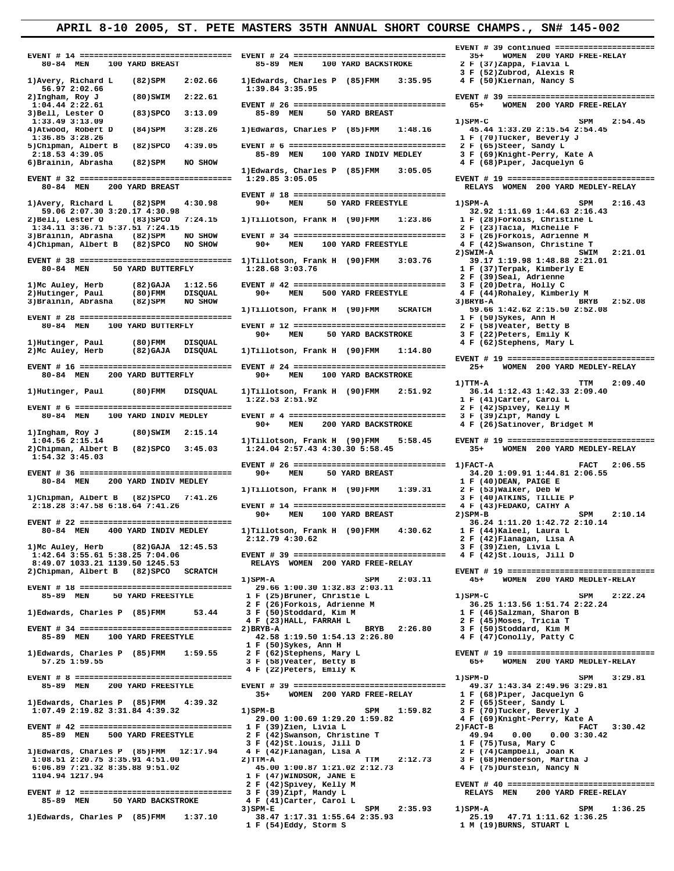**1)**Edwards, Charles P (85)FMM 2:02.66 1)Edwards, Charles P (85)FMM 3:39.84 3:35.95  **56.97 2:02.66 1:39.84 3:35.95 4)Atwood, Robert D (84)SPM 3:28.26 1)Edwards, Charles P (85)FMM 1:48.16**<br>1:36.85 3:28.26 **2:18.53 4:39.05 85-89 MEN 100 YARD INDIV MEDLEY**<br>**5)Brainin, Abrasha** (82)SPM NO SHOW 1)Hutinger, Paul (80)FMM DISQUAL<br>2)McAuley, Herb (82)GAJA DISQUAL **80-84 MEN 200 YARD BUTTERFLY** 90+ **1)Ingham, Roy J** (80)SWIM 2:15.14 90+ MEN 200 YARD BACKSTROKE  **1)Ingham, Roy J (80)SWIM 2:15.14 2)Chipman, Albert B** (82)SPCO 3:45.03  **1:54.32 3:45.03 1)Tillotson, Frank H** (90)FMM 1:39.31<br>**1)Chipman, Albert B** (82)SPCO 7:41.26 **8:49.07 1033.21 1139.50 1245.53<br>2)Chipman, Albert B (82)SPCO SCRATCH EVENT # 18 ================================ 29.66 1:00.30 1:32.83 2:03.11 2 F (26)Forkois, Adrienne M 2 F (26)Forkois, Adrienne M 3.44 3 F (50)Stoddard, Kim M 6:06.89 7:21.32 8:35.88 9:51.02<br>1104.94 1217.94** 3)SPM-E SPM 2:35.93 1)SPM-A SPM 1:36.25<br>25.19 47.71 1:11.62 1:36.25<br>1 F (54)Eddy, Storm S 1 M (19)BURNS, STUART L

 **EVENT # 14 ================================ EVENT # 24 ================================ 35+ WOMEN 200 YARD FREE-RELAY**  85-89 MEN 100 YARD BACKSTROKE  **3 F (52)Zubrod, Alexis R 2)Ingham, Roy J (80)SWIM 2:22.61 EVENT # 39 ================================ 1:04.44 2:22.61 EVENT # 26 ================================ 65+ WOMEN 200 YARD FREE-RELAY 303 BELL, ARRIST SO YARD BREAST** 1:33.49 3:13.09 SPM 2:54.45<br>4)Atwood, Robert D (84)SPM 3:28.26 1)Edwards, Charles P (85)FMM 1:48.16 45.44 1:33.20 2:15.54 2:54.45 1:36.85 3:28.26 1:36.85 3:28.26 **1:36.85 3:28.26** 1 F (70)Tucker, Beverly J<br>5)Chipman, Albert B (82)SPCO 4:39.05 EVENT # 6 ================================= 2 F (65)Steer, Sandy L **5)Chipman, Albert B** (82)SPCO 4:39.05 EVENT # 6 =============================== 2 F (65)Steer, Sandy L<br>2:18.53 4:39.05 **BLACE BLACE BLACE BLACE BLACE BLACE BLACE BLACE BLACE BLACE BLACE BLACE BLACE BLACE BLACE BLACE B 1)Edwards, Charles P (85)FMM 3:05.05 EVENT # 32 ================================ 1:29.85 3:05.05 EVENT # 19 ================================ EVENT # 18 ===============================**<br>4:30.98 90+ MEN 50 YARD FREESTYLE 1)Avery, Richard L (82)SPM 4:30.98 90+ MEN 50 YARD FREESTYLE 1)SPM-A SPM 2:16.43<br>59.06 2:07.30 3:20.17 4:30.98 90+ MEN 50 YARD FREESTYLE 32.92 1:11.69 1:44.63 2:16.43 **59.06 2:07.30 3:20.17 4:30.98 59.06 2:07.30 3:20.17 4:30.98 1:11.69 1:44.63 2:16**<br>**2)Bell, Lester O** (83)SPCO 7:24.15 1)Tillotson, Frank H (90)FMM 1:23.86 1 F (28)Forkois, Christine L  **2)Bell, Lester O (83)SPCO 7:24.15 1)Tillotson, Frank H (90)FMM 1:23.86 1 F (28)Forkois, Christine L 1:34.11 3:36.71 5:37.51 7:24.15 2 F (23)Tacia, Michelle F EVENT # 34 ================================ 3 F (26)Forkois, Adrienne M** 90+ MEN 100 YARD FREESTYLE 4 F (42)Swanson, Christine T  **4)Chipman, Albert B (82)SPCO NO SHOW 90+ MEN 100 YARD FREESTYLE 4 F (42)Swanson, Christine T 2)SWIM-A SWIM 2:21.01 EVENT # 38 ================================ 1)Tillotson, Frank H (90)FMM 3:03.76 39.17 1:19.98 1:48.88 2:21.01 2 F (39)Seal, Adrienne 1)Mc Auley, Herb (82)GAJA 1:12.56 EVENT # 42 ================================ 3 F (20)Detra, Holly C 2)Hutinger, Paul (80)FMM DISQUAL 90+ MEN 500 YARD FREESTYLE 4 F (44)Rohaley, Kimberly M 3)Brainin, Abrasha (82)SPM NO SHOW 3)BRYB-A BRYB 2:52.08 1)Tillotson, Frank H (90)FMM SCRATCH 59.66 1:42.62 2:15.50 2:52.08 EVENT # 28 ================================ 1 F (50)Sykes, Ann H EVENT # 12 ============================= 2 F (58)Veater, Betty B**<br>90+ MEN 50 YARD BACKSTROKE 3 F (22)Peters, Emily K 90+ MEN 50 YARD BACKSTROKE 3 F (22)Peters, Emily K<br>1)Hutinger, Paul (80)FMM DISOUAL 90+ MEN 50 YARD BACKSTROKE 4 F (62)Stephens, Mary L  **2)Mc Auley, Herb (82)GAJA DISQUAL 1)Tillotson, Frank H (90)FMM 1:14.80 EVENT # 19 ================================ 1)TTM-A TTM 2:09.40 1)Hutinger, Paul (80)FMM DISQUAL 1)Tillotson, Frank H (90)FMM 2:51.92 36.14 1:12.43 1:42.33 2:09.40 EVENT # 6 ================================= 2 F (42)Spivey, Kelly M 80-84 MEN 100 YARD INDIV MEDLEY EVENT # 4 ================================= 3 F (39)Zipf, Mandy L 1)Tillotson, Frank H (90)FMM 5:58.45 EVENT # 19 =================================**<br>1:24.04 2:57.43 4:30.30 5:58.45 35+ WOMEN 200 YARD MEDLEY-RELAY  **EVENT # 26 ================================ 1)FACT-A FACT 2:06.55 EVENT # 36 ================================= 90+ MEN** 50 YARD BREAST 34.20 1:09.91 1:44.8<br>80-84 MEN 200 YARD INDIV MEDLEY 50 YARD BREAST 1 F (40)DEAN, PAIGE E  **80-84 MEN 200 YARD INDIV MEDLEY 1 F (40)DEAN, PAIGE E 1)Chipman, Albert B** (82)SPCO 7:41.26 3 F (40)ATKINS, TILLIE P<br>2:18.28 3:47.58 6:18.64 7:41.26 **8 BVENT # 14 =============================** 4 F (43)FEDAKO, CATHY A  **2:18.28 3:47.58 6:18.64 7:41.26 EVENT # 14 ================================ 4 F (43)FEDAKO, CATHY A** 90+ MEN 100 YARD BREAST  **EVENT # 22 ================================ 36.24 1:11.20 1:42.72 2:10.14 1)Tillotson, Frank H (90)FMM 4:30.62<br>2:12.79.4:30.62<br>2.12.79.4:30.62 2:12.79 4:30.62 2 F (42)Flanagan, Lisa A 1)Mc Auley, Herb (82)GAJA 12:45.53 3 F (39)Zien, Livia L 1:42.64 3:55.61 5:38.25 7:04.06 EVENT # 39 ================================ 4 F (42)St.louis, Jill D 2)Chipman, Albert B (82)SPCO SCRATCH EVENT # 19 ================================ 1)SPM-A SPM 2:03.11 45+ WOMEN 200 YARD MEDLEY-RELAY 1 F** (25)Bruner, Christie L 1)SPM-C SPM 2:22.24<br> **2 F** (26)Forkois, Adrienne M 36.25 1:13.56 1:51.74 2:22.24  **4 F (23)HALL, FARRAH L 2 F (45)Moses, Tricia T EVENT # 34 ================================ 2)BRYB-A BRYB 2:26.80 3 F (50)Stoddard, Kim M 85-89 MEN 100 YARD FREESTYLE 42.58 1:19.50 1:54.13 2:26.80 4 F (47)Conolly, Patty C 1 F (50)Sykes, Ann H 1)Edwards, Charles P (85)FMM 1:59.55 2 F (62)Stephens, Mary L EVENT # 19 ================================ 4 F (22)Peters, Emily K EVENT # 8 ================================= 1)SPM-D SPM 3:29.81 85-89 MEN 200 YARD FREESTYLE EVENT # 39 ================================ 49.37 1:43.34 2:49.96 3:29.81** 35+ WOMEN 200 YARD FREE-RELAY 1)Edwards, Charles P (85)FMM 4:39.32<br>19.07.49 2:19.82 3:31.84 4:39.32 1)SPM-B SPM 1:59.82 3 F (70)Tucker, Beverly J  **1:07.49 2:19.82 3:31.84 4:39.32 1)SPM-B SPM 1:59.82 3 F (70)Tucker, Beverly J 29.00 1:00.69 1:29.20 1:59.82<br>1 F (39)Zien, Livia L<br>2 F (42)Swanson, Christine T EVENT # 42 ============================== 1 F** (39)Zien, Livia L 3 2)FACT-B FACT 3:30.42<br>
85-89 MEN 500 YARD FREESTYLE 2 F (42)Swanson, Christine T 49.94 0.00 0.00 3:30.42  **3 F (42)St.louis, Jill D 1 F (75)Tusa, Mary C 1)Edwards, Charles P (85)FMM 12:17.94 4 F (42)Flanagan, Lisa A 2 F (74)Campbell, Joan K 1:08.51 2:20.75 3:35.91 4:51.00 2)TTM-A TTM 2:12.73 3 F (68)Henderson, Martha J 1 F (47)WINDSOR, JANE E 2 F (42)Spivey, Kelly M 2 F (42)Spivey, Kelly M EVENT # 40 ================================** 3 **F** (39)Zipf, Mandy L<br>4 **F** (41)Carter, Carol L **85-89 MEN 50 YARD BACKSTROKE** 4 F (41)Carter, Carol L<br>3) SPM-E 2135.93

 **EVENT # 39 continued ====================== 6)Brainin, Abrasha (82)SPM NO SHOW 4 F (68)Piper, Jacquelyn G 80-84 MEN 200 YARD BREAST RELAYS WOMEN 200 YARD MEDLEY-RELAY** 1 F (37)Terpak, Kimberly E  **EVENT # 16 ================================ EVENT # 24 ================================ 25+ WOMEN 200 YARD MEDLEY-RELAY 1 F** (41)Carter, Carol L<br>**2 F** (42)Spivey, Kelly M 1 F (46)Salzman, Sharon B<br>2 F (45)Moses, Tricia T **WOMEN 200 YARD MEDLEY-RELAY 2)FACT-B**<br>49.94 0.00 0.00 3:30.42<br>1 F (75)Tusa, Mary C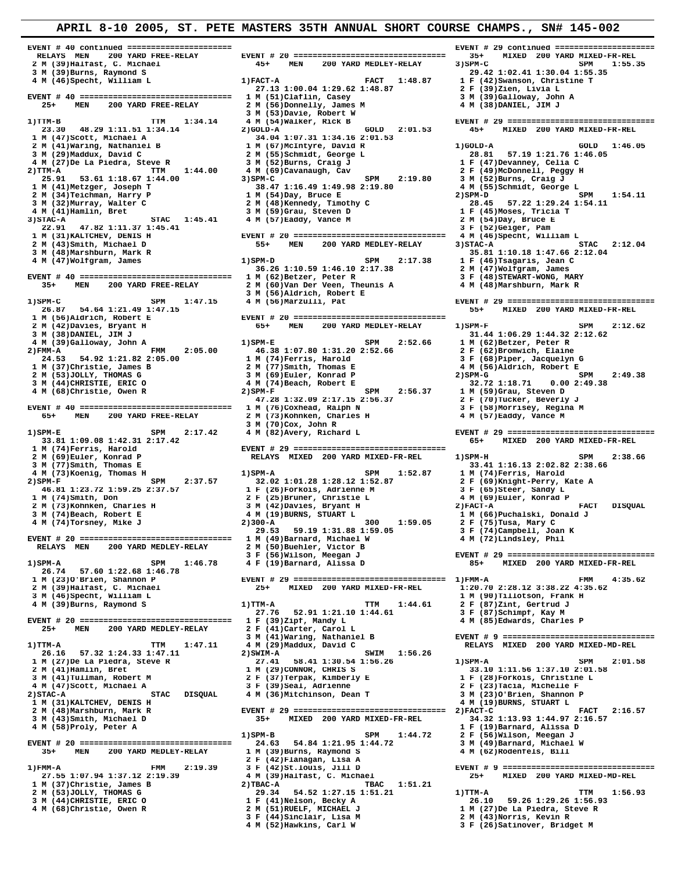**RELAYS MEN 200 YARD FREE-RELAY EVENT # 20 ================================ 35+ MIXED 200 YARD MIXED-FR-REL 2 M (39)Halfast, C. Michael 45+ MEN 200 YARD MEDLEY-RELAY 3)SPM-C SPM 1:55.35** 2 M (39) Halfast, C. Michael **1.200 CONTROLLANT 1.30 CONTROLLANT 1.30**<br>
3 M (39) Burns, Raymond S<br>
4 M (46) Specht, William L 1) FACT-A FACT 1:48.87 1 F (42) Swanson, Christine T  **4 M (46)Specht, William L 1)FACT-A FACT 1:48.87 1 F (42)Swanson, Christine T 27.13 1:00.04 1:29.62 1:48.87 2 F (39)Zien, Livia L EVENT # 40 ================================ 1 M** (51)Claflin, Casey 3 M (39)Galloway, John A<br>25+ MEN 200 YARD FREE-RELAY 2 M (56)Donnelly, James M 4 M (38)DANIEL, JIM J  **25+ MEN 200 YARD FREE-RELAY 2 M (56)Donnelly, James M 4 M (38)DANIEL, JIM J 3 M (53)Davie, Robert W 1)TTM-B TTM 1:34.14 4 M (54)Walker, Rick B EVENT # 29 ================================** /11m-b<br>23.30 48.29 1:11.51 1:34.14<br>1 M (47)Scott, Michael A **1 M (47)Scott, Michael A 34.04 1:07.31 1:34.16 2:01.53**<br> **2 M (41)Waring, Nathaniel B** 34.04 1:07.31 1:34.16 2:01.53<br> **1 M (67)McIntyre, David R 3 M** (29)Maddux, David C 2 M (55)Schmidt, George L 2 M (29)Maddux, David C 2 M (55)Schmidt, George L 2 F (49)McDonney, Celia C 2 F (49)McDonnell, Peggy 1:21.76 1:21.76 1:21.76 1:21.76 1:21.76 1:21.76 1:21.76 1:21.76 1:21. 4 M (27)De La Piedra, Steve R 3 M (52)Burns, Craig J 1 F (47)Devanney, Celia C<br>2)TTM-A TTM 1:44.00 4 M (69)Cavanaugh, Cav 2 F (49)McDonnell, Peggy H<br>25.91 53.61 1:18.67 1:44.00 3)SPM-C SPM 2:19.80 3 M (52)Burns, Craig J 1 M (21)De La Fieura, Steve R<br>
1 1:44.00<br>
2 DTM 3 (49)McDonnell, Peggy H<br>
2 5.91 53.61 1:18.67 1:44.00<br>
2 M (41)Metzger, Joseph T<br>
2 M (34)Teichman, Harry P<br>
2 M (34)Teichman, Harry P<br>
2 M (55)Schmidt, George L<br>
2 M (34)Te **2 M** (34) Teichman, Harry P 1 M (54) Day, Bruce E 2) SPM-D SPM 1:54.11<br> **3 M** (32) Murray, Walter C 2 M (48) Kennedy, Timothy C 28.45 57.22 1:29.24 1:54.11 **3 M** (32)Murray, Walter C 2 M (32)Murray, Walter C 2 M (48)Kennedy, Timothy C 28.45 57.22 1:29.24<br> **4 M** (41)Hamlin, Bret 3 M (45)Moses, Tricia T<br>
1 STAC 1:45.41 4 M (57)Eaddy, Vance M 2 M (54)Day, Bruce E  **4 M (41)Hamlin, Bret 3 M (59)Grau, Steven D 1 F (45)Moses, Tricia T 3)STAC-A STAC 1:45.41 4 M (57)Eaddy, Vance M 2 M (54)Day, Bruce E 22.91 47.82 1:11.37 1:45.41 3 F (52)Geiger, Pam 1 M (31)KALTCHEV, DENIS H EVENT # 20 ================================ 4 M (46)Specht, William L 2 M (43)Smith, Michael D 55+ MEN 200 YARD MEDLEY-RELAY 3)STAC-A 3 M (48)Marshburn, Mark R 35.81 1<br>4 M (47)Wolfgram, James 1)SPM-D 5PM 2:17.38 1 F (46)Wolfgram, James 1)SPM-D 5PM 2:17.34 1 F (46)Wolfgram, 1988 3 M (48)Marshburn, Mark R 35.81 1:10.18 1:47.66 2:12.04 EVENT # 40 ================================ 1 M (62)Betzer, Peter R 3 F (48)STEWART-WONG, MARY 35+ MEN 200 YARD FREE-RELAY 2 M (60)Van Der Veen, Theunis A 4 M (48)Marshburn, Mark R 3 M (56)Aldrich, Robert E**<br>1) SPM **56)M 3 M** (56) Marzulli, Pat  **26.87 54.64 1:21.49 1:47.15 55+ MIXED 200 YARD MIXED-FR-REL 1 M (56)Aldrich, Robert E EVENT # 20 ================================ 2 M (42)Davies, Bryant H 65+ MEN 200 YARD MEDLEY-RELAY 1) SPM-F SPM 2:12.62**<br>3 M (38)DANIEL, JIM J 31.44 32 2:12.62 **3 M (38)DANIEL, JIM J**<br> **3 M (39)CALLOWAY, JOHN A**<br> **3 M** (39)CALLOWAY, JOHN A 1:05.29 1:44.32 2:12.62<br> **3 M** (39)CALLOWAY, JOHN A 1:05.29 1:44.32 2:12.62 4 M (39)Galloway, John A<br>2)FMM 2:05.00 1:31.20 1:31.20 2:52.66 1 M (62)Betzer, Peter R<br>24.53 54.92 1:21.82 2:05.00 1 M (74)Ferris, Harold<br>2 M (77)Smith, Thomas E 38 M (56)Aldrich, Robert E 2 M (77)Smith, Thomas E<br>
2 M (77)Smith, Thomas E<br>
2 M (53)JOLLY, THOMAS G 3 M (69)Euler, Konrad P 2)SPM-G 2149.38<br>
3 M (44)CHRISTIE, ERIC 0 4 M (74)Beach, Robert E 32.72 1:18.71 0.00 2:49.38 **2 M (53)JOLLY, THOMAS G** 5 **3 M (69)Euler, Konrad P** 2)SPM-G SPM 3 M (44)CHRISTIE, ERIC O 4 M (74)Beach, Robert E<br> **4 M (68)Christie, Owen R** 2)SPM 2:56.37 1 M (59)Grau, SPM 2:56.37 1 M (58)Christie, Owen R 2)SPM 2:56.37  **4 M (68)Christie, Owen R 2)SPM-F SPM 2:56.37 1 M (59)Grau, Steven D 47.28 1:32.09 2:17.15 2:56.37 2 F (70)Tucker, Beverly J EVENT** # 40 ================================ 1 M (76)Coxhead, Ralph N 3 F (58)Morrisey, Regina M 3 F (58)Morrisey, Regina M 3 F (58)Morrisey, Regina M 3 F (58)Morrisey, Regina M 3 M (73)Kohnken, Charles H 3 M (57)Eaddy, V **65+ MEN 200 YARD FREE-RELAY 3 M (70)Cox, John R 33.81 1:09.08 1:42.31 2:17.42 65+ MIXED 200 YARD MIXED-FR-REL 1 M (74)Ferris, Harold EVENT # 29 ================================ 3 M** (77)Smith, Thomas E 33.41 1:16.13 2:02.82 2:38.66<br> **4 M** (73)Koenig, Thomas H 33.41 1:52.87 1 M (74)Ferris, Harold 4 M (73) Koenig, Thomas H 1) SPM-A SPM 1:52.87 1 M (74) Ferris, Harold<br>2) SPM-F SPM 2:37.57 32.02 1:01.28 1:28.12 1:52.87 2 F (69) Knight-Perry, Kate A<br>46.81 1:23.72 1:59.25 2:37.57 1 F (26) Forkois, Adrienne M 3 F (65) St **1 M** (74)Smith, Don 2 F (25)Bruner, Christie L 4 M (74)Smith, Don 2 F (25)Bruner, Christie L 4 M (69)Euler, Konrad P<br>
2 M (73)Kohnken, Charles H 3 M (42)Davies, Bryant H 2) PACT-A<br>
3 M (74)Beach, Robert E 4 M (19)BURNS, S **2 M (74) An Art (20) Art (20) Art (20) Art (20) Art (20) Art (20) Art (31) Art (31) Art (31) Art (31) Art (31)**<br>
2 M (73)Kohnken, Charles H 3 M (42)Davies, Bryant H 2)FACT-A FACT DISQUAL<br>
2 M (74)Beach, Robert E 4 M (19)B  **3 M (74)Beach, Robert E 4 M (19)BURNS, STUART L 1 M (66)Puchalski, Donald J 4 M (74)Torsney, Mike J 2)300-A 300 1:59.05 2 F (75)Tusa, Mary C 29.53 59.19 1:31.88 1:59.05 3 F (74)Campbell, Joan K EVENT # 20 ================================ 1 M (49)Barnard, Michael W 4 M (72)Lindsley, Phil RELAYS MEN** 200 YARD MEDLEY-RELAY 2 M (50)Buehler, Victor B 3 F (56)Wilson, Meegan J  **3 F (56)Wilson, Meegan J EVENT # 29 ================================ 26.74 57.60 1:22.68 1:46.78 1 M (23)O'Brien, Shannon P EVENT # 29 ================================ 1)FMM-A FMM 4:35.62 2 M (39)Halfast, C. Michael 25+ MIXED 200 YARD MIXED-FR-REL 1:20.70 2:28.12 3:38.22 4:35.62 3 M (46)Specht, William L 1 M (90)Tillotson, Frank H 4 M (39)Burns, Raymond S 1)TTM-A TTM 1:44.61 2 F (87)Zint, Gertrud J 27.76 52.91 1:21.10 1:44.61 3 F (87)Schimpf, Kay M EVENT # 20 =============================== 1 F** (39)Zipf, Mandy L 4 M (85)Edwards, Charles P<br>25+ MEN 200 YARD MEDLEY-RELAY 2 F (41)Carter, Carol L **MEN** 200 YARD MEDLEY-RELAY 2 F (41)Carter, Carol L<br>3 M (41)Waring, Nathaniel B  **3 M (41)Waring, Nathaniel B EVENT # 9 ================================= 1)TTM-A TTM 1:47.11 4 M (29)Maddux, David C RELAYS MIXED 200 YARD MIXED-MD-REL** 26.16 57.32 1:24.33 1:47.11 2) SWIM-A<br>
1 M (27)De La Piedra, Steve R<br>
2 M (41)Humlin, Bret<br>
3 M (41)Tullman, Robert M<br>
4 M (47)Scott, Michael A<br>
2 F (39)Seal, Adrienne<br>
2 F (39)Seal, Adrienne<br>
2 STAC-A<br>
2 F (23)Tacia, Mich  **1 M (31)KALTCHEV, DENIS H 4 M (19)BURNS, STUART L 2 M (48)Marshburn, Mark R EVENT # 29 ================================ 2)FACT-C FACT 2:16.57 3 M (43)Smith, Michael D 35+ MIXED 200 YARD MIXED-FR-REL 4 M (58)Proly. Peter A 1)SPM-B SPM 1:44.72 2 F (56)Wilson, Meegan J EVENT # 20 ================================ 24.63 54.84 1:21.95 1:44.72 3 M (49)Barnard, Michael W 2 F (42) Flanagan, Lisa A**<br>**2:19.39 2 F (42) St.louis, Jill D**<br>**2**:19.39 **3 F (42)** St.louis, Jill D  **1)FMM-A FMM 2:19.39 3 F (42)St.louis, Jill D EVENT # 9 ================================= 27.55 1:07.94 1:37.12 2:19.39 4 M (39)Halfast, C. Michael 25+ MIXED 200 YARD MIXED-MD-REL 1 M (37)Christie, James B 2)TBAC-A TBAC 1:51.21 3 M (44)CHRISTIE, ERIC O 1 F (41)Nelson, Becky A 26.10 59.26 1:29.26 1:56.93 4 M (68)Christie, Owen R 2 M (51)RUELF, MICHAEL J 1 M (27)De La Piedra, Steve R 3 F (44)Sinclair, Lisa M 2 M (43)Norris, Kevin R**

 **EVENT # 40 continued ====================== EVENT # 29 continued ====================== 2 M (41) 2 M (46.05**<br> **2 M (57)McIntyre, David R 1) 28.81 57.19 1:21.76 1:46.05**<br> **2 M (55)Schmidt, George L 28.81 57.19 1:21.76 1:46.05** 1.36.26 1:10.59 1:46.10 2:17.38 2 M (47)Wolfgram, James<br> **M (62)Betzer, Peter R** 3 F (48)STEWART-WONG, MARY **RELAYS MIXED 200 YARD MIXED-FR-REL 1)SPM-H SPM 3:38.66** 35+ MIXED 200 YARD MIXED-FR-REL 34.32 1:13.93 1:44.97 2:16.57<br>1 F (19)Barnard, Alissa D<br>2 F (56)Wilson, Meegan J  **35+ MEN 200 YARD MEDLEY-RELAY 1 M (39)Burns, Raymond S 4 M (62)Rodenfels, Bill 2** TBAC 1.51.21<br> **2** 29.34 54.52 1:27.15 1:51.21 1)TTM-A TTM 1:56.93<br> **1 F** (41)Nelson, Becky A 26.10 59.26 1:29.26 1:56.93

**1 F (46)Tsagaris, Jean C**<br>2 M (47)Wolfgram, James  **1)SPM-C SPM 1:47.15 4 M (56)Marzulli, Pat EVENT # 29 ================================ 1)SPM-E SPM 2:17.42 4 M (82)Avery, Richard L EVENT # 29 ================================** 85+ MIXED 200 YARD MIXED-FR-REL 3 F (44)Sinclair, Lisa M **2 M** (43)Norris, Kevin R<br>
4 M (52)Hawkins, Carl W 3 F (26)Satinover, Bridget M